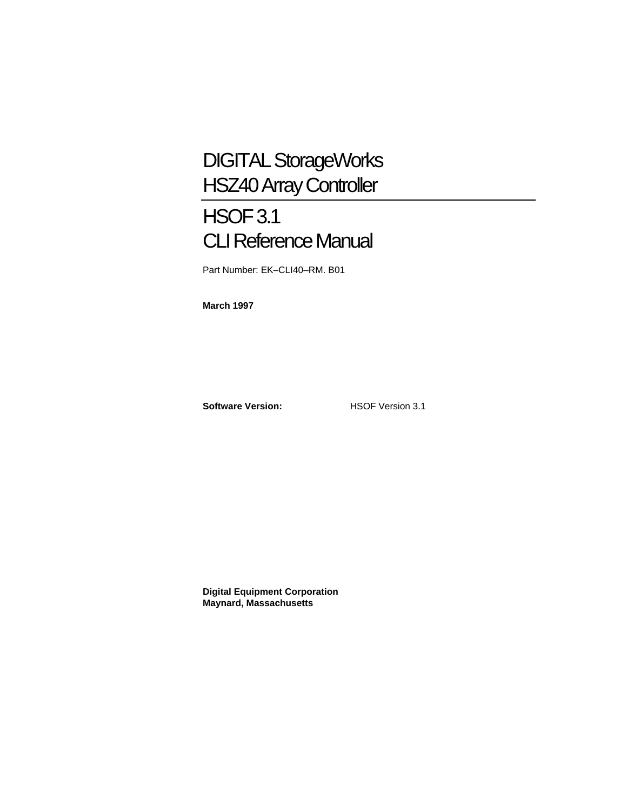## DIGITAL StorageWorks HSZ40 Array Controller

## HSOF 3.1 CLI Reference Manual

Part Number: EK–CLI40–RM. B01

**March 1997**

**Software Version:** HSOF Version 3.1

**Digital Equipment Corporation Maynard, Massachusetts**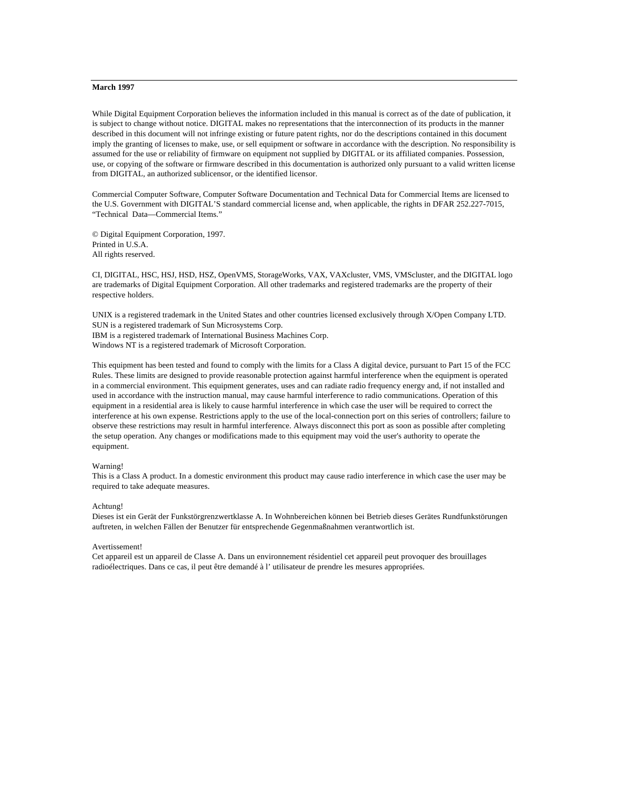#### **March 1997**

While Digital Equipment Corporation believes the information included in this manual is correct as of the date of publication, it is subject to change without notice. DIGITAL makes no representations that the interconnection of its products in the manner described in this document will not infringe existing or future patent rights, nor do the descriptions contained in this document imply the granting of licenses to make, use, or sell equipment or software in accordance with the description. No responsibility is assumed for the use or reliability of firmware on equipment not supplied by DIGITAL or its affiliated companies. Possession, use, or copying of the software or firmware described in this documentation is authorized only pursuant to a valid written license from DIGITAL, an authorized sublicensor, or the identified licensor.

Commercial Computer Software, Computer Software Documentation and Technical Data for Commercial Items are licensed to the U.S. Government with DIGITAL'S standard commercial license and, when applicable, the rights in DFAR 252.227-7015, "Technical Data—Commercial Items."

© Digital Equipment Corporation, 1997. Printed in U.S.A. All rights reserved.

CI, DIGITAL, HSC, HSJ, HSD, HSZ, OpenVMS, StorageWorks, VAX, VAXcluster, VMS, VMScluster, and the DIGITAL logo are trademarks of Digital Equipment Corporation. All other trademarks and registered trademarks are the property of their respective holders.

UNIX is a registered trademark in the United States and other countries licensed exclusively through X/Open Company LTD. SUN is a registered trademark of Sun Microsystems Corp. IBM is a registered trademark of International Business Machines Corp. Windows NT is a registered trademark of Microsoft Corporation.

This equipment has been tested and found to comply with the limits for a Class A digital device, pursuant to Part 15 of the FCC Rules. These limits are designed to provide reasonable protection against harmful interference when the equipment is operated in a commercial environment. This equipment generates, uses and can radiate radio frequency energy and, if not installed and used in accordance with the instruction manual, may cause harmful interference to radio communications. Operation of this equipment in a residential area is likely to cause harmful interference in which case the user will be required to correct the interference at his own expense. Restrictions apply to the use of the local-connection port on this series of controllers; failure to observe these restrictions may result in harmful interference. Always disconnect this port as soon as possible after completing the setup operation. Any changes or modifications made to this equipment may void the user's authority to operate the equipment.

#### Warning!

This is a Class A product. In a domestic environment this product may cause radio interference in which case the user may be required to take adequate measures.

#### Achtung!

Dieses ist ein Gerät der Funkstörgrenzwertklasse A. In Wohnbereichen können bei Betrieb dieses Gerätes Rundfunkstörungen auftreten, in welchen Fällen der Benutzer für entsprechende Gegenmaßnahmen verantwortlich ist.

#### Avertissement!

Cet appareil est un appareil de Classe A. Dans un environnement résidentiel cet appareil peut provoquer des brouillages radioélectriques. Dans ce cas, il peut être demandé à l' utilisateur de prendre les mesures appropriées.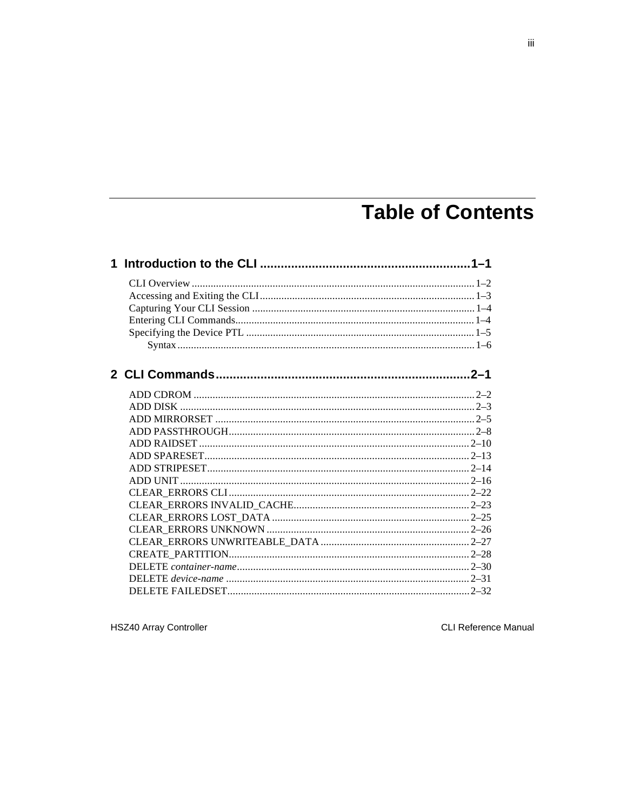## **Table of Contents**

**HSZ40 Array Controller** 

CLI Reference Manual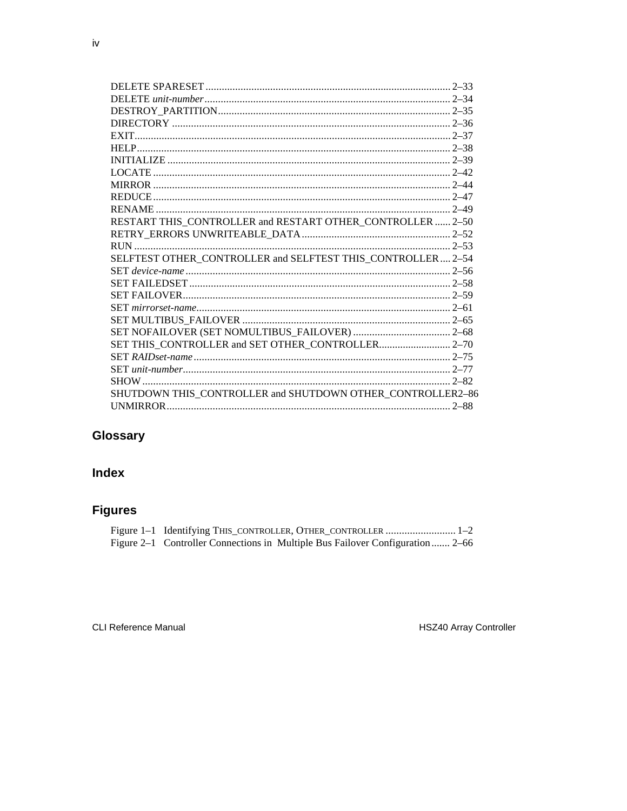| RESTART THIS_CONTROLLER and RESTART OTHER_CONTROLLER  2-50  |  |
|-------------------------------------------------------------|--|
|                                                             |  |
|                                                             |  |
| SELFTEST OTHER CONTROLLER and SELFTEST THIS CONTROLLER 2-54 |  |
|                                                             |  |
|                                                             |  |
|                                                             |  |
|                                                             |  |
|                                                             |  |
|                                                             |  |
| SET THIS_CONTROLLER and SET OTHER_CONTROLLER 2-70           |  |
|                                                             |  |
|                                                             |  |
|                                                             |  |
| SHUTDOWN THIS_CONTROLLER and SHUTDOWN OTHER_CONTROLLER2-86  |  |
|                                                             |  |
|                                                             |  |

## Glossary

## **Index**

## **Figures**

| Figure 1-1 Identifying THIS_CONTROLLER, OTHER_CONTROLLER  1-2                  |
|--------------------------------------------------------------------------------|
| Figure 2–1 Controller Connections in Multiple Bus Failover Configuration  2–66 |

CLI Reference Manual

HSZ40 Array Controller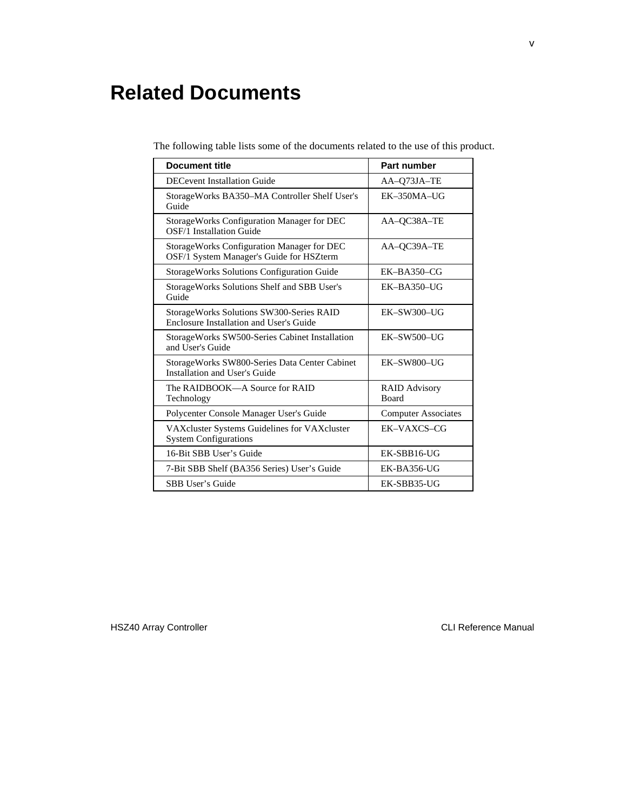## **Related Documents**

| <b>Document title</b>                                                                  | <b>Part number</b>                   |
|----------------------------------------------------------------------------------------|--------------------------------------|
| <b>DECevent Installation Guide</b>                                                     | AA-Q73JA-TE                          |
| StorageWorks BA350–MA Controller Shelf User's<br>Guide                                 | $EK-350MA-UG$                        |
| StorageWorks Configuration Manager for DEC<br>OSF/1 Installation Guide                 | AA-OC38A-TE                          |
| StorageWorks Configuration Manager for DEC<br>OSF/1 System Manager's Guide for HSZterm | AA-QC39A-TE                          |
| <b>StorageWorks Solutions Configuration Guide</b>                                      | $EK-BA350-CG$                        |
| StorageWorks Solutions Shelf and SBB User's<br>Guide                                   | $EK-BA350-UG$                        |
| StorageWorks Solutions SW300-Series RAID<br>Enclosure Installation and User's Guide    | $EK-SW300-UG$                        |
| Storage Works SW500-Series Cabinet Installation<br>and User's Guide                    | $EK-SW500-UG$                        |
| StorageWorks SW800-Series Data Center Cabinet<br>Installation and User's Guide         | EK-SW800-UG                          |
| The RAIDBOOK—A Source for RAID<br>Technology                                           | <b>RAID Advisory</b><br><b>Board</b> |
| Polycenter Console Manager User's Guide                                                | <b>Computer Associates</b>           |
| VAX cluster Systems Guidelines for VAX cluster<br><b>System Configurations</b>         | EK-VAXCS-CG                          |
| 16-Bit SBB User's Guide                                                                | EK-SBB16-UG                          |
| 7-Bit SBB Shelf (BA356 Series) User's Guide                                            | $EK-BA356-UG$                        |
| <b>SBB User's Guide</b>                                                                | EK-SBB35-UG                          |

The following table lists some of the documents related to the use of this product.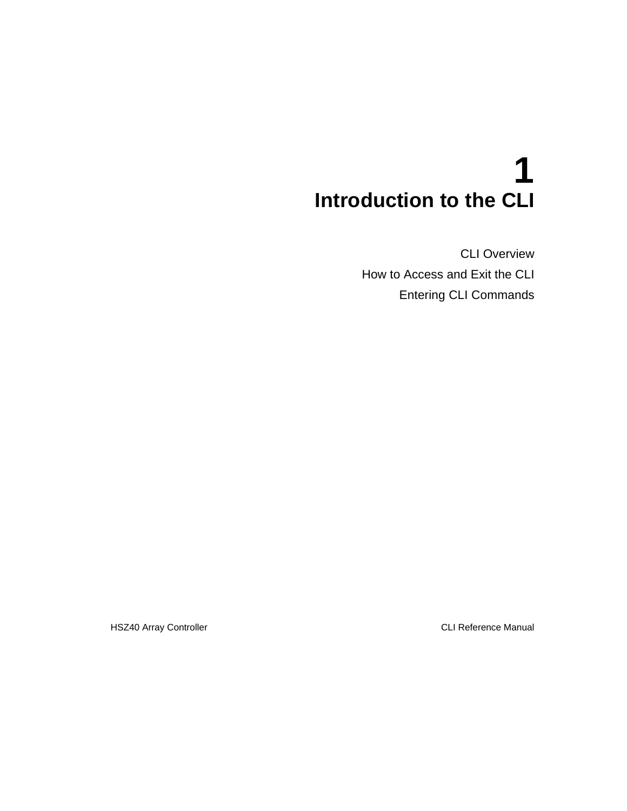# **1 Introduction to the CLI**

CLI Overview How to Access and Exit the CLI Entering CLI Commands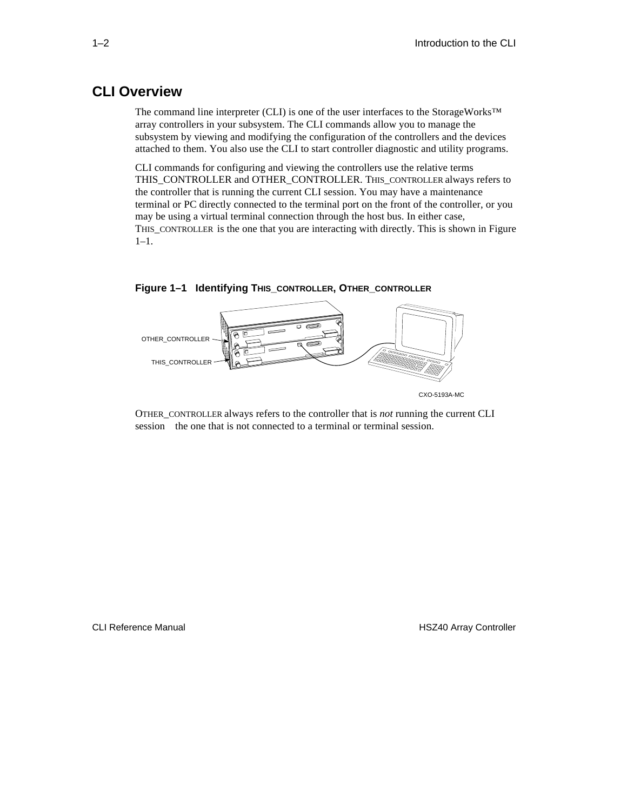## **CLI Overview**

The command line interpreter (CLI) is one of the user interfaces to the StorageWorks™ array controllers in your subsystem. The CLI commands allow you to manage the subsystem by viewing and modifying the configuration of the controllers and the devices attached to them. You also use the CLI to start controller diagnostic and utility programs.

CLI commands for configuring and viewing the controllers use the relative terms THIS\_CONTROLLER and OTHER\_CONTROLLER. THIS\_CONTROLLER always refers to the controller that is running the current CLI session. You may have a maintenance terminal or PC directly connected to the terminal port on the front of the controller, or you may be using a virtual terminal connection through the host bus. In either case, THIS\_CONTROLLER is the one that you are interacting with directly. This is shown in Figure 1–1.



**Figure 1–1 Identifying THIS\_CONTROLLER, OTHER\_CONTROLLER**

OTHER\_CONTROLLER always refers to the controller that is *not* running the current CLI session—the one that is not connected to a terminal or terminal session.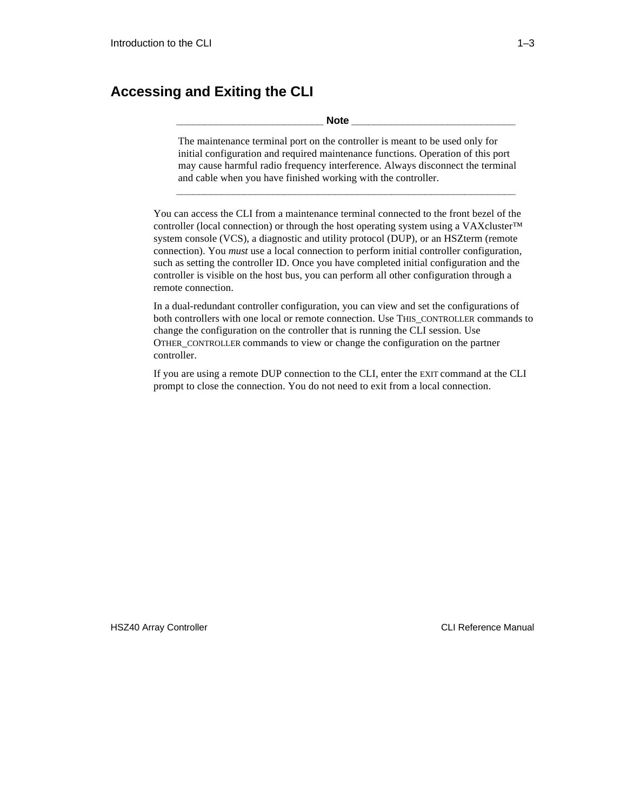## **Accessing and Exiting the CLI**

**\_\_\_\_\_\_\_\_\_\_\_\_\_\_\_\_\_\_\_\_\_\_\_\_\_\_ Note \_\_\_\_\_\_\_\_\_\_\_\_\_\_\_\_\_\_\_\_\_\_\_\_\_\_\_\_\_**

The maintenance terminal port on the controller is meant to be used only for initial configuration and required maintenance functions. Operation of this port may cause harmful radio frequency interference. Always disconnect the terminal and cable when you have finished working with the controller.

**\_\_\_\_\_\_\_\_\_\_\_\_\_\_\_\_\_\_\_\_\_\_\_\_\_\_\_\_\_\_\_\_\_\_\_\_\_\_\_\_\_\_\_\_\_\_\_\_\_\_\_\_\_\_\_\_\_\_\_\_**

You can access the CLI from a maintenance terminal connected to the front bezel of the controller (local connection) or through the host operating system using a VAXcluster™ system console (VCS), a diagnostic and utility protocol (DUP), or an HSZterm (remote connection). You *must* use a local connection to perform initial controller configuration, such as setting the controller ID. Once you have completed initial configuration and the controller is visible on the host bus, you can perform all other configuration through a remote connection.

In a dual-redundant controller configuration, you can view and set the configurations of both controllers with one local or remote connection. Use THIS\_CONTROLLER commands to change the configuration on the controller that is running the CLI session. Use OTHER\_CONTROLLER commands to view or change the configuration on the partner controller.

If you are using a remote DUP connection to the CLI, enter the EXIT command at the CLI prompt to close the connection. You do not need to exit from a local connection.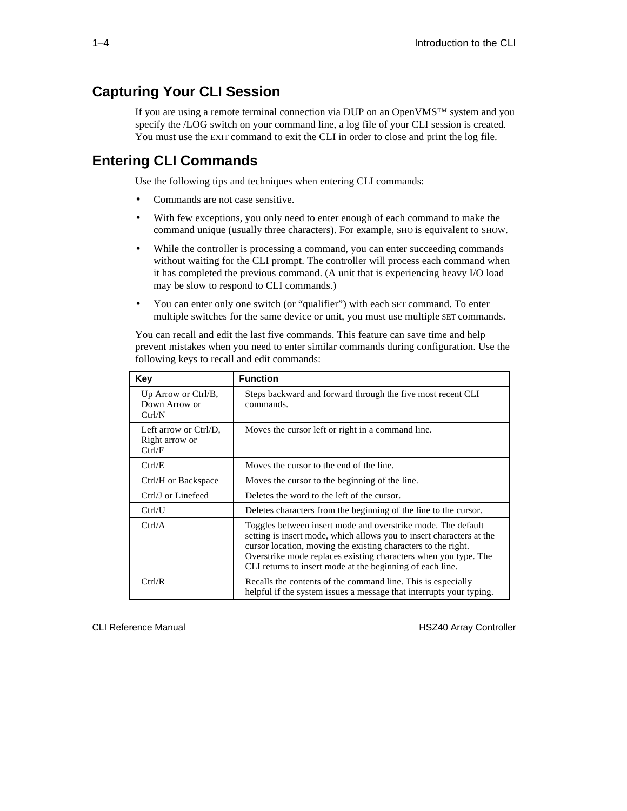## **Capturing Your CLI Session**

If you are using a remote terminal connection via DUP on an OpenVMS™ system and you specify the /LOG switch on your command line, a log file of your CLI session is created. You must use the EXIT command to exit the CLI in order to close and print the log file.

## **Entering CLI Commands**

Use the following tips and techniques when entering CLI commands:

- Commands are not case sensitive.
- With few exceptions, you only need to enter enough of each command to make the command unique (usually three characters). For example, SHO is equivalent to SHOW.
- While the controller is processing a command, you can enter succeeding commands without waiting for the CLI prompt. The controller will process each command when it has completed the previous command. (A unit that is experiencing heavy I/O load may be slow to respond to CLI commands.)
- You can enter only one switch (or "qualifier") with each SET command. To enter multiple switches for the same device or unit, you must use multiple SET commands.

You can recall and edit the last five commands. This feature can save time and help prevent mistakes when you need to enter similar commands during configuration. Use the following keys to recall and edit commands:

| <b>Key</b>                                        | <b>Function</b>                                                                                                                                                                                                                                                                                                                       |  |  |  |  |
|---------------------------------------------------|---------------------------------------------------------------------------------------------------------------------------------------------------------------------------------------------------------------------------------------------------------------------------------------------------------------------------------------|--|--|--|--|
| Up Arrow or $Ctrl/B$ ,<br>Down Arrow or<br>Ctrl/N | Steps backward and forward through the five most recent CLI<br>commands.                                                                                                                                                                                                                                                              |  |  |  |  |
| Left arrow or Ctrl/D,<br>Right arrow or<br>Ctrl/F | Moves the cursor left or right in a command line.                                                                                                                                                                                                                                                                                     |  |  |  |  |
| Ctrl/E                                            | Moves the cursor to the end of the line.                                                                                                                                                                                                                                                                                              |  |  |  |  |
| Ctrl/H or Backspace                               | Moves the cursor to the beginning of the line.                                                                                                                                                                                                                                                                                        |  |  |  |  |
| Ctrl/J or Linefeed                                | Deletes the word to the left of the cursor.                                                                                                                                                                                                                                                                                           |  |  |  |  |
| Ctrl/U                                            | Deletes characters from the beginning of the line to the cursor.                                                                                                                                                                                                                                                                      |  |  |  |  |
| Ctrl/A                                            | Toggles between insert mode and overstrike mode. The default<br>setting is insert mode, which allows you to insert characters at the<br>cursor location, moving the existing characters to the right.<br>Overstrike mode replaces existing characters when you type. The<br>CLI returns to insert mode at the beginning of each line. |  |  |  |  |
| Ctrl/R                                            | Recalls the contents of the command line. This is especially<br>helpful if the system issues a message that interrupts your typing.                                                                                                                                                                                                   |  |  |  |  |

CLI Reference Manual **HSZ40** Array Controller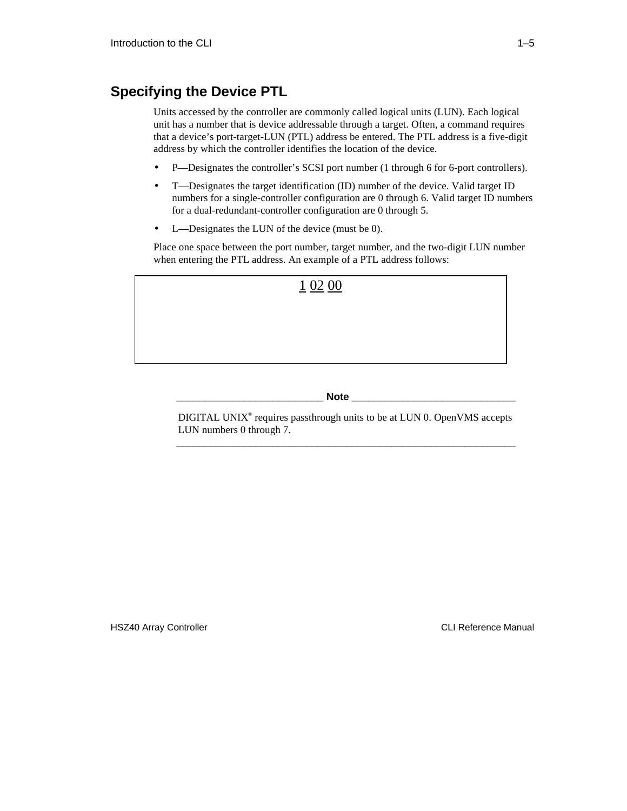## **Specifying the Device PTL**

Units accessed by the controller are commonly called logical units (LUN). Each logical unit has a number that is device addressable through a target. Often, a command requires that a device's port-target-LUN (PTL) address be entered. The PTL address is a five-digit address by which the controller identifies the location of the device.

- P—Designates the controller's SCSI port number (1 through 6 for 6-port controllers).
- T—Designates the target identification (ID) number of the device. Valid target ID numbers for a single-controller configuration are 0 through 6. Valid target ID numbers for a dual-redundant-controller configuration are 0 through 5.
- L—Designates the LUN of the device (must be 0).

Place one space between the port number, target number, and the two-digit LUN number when entering the PTL address. An example of a PTL address follows:



#### **\_\_\_\_\_\_\_\_\_\_\_\_\_\_\_\_\_\_\_\_\_\_\_\_\_\_ Note \_\_\_\_\_\_\_\_\_\_\_\_\_\_\_\_\_\_\_\_\_\_\_\_\_\_\_\_\_**

DIGITAL UNIX<sup>®</sup> requires passthrough units to be at LUN 0. OpenVMS accepts LUN numbers 0 through 7. **\_\_\_\_\_\_\_\_\_\_\_\_\_\_\_\_\_\_\_\_\_\_\_\_\_\_\_\_\_\_\_\_\_\_\_\_\_\_\_\_\_\_\_\_\_\_\_\_\_\_\_\_\_\_\_\_\_\_\_\_**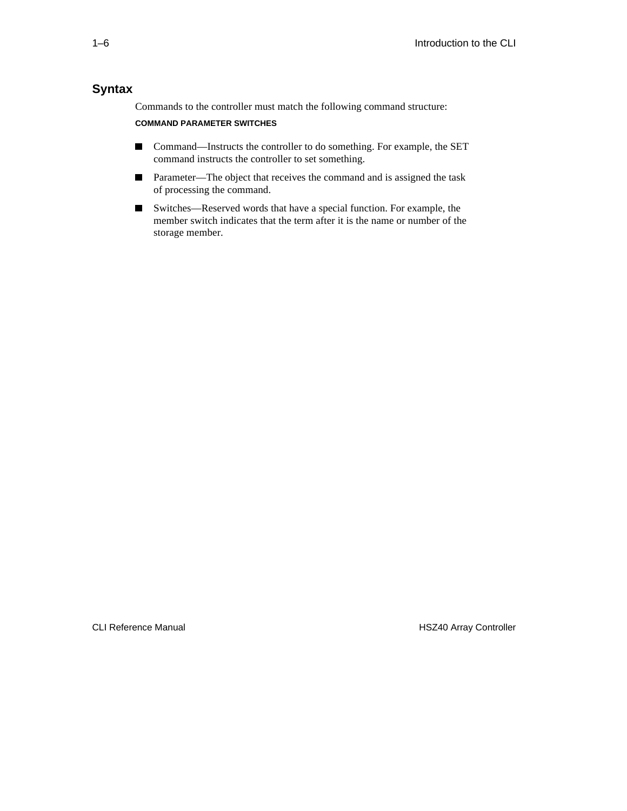### **Syntax**

Commands to the controller must match the following command structure:

#### **COMMAND PARAMETER SWITCHES**

- Command—Instructs the controller to do something. For example, the SET command instructs the controller to set something.
- Parameter—The object that receives the command and is assigned the task of processing the command.
- Switches—Reserved words that have a special function. For example, the member switch indicates that the term after it is the name or number of the storage member.

CLI Reference Manual **HSZ40** Array Controller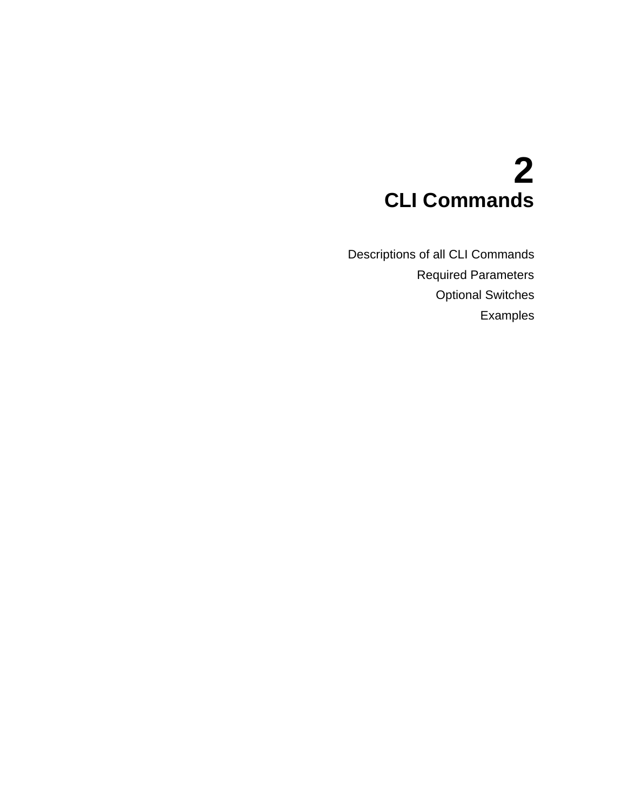# **2 CLI Commands**

Descriptions of all CLI Commands Required Parameters Optional Switches Examples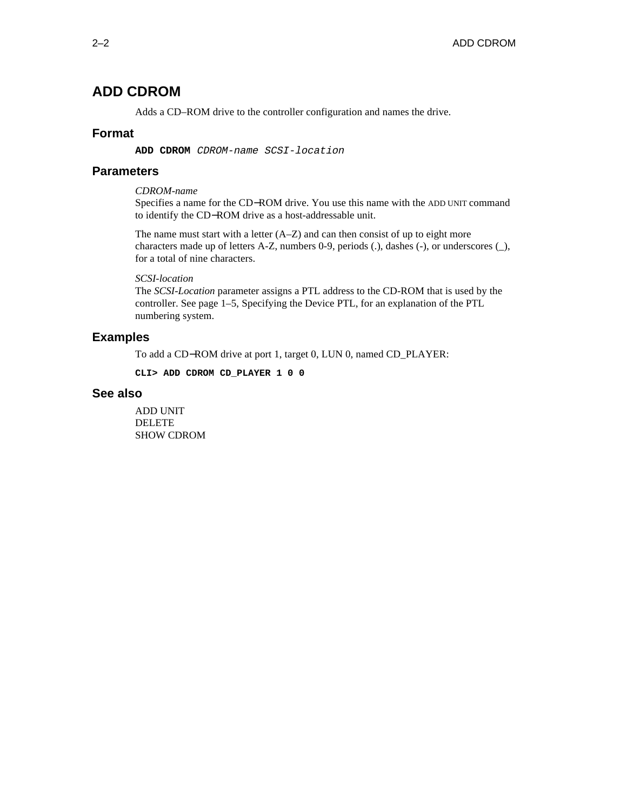## **ADD CDROM**

Adds a CD–ROM drive to the controller configuration and names the drive.

#### **Format**

**ADD CDROM** CDROM-name SCSI-location

#### **Parameters**

*CDROM-name*

Specifies a name for the CD−ROM drive. You use this name with the ADD UNIT command to identify the CD−ROM drive as a host-addressable unit.

The name must start with a letter  $(A-Z)$  and can then consist of up to eight more characters made up of letters A-Z, numbers 0-9, periods (.), dashes (-), or underscores (\_), for a total of nine characters.

#### *SCSI-location*

The *SCSI-Location* parameter assigns a PTL address to the CD-ROM that is used by the controller. See page 1–5, Specifying the Device PTL, for an explanation of the PTL numbering system.

#### **Examples**

To add a CD−ROM drive at port 1, target 0, LUN 0, named CD\_PLAYER:

**CLI> ADD CDROM CD\_PLAYER 1 0 0**

#### **See also**

ADD UNIT DELETE SHOW CDROM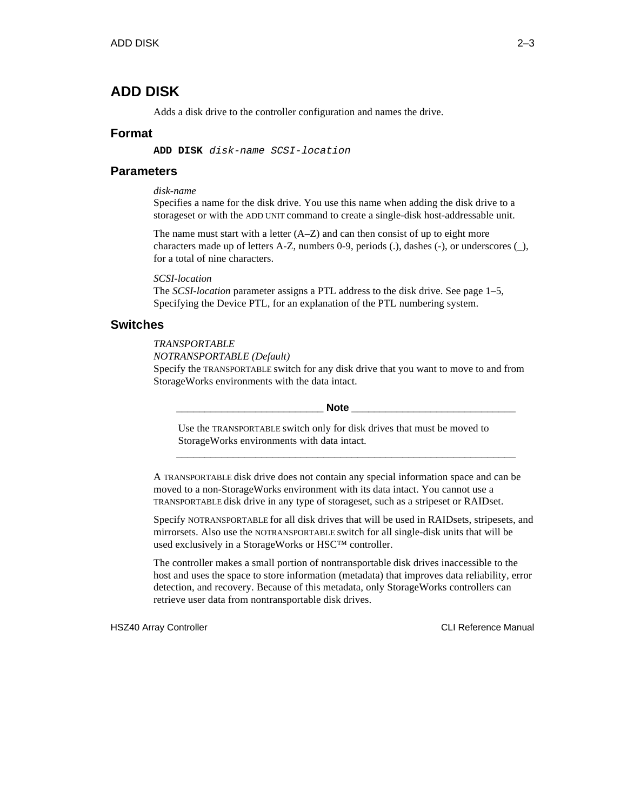## **ADD DISK**

Adds a disk drive to the controller configuration and names the drive.

#### **Format**

**ADD DISK** disk-name SCSI-location

#### **Parameters**

*disk-name*

Specifies a name for the disk drive. You use this name when adding the disk drive to a storageset or with the ADD UNIT command to create a single-disk host-addressable unit.

The name must start with a letter  $(A-Z)$  and can then consist of up to eight more characters made up of letters A-Z, numbers 0-9, periods (.), dashes (-), or underscores (\_), for a total of nine characters.

#### *SCSI-location*

The *SCSI-location* parameter assigns a PTL address to the disk drive. See page 1–5, Specifying the Device PTL, for an explanation of the PTL numbering system.

#### **Switches**

#### *TRANSPORTABLE*

*NOTRANSPORTABLE (Default)* Specify the TRANSPORTABLE switch for any disk drive that you want to move to and from StorageWorks environments with the data intact.

 $\bf Note$ 

Use the TRANSPORTABLE switch only for disk drives that must be moved to StorageWorks environments with data intact.

A TRANSPORTABLE disk drive does not contain any special information space and can be moved to a non-StorageWorks environment with its data intact. You cannot use a TRANSPORTABLE disk drive in any type of storageset, such as a stripeset or RAIDset.

**\_\_\_\_\_\_\_\_\_\_\_\_\_\_\_\_\_\_\_\_\_\_\_\_\_\_\_\_\_\_\_\_\_\_\_\_\_\_\_\_\_\_\_\_\_\_\_\_\_\_\_\_\_\_\_\_\_\_\_\_**

Specify NOTRANSPORTABLE for all disk drives that will be used in RAIDsets, stripesets, and mirrorsets. Also use the NOTRANSPORTABLE switch for all single-disk units that will be used exclusively in a StorageWorks or HSC™ controller.

The controller makes a small portion of nontransportable disk drives inaccessible to the host and uses the space to store information (metadata) that improves data reliability, error detection, and recovery. Because of this metadata, only StorageWorks controllers can retrieve user data from nontransportable disk drives.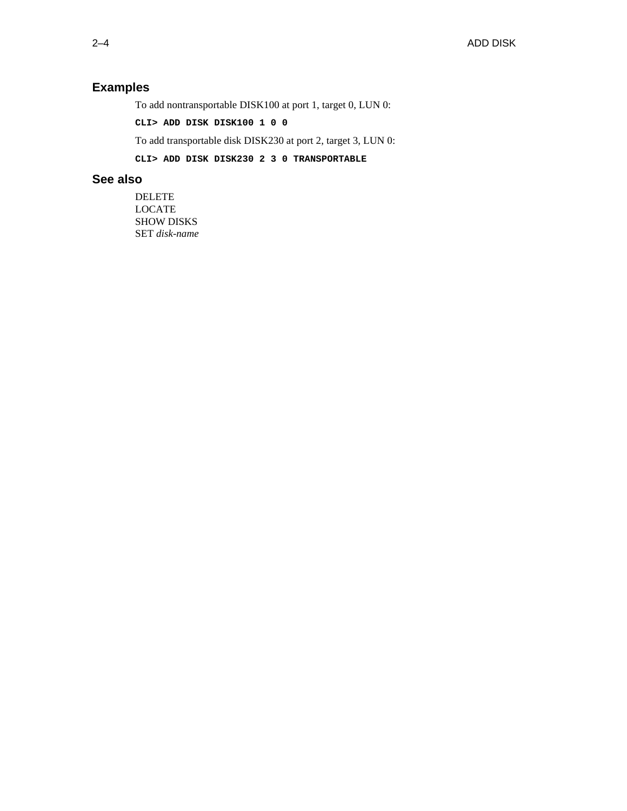## **Examples**

To add nontransportable DISK100 at port 1, target 0, LUN 0:

**CLI> ADD DISK DISK100 1 0 0**

To add transportable disk DISK230 at port 2, target 3, LUN 0:

**CLI> ADD DISK DISK230 2 3 0 TRANSPORTABLE**

#### **See also**

DELETE LOCATE SHOW DISKS SET *disk-name*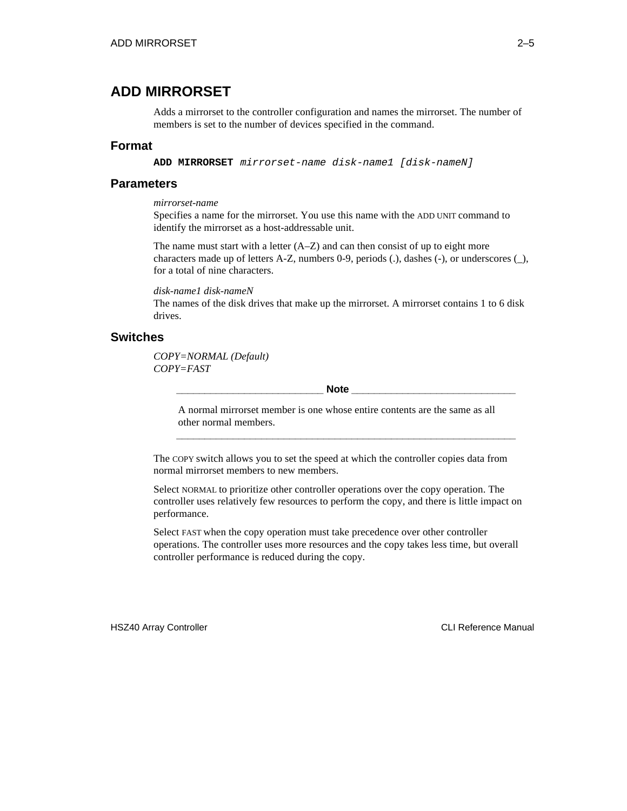### **ADD MIRRORSET**

Adds a mirrorset to the controller configuration and names the mirrorset. The number of members is set to the number of devices specified in the command.

#### **Format**

**ADD MIRRORSET** mirrorset-name disk-name1 [disk-nameN]

#### **Parameters**

#### *mirrorset-name*

Specifies a name for the mirrorset. You use this name with the ADD UNIT command to identify the mirrorset as a host-addressable unit.

The name must start with a letter  $(A-Z)$  and can then consist of up to eight more characters made up of letters A-Z, numbers 0-9, periods (.), dashes (-), or underscores (\_), for a total of nine characters.

*disk-name1 disk-nameN*

The names of the disk drives that make up the mirrorset. A mirrorset contains 1 to 6 disk drives.

#### **Switches**

*COPY=NORMAL (Default) COPY=FAST*

 $\bf Note$ 

A normal mirrorset member is one whose entire contents are the same as all other normal members.

**\_\_\_\_\_\_\_\_\_\_\_\_\_\_\_\_\_\_\_\_\_\_\_\_\_\_\_\_\_\_\_\_\_\_\_\_\_\_\_\_\_\_\_\_\_\_\_\_\_\_\_\_\_\_\_\_\_\_\_\_**

The COPY switch allows you to set the speed at which the controller copies data from normal mirrorset members to new members.

Select NORMAL to prioritize other controller operations over the copy operation. The controller uses relatively few resources to perform the copy, and there is little impact on performance.

Select FAST when the copy operation must take precedence over other controller operations. The controller uses more resources and the copy takes less time, but overall controller performance is reduced during the copy.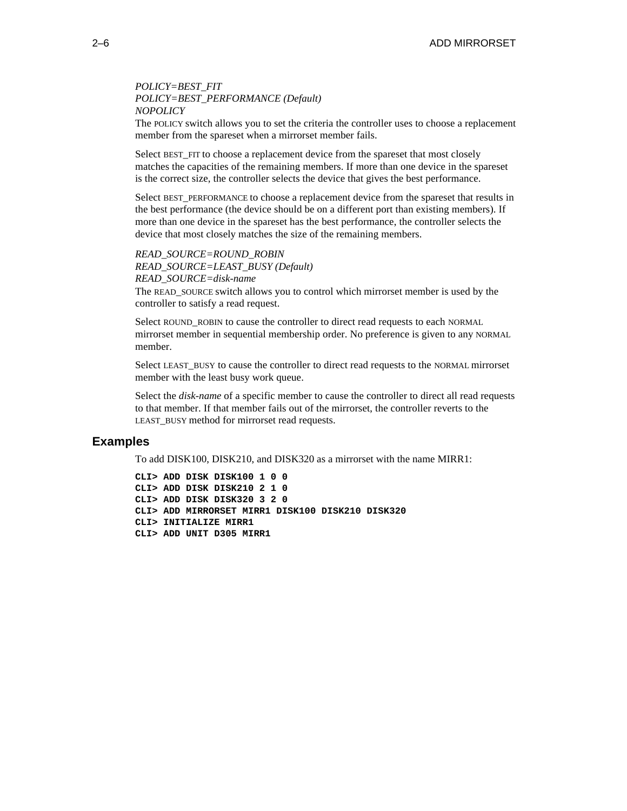*POLICY=BEST\_FIT POLICY=BEST\_PERFORMANCE (Default) NOPOLICY*

The POLICY switch allows you to set the criteria the controller uses to choose a replacement member from the spareset when a mirrorset member fails.

Select BEST FIT to choose a replacement device from the spareset that most closely matches the capacities of the remaining members. If more than one device in the spareset is the correct size, the controller selects the device that gives the best performance.

Select BEST\_PERFORMANCE to choose a replacement device from the spareset that results in the best performance (the device should be on a different port than existing members). If more than one device in the spareset has the best performance, the controller selects the device that most closely matches the size of the remaining members.

*READ\_SOURCE=ROUND\_ROBIN READ\_SOURCE=LEAST\_BUSY (Default) READ\_SOURCE=disk-name*

The READ\_SOURCE switch allows you to control which mirrorset member is used by the controller to satisfy a read request.

Select ROUND\_ROBIN to cause the controller to direct read requests to each NORMAL mirrorset member in sequential membership order. No preference is given to any NORMAL member.

Select LEAST\_BUSY to cause the controller to direct read requests to the NORMAL mirrorset member with the least busy work queue.

Select the *disk-name* of a specific member to cause the controller to direct all read requests to that member. If that member fails out of the mirrorset, the controller reverts to the LEAST BUSY method for mirrorset read requests.

#### **Examples**

To add DISK100, DISK210, and DISK320 as a mirrorset with the name MIRR1:

```
CLI> ADD DISK DISK100 1 0 0
CLI> ADD DISK DISK210 2 1 0
CLI> ADD DISK DISK320 3 2 0
CLI> ADD MIRRORSET MIRR1 DISK100 DISK210 DISK320
CLI> INITIALIZE MIRR1
CLI> ADD UNIT D305 MIRR1
```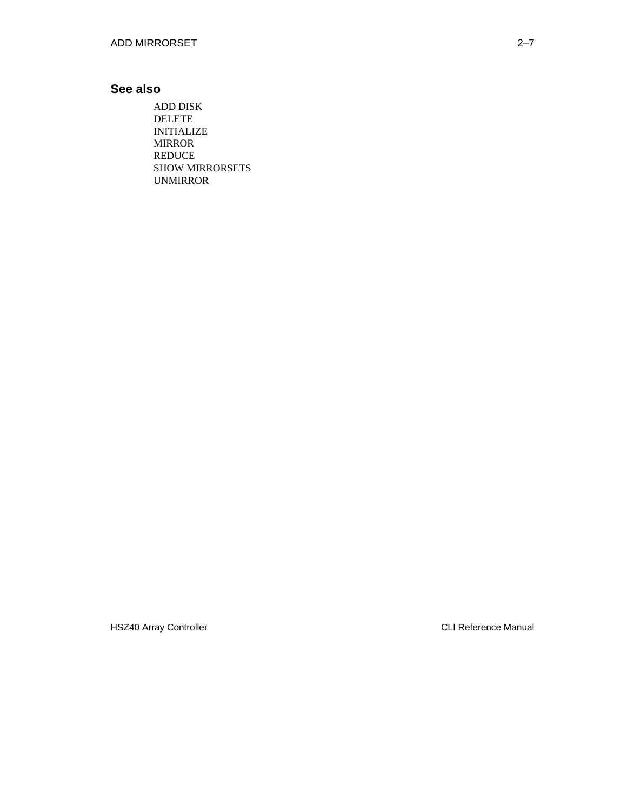### **See also**

ADD DISK DELETE INITIALIZE MIRROR REDUCE SHOW MIRRORSETS UNMIRROR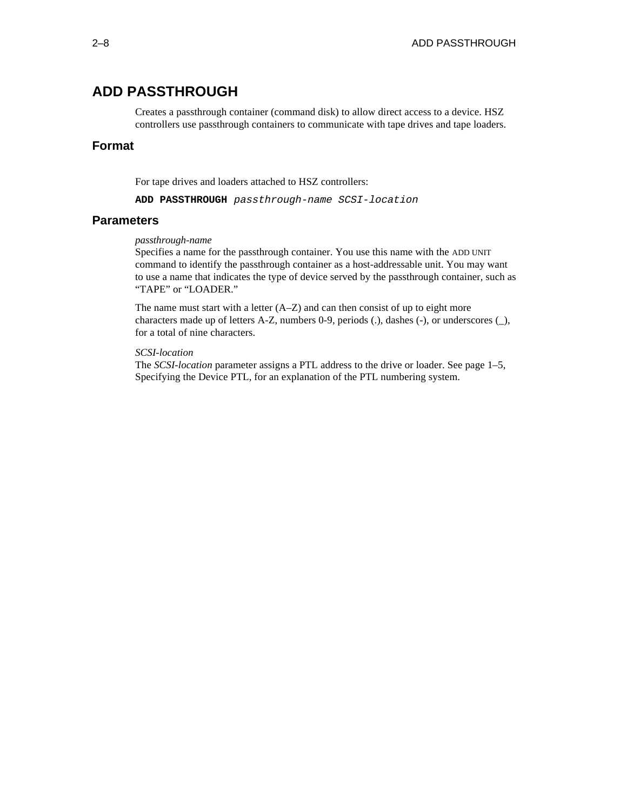## **ADD PASSTHROUGH**

Creates a passthrough container (command disk) to allow direct access to a device. HSZ controllers use passthrough containers to communicate with tape drives and tape loaders.

#### **Format**

For tape drives and loaders attached to HSZ controllers:

**ADD PASSTHROUGH** passthrough-name SCSI-location

#### **Parameters**

#### *passthrough-name*

Specifies a name for the passthrough container. You use this name with the ADD UNIT command to identify the passthrough container as a host-addressable unit. You may want to use a name that indicates the type of device served by the passthrough container, such as "TAPE" or "LOADER."

The name must start with a letter  $(A-Z)$  and can then consist of up to eight more characters made up of letters A-Z, numbers 0-9, periods (.), dashes (-), or underscores (\_), for a total of nine characters.

#### *SCSI-location*

The *SCSI-location* parameter assigns a PTL address to the drive or loader. See page 1–5, Specifying the Device PTL, for an explanation of the PTL numbering system.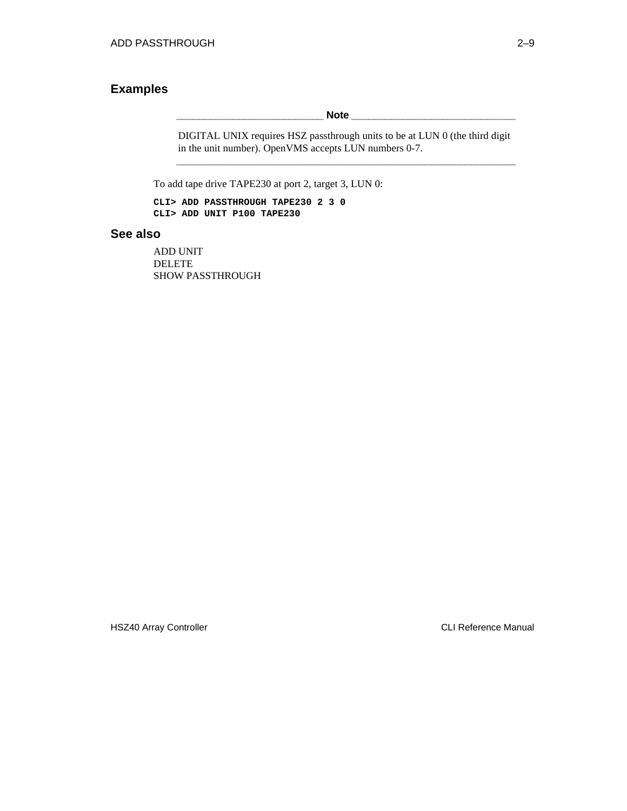### **Examples**

**Note**  $\blacksquare$ 

DIGITAL UNIX requires HSZ passthrough units to be at LUN 0 (the third digit in the unit number). OpenVMS accepts LUN numbers 0-7. **\_\_\_\_\_\_\_\_\_\_\_\_\_\_\_\_\_\_\_\_\_\_\_\_\_\_\_\_\_\_\_\_\_\_\_\_\_\_\_\_\_\_\_\_\_\_\_\_\_\_\_\_\_\_\_\_\_\_\_\_**

To add tape drive TAPE230 at port 2, target 3, LUN 0:

**CLI> ADD PASSTHROUGH TAPE230 2 3 0 CLI> ADD UNIT P100 TAPE230**

#### **See also**

ADD UNIT DELETE SHOW PASSTHROUGH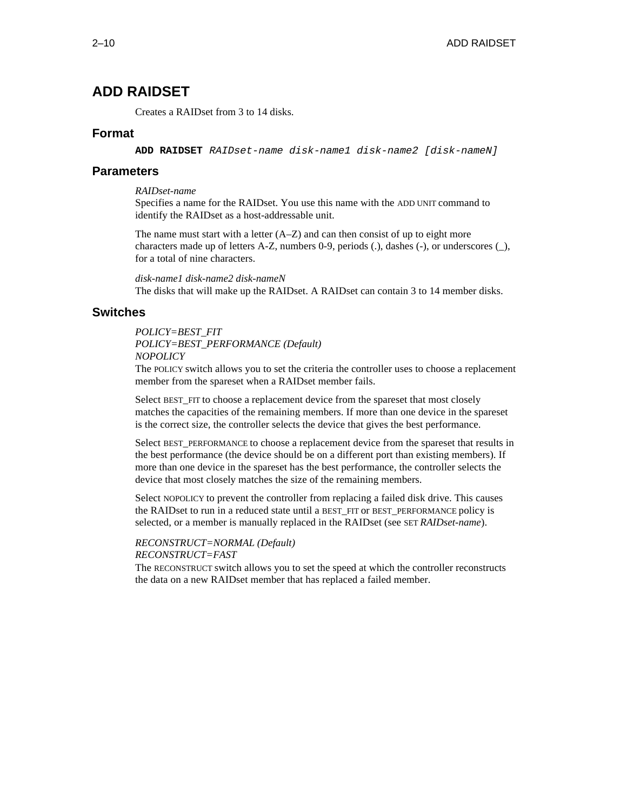## **ADD RAIDSET**

Creates a RAIDset from 3 to 14 disks.

#### **Format**

**ADD RAIDSET** RAIDset-name disk-name1 disk-name2 [disk-nameN]

#### **Parameters**

*RAIDset-name*

Specifies a name for the RAIDset. You use this name with the ADD UNIT command to identify the RAIDset as a host-addressable unit.

The name must start with a letter  $(A-Z)$  and can then consist of up to eight more characters made up of letters A-Z, numbers 0-9, periods (.), dashes (-), or underscores (\_), for a total of nine characters.

*disk-name1 disk-name2 disk-nameN* The disks that will make up the RAIDset. A RAIDset can contain 3 to 14 member disks.

#### **Switches**

#### *POLICY=BEST\_FIT POLICY=BEST\_PERFORMANCE (Default) NOPOLICY*

The POLICY switch allows you to set the criteria the controller uses to choose a replacement member from the spareset when a RAIDset member fails.

Select BEST FIT to choose a replacement device from the spareset that most closely matches the capacities of the remaining members. If more than one device in the spareset is the correct size, the controller selects the device that gives the best performance.

Select BEST\_PERFORMANCE to choose a replacement device from the spareset that results in the best performance (the device should be on a different port than existing members). If more than one device in the spareset has the best performance, the controller selects the device that most closely matches the size of the remaining members.

Select NOPOLICY to prevent the controller from replacing a failed disk drive. This causes the RAIDset to run in a reduced state until a BEST\_FIT or BEST\_PERFORMANCE policy is selected, or a member is manually replaced in the RAIDset (see SET *RAIDset-name*).

#### *RECONSTRUCT=NORMAL (Default)*

*RECONSTRUCT=FAST*

The RECONSTRUCT switch allows you to set the speed at which the controller reconstructs the data on a new RAIDset member that has replaced a failed member.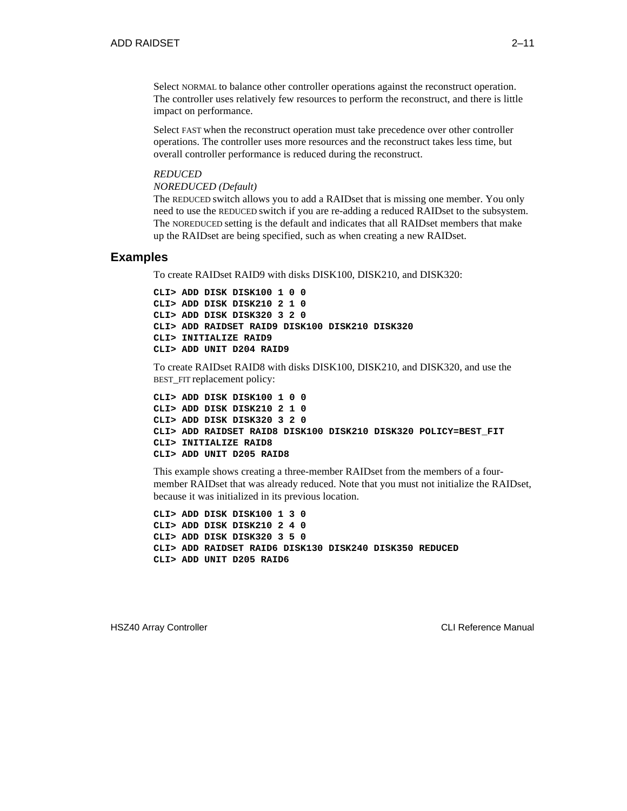Select NORMAL to balance other controller operations against the reconstruct operation. The controller uses relatively few resources to perform the reconstruct, and there is little impact on performance.

Select FAST when the reconstruct operation must take precedence over other controller operations. The controller uses more resources and the reconstruct takes less time, but overall controller performance is reduced during the reconstruct.

#### *REDUCED*

*NOREDUCED (Default)*

The REDUCED switch allows you to add a RAIDset that is missing one member. You only need to use the REDUCED switch if you are re-adding a reduced RAIDset to the subsystem. The NOREDUCED setting is the default and indicates that all RAIDset members that make up the RAIDset are being specified, such as when creating a new RAIDset.

#### **Examples**

To create RAIDset RAID9 with disks DISK100, DISK210, and DISK320:

```
CLI> ADD DISK DISK100 1 0 0
CLI> ADD DISK DISK210 2 1 0
CLI> ADD DISK DISK320 3 2 0
CLI> ADD RAIDSET RAID9 DISK100 DISK210 DISK320
CLI> INITIALIZE RAID9
CLI> ADD UNIT D204 RAID9
```
To create RAIDset RAID8 with disks DISK100, DISK210, and DISK320, and use the BEST\_FIT replacement policy:

```
CLI> ADD DISK DISK100 1 0 0
CLI> ADD DISK DISK210 2 1 0
CLI> ADD DISK DISK320 3 2 0
CLI> ADD RAIDSET RAID8 DISK100 DISK210 DISK320 POLICY=BEST_FIT
CLI> INITIALIZE RAID8
CLI> ADD UNIT D205 RAID8
```
This example shows creating a three-member RAIDset from the members of a fourmember RAIDset that was already reduced. Note that you must not initialize the RAIDset, because it was initialized in its previous location.

**CLI> ADD DISK DISK100 1 3 0 CLI> ADD DISK DISK210 2 4 0 CLI> ADD DISK DISK320 3 5 0 CLI> ADD RAIDSET RAID6 DISK130 DISK240 DISK350 REDUCED CLI> ADD UNIT D205 RAID6**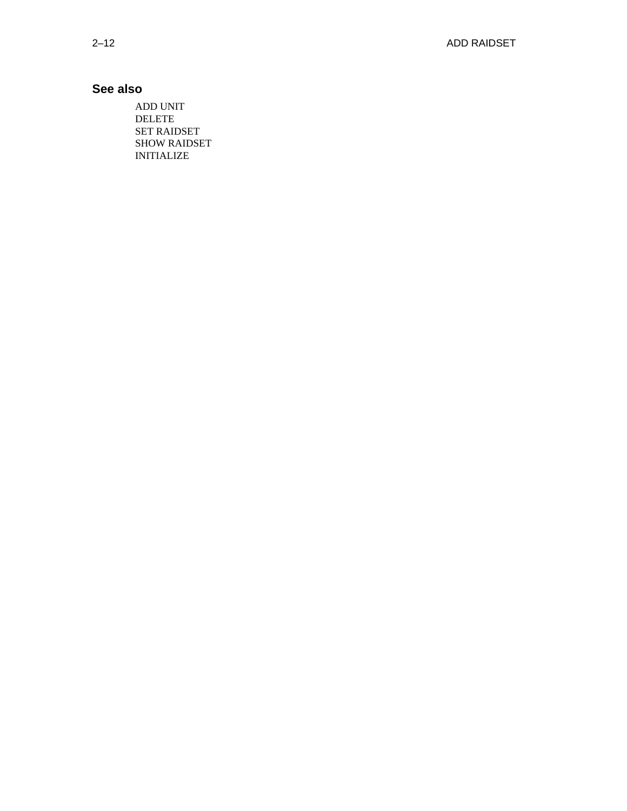## **See also**

ADD UNIT DELETE SET RAIDSET SHOW RAIDSET INITIALIZE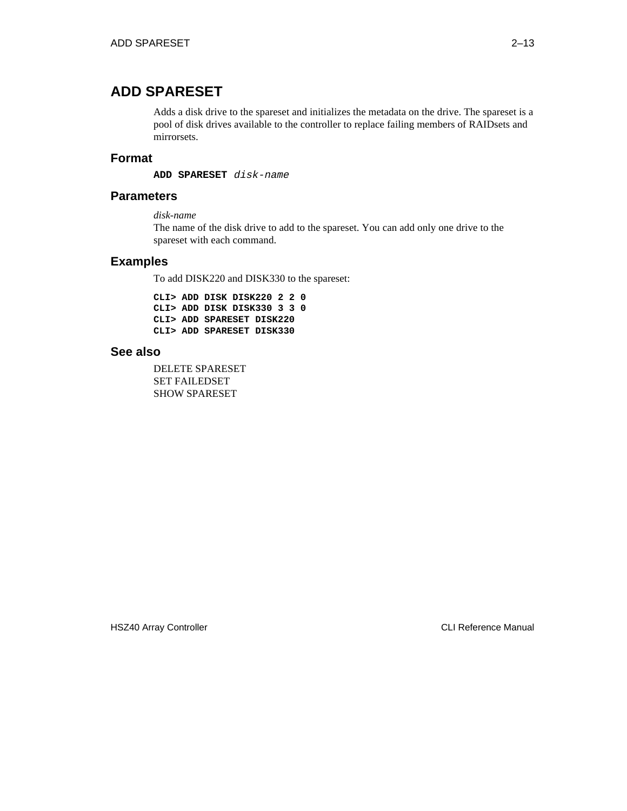## **ADD SPARESET**

Adds a disk drive to the spareset and initializes the metadata on the drive. The spareset is a pool of disk drives available to the controller to replace failing members of RAIDsets and mirrorsets.

#### **Format**

**ADD SPARESET** disk-name

#### **Parameters**

*disk-name*

The name of the disk drive to add to the spareset. You can add only one drive to the spareset with each command.

#### **Examples**

To add DISK220 and DISK330 to the spareset:

**CLI> ADD DISK DISK220 2 2 0 CLI> ADD DISK DISK330 3 3 0 CLI> ADD SPARESET DISK220 CLI> ADD SPARESET DISK330**

### **See also**

DELETE SPARESET SET FAILEDSET SHOW SPARESET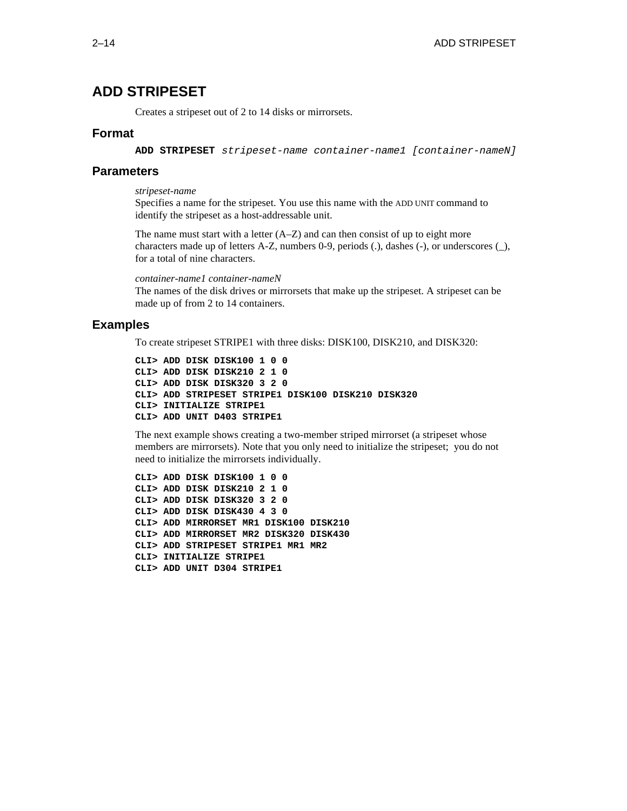## **ADD STRIPESET**

Creates a stripeset out of 2 to 14 disks or mirrorsets.

#### **Format**

**ADD STRIPESET** stripeset-name container-name1 [container-nameN]

#### **Parameters**

*stripeset-name*

Specifies a name for the stripeset. You use this name with the ADD UNIT command to identify the stripeset as a host-addressable unit.

The name must start with a letter  $(A-Z)$  and can then consist of up to eight more characters made up of letters A-Z, numbers 0-9, periods (.), dashes (-), or underscores (\_), for a total of nine characters.

*container-name1 container-nameN* The names of the disk drives or mirrorsets that make up the stripeset. A stripeset can be made up of from 2 to 14 containers.

#### **Examples**

To create stripeset STRIPE1 with three disks: DISK100, DISK210, and DISK320:

**CLI> ADD DISK DISK100 1 0 0 CLI> ADD DISK DISK210 2 1 0 CLI> ADD DISK DISK320 3 2 0 CLI> ADD STRIPESET STRIPE1 DISK100 DISK210 DISK320 CLI> INITIALIZE STRIPE1 CLI> ADD UNIT D403 STRIPE1**

The next example shows creating a two-member striped mirrorset (a stripeset whose members are mirrorsets). Note that you only need to initialize the stripeset; you do not need to initialize the mirrorsets individually.

**CLI> ADD DISK DISK100 1 0 0 CLI> ADD DISK DISK210 2 1 0 CLI> ADD DISK DISK320 3 2 0 CLI> ADD DISK DISK430 4 3 0 CLI> ADD MIRRORSET MR1 DISK100 DISK210 CLI> ADD MIRRORSET MR2 DISK320 DISK430 CLI> ADD STRIPESET STRIPE1 MR1 MR2 CLI> INITIALIZE STRIPE1 CLI> ADD UNIT D304 STRIPE1**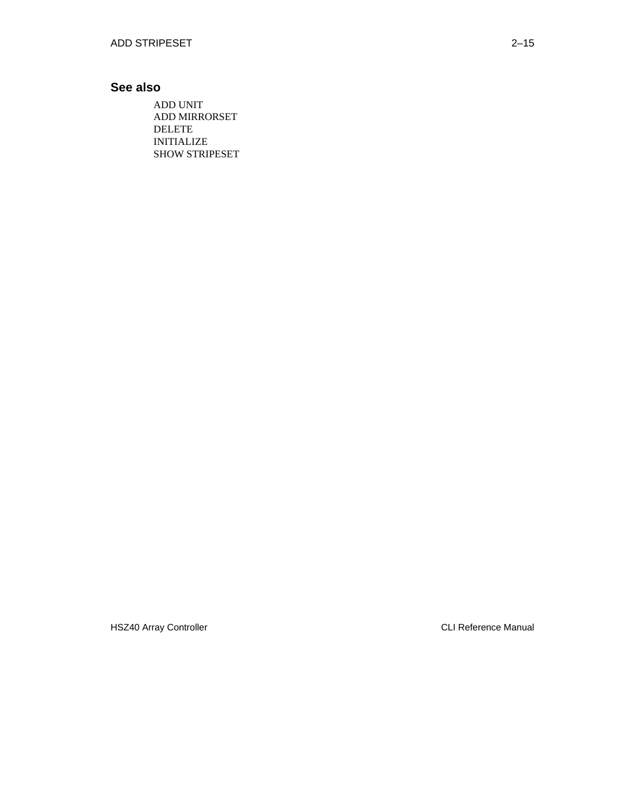## **See also**

ADD UNIT ADD MIRRORSET DELETE INITIALIZE SHOW STRIPESET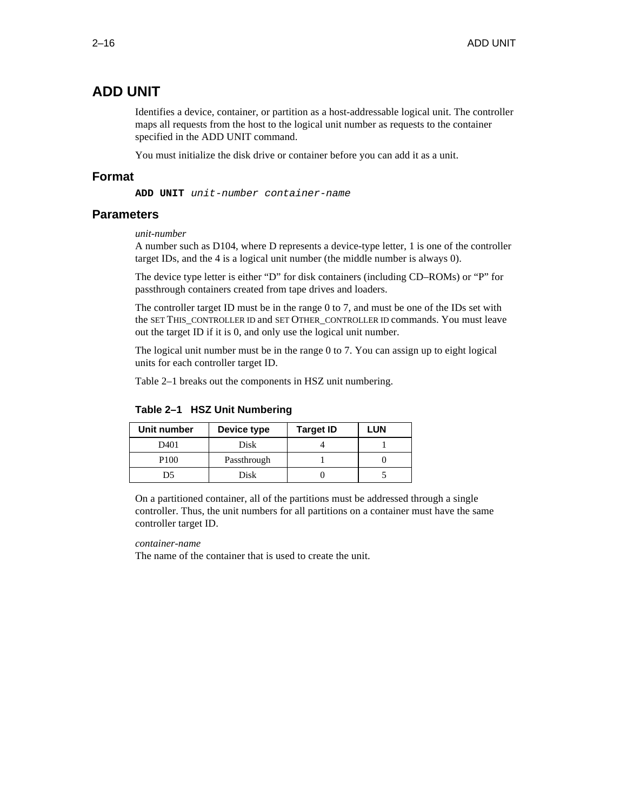## **ADD UNIT**

Identifies a device, container, or partition as a host-addressable logical unit. The controller maps all requests from the host to the logical unit number as requests to the container specified in the ADD UNIT command.

You must initialize the disk drive or container before you can add it as a unit.

#### **Format**

**ADD UNIT** unit-number container-name

#### **Parameters**

#### *unit-number*

A number such as D104, where D represents a device-type letter, 1 is one of the controller target IDs, and the 4 is a logical unit number (the middle number is always 0).

The device type letter is either "D" for disk containers (including CD–ROMs) or "P" for passthrough containers created from tape drives and loaders.

The controller target ID must be in the range 0 to 7, and must be one of the IDs set with the SET THIS\_CONTROLLER ID and SET OTHER\_CONTROLLER ID commands. You must leave out the target ID if it is 0, and only use the logical unit number.

The logical unit number must be in the range 0 to 7. You can assign up to eight logical units for each controller target ID.

Table 2–1 breaks out the components in HSZ unit numbering.

| Unit number      | Device type | <b>Target ID</b> | LUN |
|------------------|-------------|------------------|-----|
| D401             | Disk        |                  |     |
| P <sub>100</sub> | Passthrough |                  |     |
| D5               | Disk        |                  |     |

#### **Table 2–1 HSZ Unit Numbering**

On a partitioned container, all of the partitions must be addressed through a single controller. Thus, the unit numbers for all partitions on a container must have the same controller target ID.

#### *container-name*

The name of the container that is used to create the unit.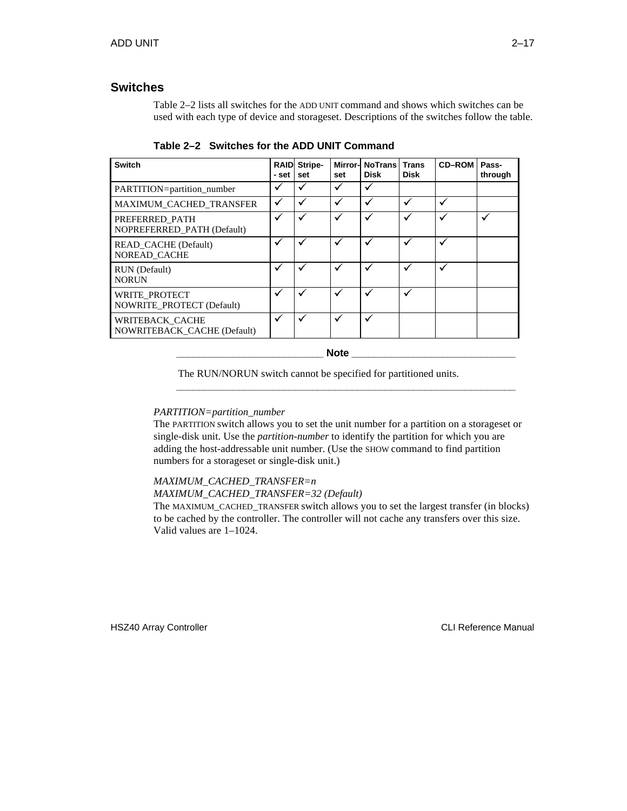#### **Switches**

Table 2–2 lists all switches for the ADD UNIT command and shows which switches can be used with each type of device and storageset. Descriptions of the switches follow the table.

| <b>Switch</b>                                         | <b>RAIDI</b><br>- set | Stripe-<br>set | set | Mirror- NoTrans<br>Disk | <b>Trans</b><br>Disk | <b>CD-ROM</b> | Pass-<br>through |
|-------------------------------------------------------|-----------------------|----------------|-----|-------------------------|----------------------|---------------|------------------|
| PARTITION=partition_number                            | ✓                     |                |     |                         |                      |               |                  |
| MAXIMUM CACHED TRANSFER                               | √                     | $\checkmark$   | ✓   |                         | ✓                    | V             |                  |
| PREFERRED PATH<br>NOPREFERRED PATH (Default)          | ✓                     |                | ✓   |                         | ✓                    | M             | M                |
| READ CACHE (Default)<br>NOREAD CACHE                  | √                     |                |     |                         | ✓                    | v             |                  |
| RUN (Default)<br><b>NORUN</b>                         | ✓                     |                |     |                         | ✓                    | V             |                  |
| WRITE PROTECT<br><b>NOWRITE PROTECT (Default)</b>     | ✔                     |                |     |                         |                      |               |                  |
| WRITEBACK_CACHE<br><b>NOWRITEBACK CACHE (Default)</b> | ✓                     |                |     |                         |                      |               |                  |

**Table 2–2 Switches for the ADD UNIT Command**

**\_\_\_\_\_\_\_\_\_\_\_\_\_\_\_\_\_\_\_\_\_\_\_\_\_\_ Note \_\_\_\_\_\_\_\_\_\_\_\_\_\_\_\_\_\_\_\_\_\_\_\_\_\_\_\_\_**

**\_\_\_\_\_\_\_\_\_\_\_\_\_\_\_\_\_\_\_\_\_\_\_\_\_\_\_\_\_\_\_\_\_\_\_\_\_\_\_\_\_\_\_\_\_\_\_\_\_\_\_\_\_\_\_\_\_\_\_\_**

The RUN/NORUN switch cannot be specified for partitioned units.

#### *PARTITION=partition\_number*

The PARTITION switch allows you to set the unit number for a partition on a storageset or single-disk unit. Use the *partition-number* to identify the partition for which you are adding the host-addressable unit number. (Use the SHOW command to find partition numbers for a storageset or single-disk unit.)

#### *MAXIMUM\_CACHED\_TRANSFER=n*

*MAXIMUM\_CACHED\_TRANSFER=32 (Default)*

The MAXIMUM\_CACHED\_TRANSFER switch allows you to set the largest transfer (in blocks) to be cached by the controller. The controller will not cache any transfers over this size. Valid values are 1–1024.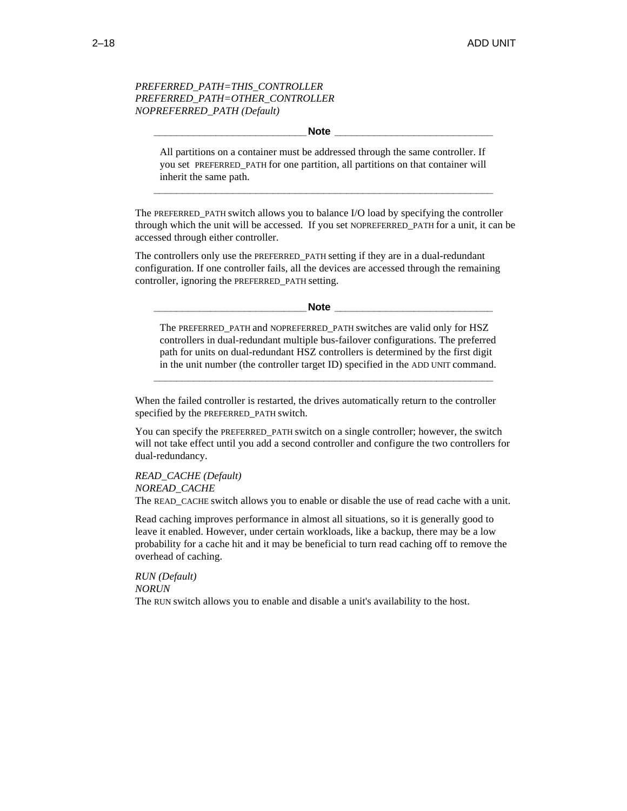#### *PREFERRED\_PATH=THIS\_CONTROLLER PREFERRED\_PATH=OTHER\_CONTROLLER NOPREFERRED\_PATH (Default)*

#### **\_\_\_\_\_\_\_\_\_\_\_\_\_\_\_\_\_\_\_\_\_\_\_\_\_\_\_Note \_\_\_\_\_\_\_\_\_\_\_\_\_\_\_\_\_\_\_\_\_\_\_\_\_\_\_\_**

All partitions on a container must be addressed through the same controller. If you set PREFERRED\_PATH for one partition, all partitions on that container will inherit the same path.

**\_\_\_\_\_\_\_\_\_\_\_\_\_\_\_\_\_\_\_\_\_\_\_\_\_\_\_\_\_\_\_\_\_\_\_\_\_\_\_\_\_\_\_\_\_\_\_\_\_\_\_\_\_\_\_\_\_\_\_\_**

The PREFERRED\_PATH switch allows you to balance I/O load by specifying the controller through which the unit will be accessed. If you set NOPREFERRED\_PATH for a unit, it can be accessed through either controller.

The controllers only use the PREFERRED\_PATH setting if they are in a dual-redundant configuration. If one controller fails, all the devices are accessed through the remaining controller, ignoring the PREFERRED\_PATH setting.

**Note Letters** 

The PREFERRED PATH and NOPREFERRED PATH switches are valid only for HSZ controllers in dual-redundant multiple bus-failover configurations. The preferred path for units on dual-redundant HSZ controllers is determined by the first digit in the unit number (the controller target ID) specified in the ADD UNIT command.

**\_\_\_\_\_\_\_\_\_\_\_\_\_\_\_\_\_\_\_\_\_\_\_\_\_\_\_\_\_\_\_\_\_\_\_\_\_\_\_\_\_\_\_\_\_\_\_\_\_\_\_\_\_\_\_\_\_\_\_\_**

When the failed controller is restarted, the drives automatically return to the controller specified by the PREFERRED\_PATH switch.

You can specify the PREFERRED\_PATH switch on a single controller; however, the switch will not take effect until you add a second controller and configure the two controllers for dual-redundancy.

*READ\_CACHE (Default) NOREAD\_CACHE*

The READ\_CACHE switch allows you to enable or disable the use of read cache with a unit.

Read caching improves performance in almost all situations, so it is generally good to leave it enabled. However, under certain workloads, like a backup, there may be a low probability for a cache hit and it may be beneficial to turn read caching off to remove the overhead of caching.

*RUN (Default) NORUN* The RUN switch allows you to enable and disable a unit's availability to the host.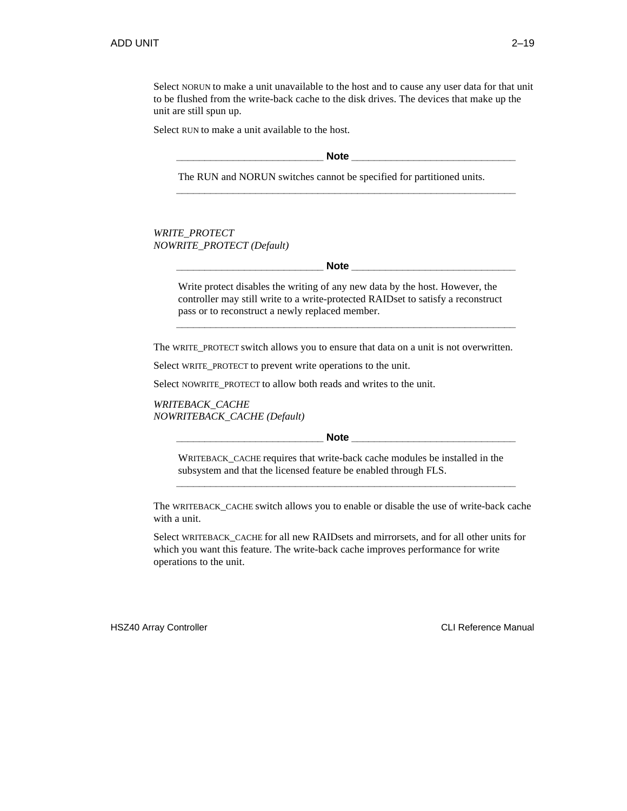Select NORUN to make a unit unavailable to the host and to cause any user data for that unit to be flushed from the write-back cache to the disk drives. The devices that make up the unit are still spun up.

Select RUN to make a unit available to the host.

**\_\_\_\_\_\_\_\_\_\_\_\_\_\_\_\_\_\_\_\_\_\_\_\_\_\_ Note \_\_\_\_\_\_\_\_\_\_\_\_\_\_\_\_\_\_\_\_\_\_\_\_\_\_\_\_\_**

**\_\_\_\_\_\_\_\_\_\_\_\_\_\_\_\_\_\_\_\_\_\_\_\_\_\_\_\_\_\_\_\_\_\_\_\_\_\_\_\_\_\_\_\_\_\_\_\_\_\_\_\_\_\_\_\_\_\_\_\_**

The RUN and NORUN switches cannot be specified for partitioned units.

*WRITE\_PROTECT NOWRITE\_PROTECT (Default)*

**Note**  $\blacksquare$ 

Write protect disables the writing of any new data by the host. However, the controller may still write to a write-protected RAIDset to satisfy a reconstruct pass or to reconstruct a newly replaced member.

**\_\_\_\_\_\_\_\_\_\_\_\_\_\_\_\_\_\_\_\_\_\_\_\_\_\_\_\_\_\_\_\_\_\_\_\_\_\_\_\_\_\_\_\_\_\_\_\_\_\_\_\_\_\_\_\_\_\_\_\_**

The WRITE\_PROTECT switch allows you to ensure that data on a unit is not overwritten.

Select WRITE\_PROTECT to prevent write operations to the unit.

Select NOWRITE\_PROTECT to allow both reads and writes to the unit.

*WRITEBACK\_CACHE NOWRITEBACK\_CACHE (Default)*

**Note**  $\blacksquare$ 

WRITEBACK\_CACHE requires that write-back cache modules be installed in the subsystem and that the licensed feature be enabled through FLS.

The WRITEBACK\_CACHE switch allows you to enable or disable the use of write-back cache with a unit.

**\_\_\_\_\_\_\_\_\_\_\_\_\_\_\_\_\_\_\_\_\_\_\_\_\_\_\_\_\_\_\_\_\_\_\_\_\_\_\_\_\_\_\_\_\_\_\_\_\_\_\_\_\_\_\_\_\_\_\_\_**

Select WRITEBACK\_CACHE for all new RAIDsets and mirrorsets, and for all other units for which you want this feature. The write-back cache improves performance for write operations to the unit.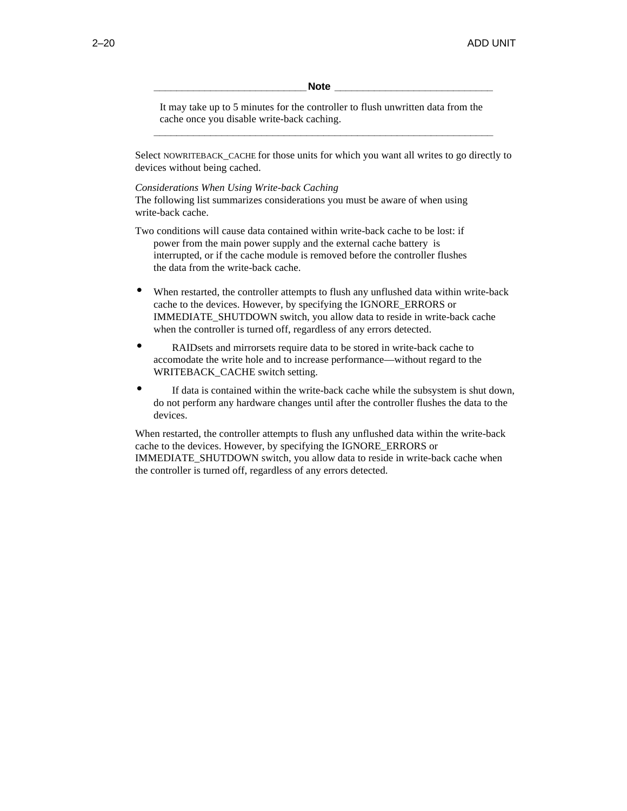#### **\_\_\_\_\_\_\_\_\_\_\_\_\_\_\_\_\_\_\_\_\_\_\_\_\_\_\_Note \_\_\_\_\_\_\_\_\_\_\_\_\_\_\_\_\_\_\_\_\_\_\_\_\_\_\_\_**

It may take up to 5 minutes for the controller to flush unwritten data from the cache once you disable write-back caching. **\_\_\_\_\_\_\_\_\_\_\_\_\_\_\_\_\_\_\_\_\_\_\_\_\_\_\_\_\_\_\_\_\_\_\_\_\_\_\_\_\_\_\_\_\_\_\_\_\_\_\_\_\_\_\_\_\_\_\_\_**

Select NOWRITEBACK\_CACHE for those units for which you want all writes to go directly to devices without being cached.

#### *Considerations When Using Write-back Caching*

The following list summarizes considerations you must be aware of when using write-back cache.

Two conditions will cause data contained within write-back cache to be lost: if power from the main power supply and the external cache battery is interrupted, or if the cache module is removed before the controller flushes the data from the write-back cache.

- When restarted, the controller attempts to flush any unflushed data within write-back cache to the devices. However, by specifying the IGNORE\_ERRORS or IMMEDIATE\_SHUTDOWN switch, you allow data to reside in write-back cache when the controller is turned off, regardless of any errors detected.
- RAIDsets and mirrorsets require data to be stored in write-back cache to accomodate the write hole and to increase performance—without regard to the WRITEBACK\_CACHE switch setting.
- If data is contained within the write-back cache while the subsystem is shut down, do not perform any hardware changes until after the controller flushes the data to the devices.

When restarted, the controller attempts to flush any unflushed data within the write-back cache to the devices. However, by specifying the IGNORE\_ERRORS or IMMEDIATE\_SHUTDOWN switch, you allow data to reside in write-back cache when the controller is turned off, regardless of any errors detected.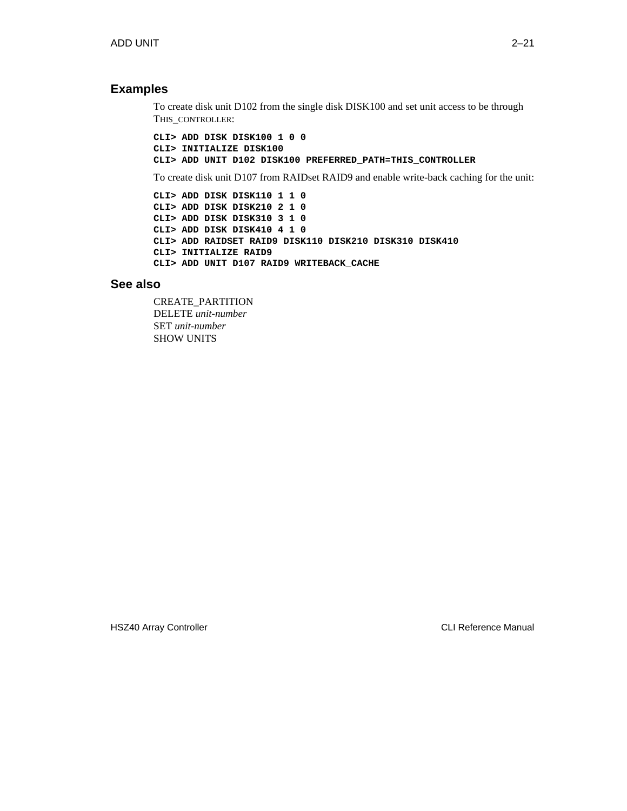#### **Examples**

To create disk unit D102 from the single disk DISK100 and set unit access to be through THIS\_CONTROLLER:

**CLI> ADD DISK DISK100 1 0 0 CLI> INITIALIZE DISK100 CLI> ADD UNIT D102 DISK100 PREFERRED\_PATH=THIS\_CONTROLLER**

To create disk unit D107 from RAIDset RAID9 and enable write-back caching for the unit:

```
CLI> ADD DISK DISK110 1 1 0
CLI> ADD DISK DISK210 2 1 0
CLI> ADD DISK DISK310 3 1 0
CLI> ADD DISK DISK410 4 1 0
CLI> ADD RAIDSET RAID9 DISK110 DISK210 DISK310 DISK410
CLI> INITIALIZE RAID9
CLI> ADD UNIT D107 RAID9 WRITEBACK_CACHE
```
#### **See also**

CREATE\_PARTITION DELETE *unit-number* SET *unit-number* SHOW UNITS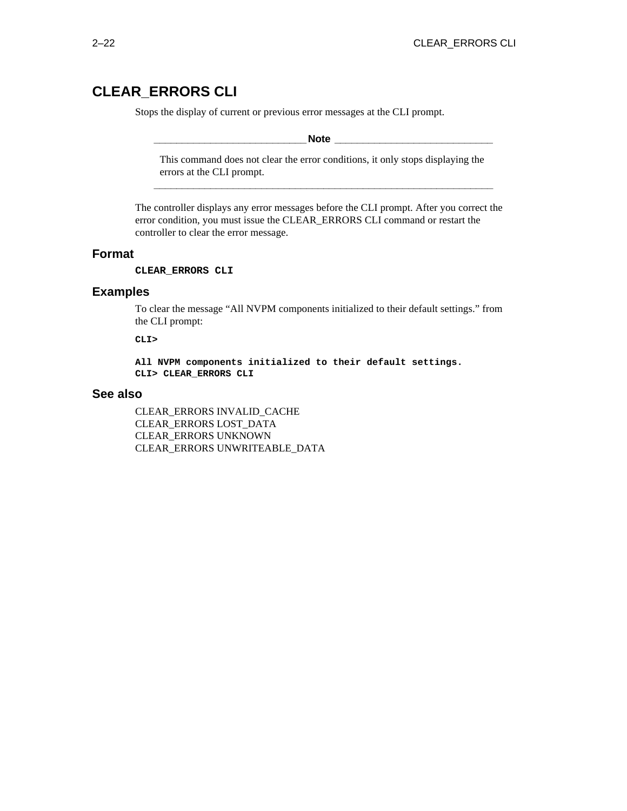## **CLEAR\_ERRORS CLI**

Stops the display of current or previous error messages at the CLI prompt.

**\_\_\_\_\_\_\_\_\_\_\_\_\_\_\_\_\_\_\_\_\_\_\_\_\_\_\_Note \_\_\_\_\_\_\_\_\_\_\_\_\_\_\_\_\_\_\_\_\_\_\_\_\_\_\_\_**

This command does not clear the error conditions, it only stops displaying the errors at the CLI prompt. **\_\_\_\_\_\_\_\_\_\_\_\_\_\_\_\_\_\_\_\_\_\_\_\_\_\_\_\_\_\_\_\_\_\_\_\_\_\_\_\_\_\_\_\_\_\_\_\_\_\_\_\_\_\_\_\_\_\_\_\_**

The controller displays any error messages before the CLI prompt. After you correct the error condition, you must issue the CLEAR\_ERRORS CLI command or restart the controller to clear the error message.

#### **Format**

**CLEAR\_ERRORS CLI**

#### **Examples**

To clear the message "All NVPM components initialized to their default settings." from the CLI prompt:

**CLI>**

**All NVPM components initialized to their default settings. CLI> CLEAR\_ERRORS CLI**

#### **See also**

CLEAR\_ERRORS INVALID\_CACHE CLEAR\_ERRORS LOST\_DATA CLEAR\_ERRORS UNKNOWN CLEAR\_ERRORS UNWRITEABLE\_DATA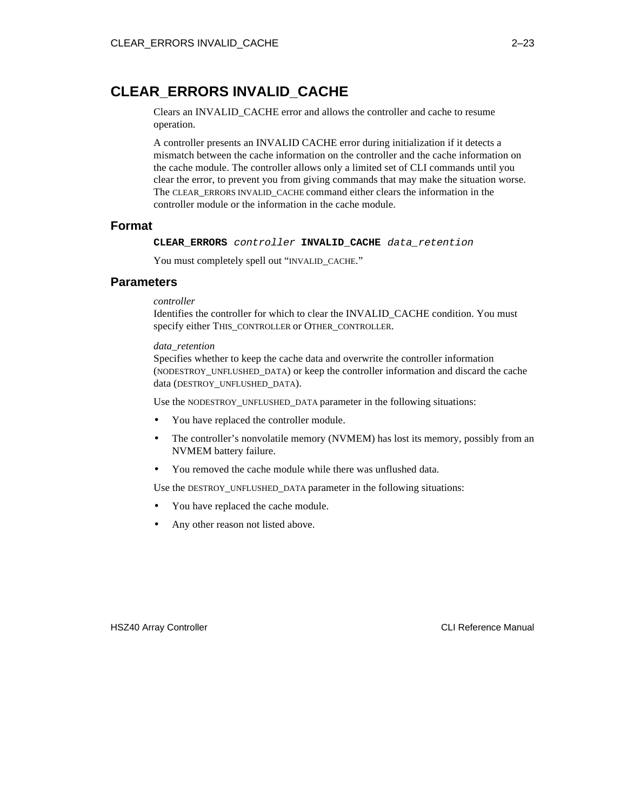## **CLEAR\_ERRORS INVALID\_CACHE**

Clears an INVALID\_CACHE error and allows the controller and cache to resume operation.

A controller presents an INVALID CACHE error during initialization if it detects a mismatch between the cache information on the controller and the cache information on the cache module. The controller allows only a limited set of CLI commands until you clear the error, to prevent you from giving commands that may make the situation worse. The CLEAR\_ERRORS INVALID\_CACHE command either clears the information in the controller module or the information in the cache module.

#### **Format**

**CLEAR\_ERRORS** controller **INVALID\_CACHE** data\_retention

You must completely spell out "INVALID\_CACHE."

#### **Parameters**

*controller*

Identifies the controller for which to clear the INVALID\_CACHE condition. You must specify either THIS\_CONTROLLER or OTHER\_CONTROLLER.

#### *data\_retention*

Specifies whether to keep the cache data and overwrite the controller information (NODESTROY\_UNFLUSHED\_DATA) or keep the controller information and discard the cache data (DESTROY\_UNFLUSHED\_DATA).

Use the NODESTROY\_UNFLUSHED\_DATA parameter in the following situations:

- You have replaced the controller module.
- The controller's nonvolatile memory (NVMEM) has lost its memory, possibly from an NVMEM battery failure.
- You removed the cache module while there was unflushed data.

Use the DESTROY\_UNFLUSHED\_DATA parameter in the following situations:

- You have replaced the cache module.
- Any other reason not listed above.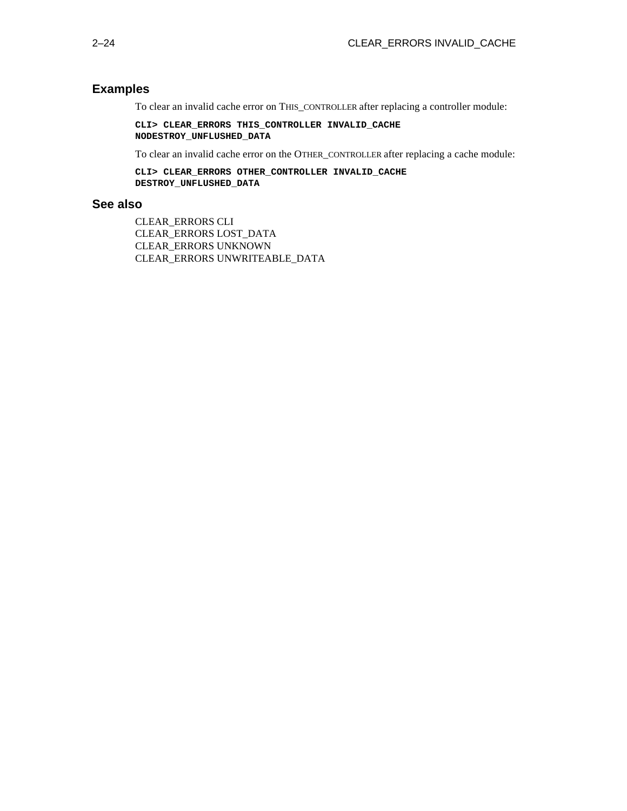### **Examples**

To clear an invalid cache error on THIS\_CONTROLLER after replacing a controller module:

**CLI> CLEAR\_ERRORS THIS\_CONTROLLER INVALID\_CACHE NODESTROY\_UNFLUSHED\_DATA**

To clear an invalid cache error on the OTHER\_CONTROLLER after replacing a cache module:

**CLI> CLEAR\_ERRORS OTHER\_CONTROLLER INVALID\_CACHE DESTROY\_UNFLUSHED\_DATA**

#### **See also**

CLEAR\_ERRORS CLI CLEAR\_ERRORS LOST\_DATA CLEAR\_ERRORS UNKNOWN CLEAR\_ERRORS UNWRITEABLE\_DATA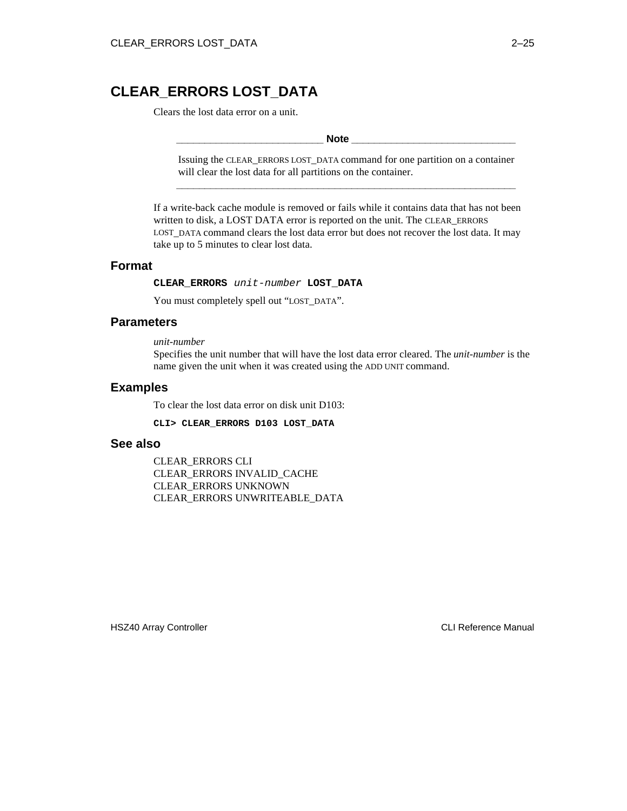# **CLEAR\_ERRORS LOST\_DATA**

Clears the lost data error on a unit.

#### **\_\_\_\_\_\_\_\_\_\_\_\_\_\_\_\_\_\_\_\_\_\_\_\_\_\_ Note \_\_\_\_\_\_\_\_\_\_\_\_\_\_\_\_\_\_\_\_\_\_\_\_\_\_\_\_\_**

Issuing the CLEAR\_ERRORS LOST\_DATA command for one partition on a container will clear the lost data for all partitions on the container. **\_\_\_\_\_\_\_\_\_\_\_\_\_\_\_\_\_\_\_\_\_\_\_\_\_\_\_\_\_\_\_\_\_\_\_\_\_\_\_\_\_\_\_\_\_\_\_\_\_\_\_\_\_\_\_\_\_\_\_\_**

If a write-back cache module is removed or fails while it contains data that has not been written to disk, a LOST DATA error is reported on the unit. The CLEAR\_ERRORS LOST DATA command clears the lost data error but does not recover the lost data. It may take up to 5 minutes to clear lost data.

## **Format**

**CLEAR\_ERRORS** unit-number **LOST\_DATA**

You must completely spell out "LOST\_DATA".

## **Parameters**

#### *unit-number*

Specifies the unit number that will have the lost data error cleared. The *unit-number* is the name given the unit when it was created using the ADD UNIT command.

## **Examples**

To clear the lost data error on disk unit D103:

**CLI> CLEAR\_ERRORS D103 LOST\_DATA**

### **See also**

CLEAR\_ERRORS CLI CLEAR\_ERRORS INVALID\_CACHE CLEAR\_ERRORS UNKNOWN CLEAR\_ERRORS UNWRITEABLE\_DATA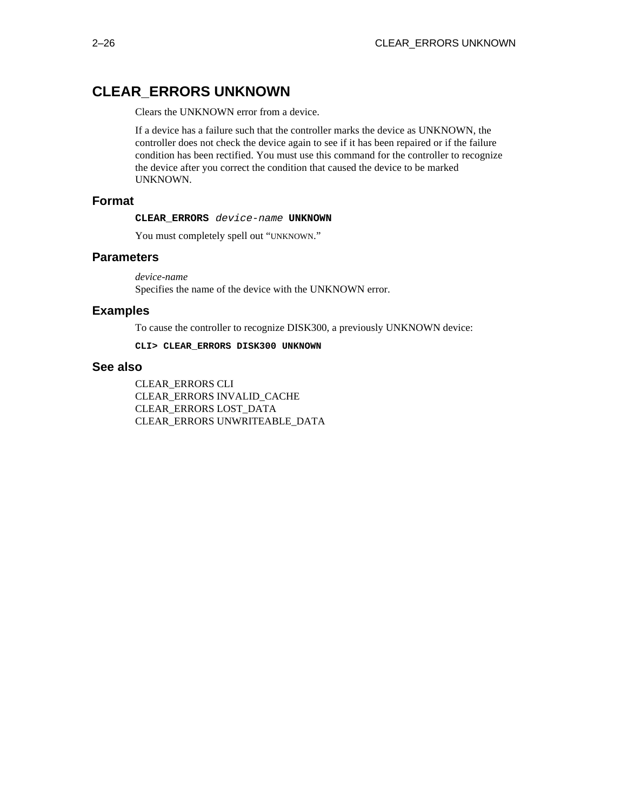# **CLEAR\_ERRORS UNKNOWN**

Clears the UNKNOWN error from a device.

If a device has a failure such that the controller marks the device as UNKNOWN, the controller does not check the device again to see if it has been repaired or if the failure condition has been rectified. You must use this command for the controller to recognize the device after you correct the condition that caused the device to be marked UNKNOWN.

### **Format**

#### **CLEAR\_ERRORS** device-name **UNKNOWN**

You must completely spell out "UNKNOWN."

## **Parameters**

*device-name* Specifies the name of the device with the UNKNOWN error.

## **Examples**

To cause the controller to recognize DISK300, a previously UNKNOWN device:

**CLI> CLEAR\_ERRORS DISK300 UNKNOWN**

## **See also**

CLEAR\_ERRORS CLI CLEAR\_ERRORS INVALID\_CACHE CLEAR\_ERRORS LOST\_DATA CLEAR\_ERRORS UNWRITEABLE\_DATA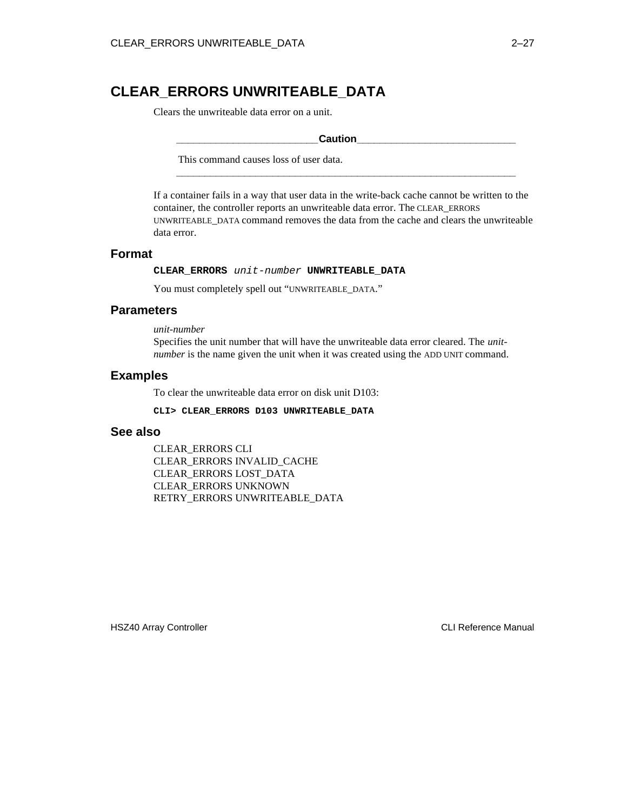# **CLEAR\_ERRORS UNWRITEABLE\_DATA**

Clears the unwriteable data error on a unit.

#### **\_\_\_\_\_\_\_\_\_\_\_\_\_\_\_\_\_\_\_\_\_\_\_\_\_Caution\_\_\_\_\_\_\_\_\_\_\_\_\_\_\_\_\_\_\_\_\_\_\_\_\_\_\_\_**

**\_\_\_\_\_\_\_\_\_\_\_\_\_\_\_\_\_\_\_\_\_\_\_\_\_\_\_\_\_\_\_\_\_\_\_\_\_\_\_\_\_\_\_\_\_\_\_\_\_\_\_\_\_\_\_\_\_\_\_\_**

This command causes loss of user data.

If a container fails in a way that user data in the write-back cache cannot be written to the container, the controller reports an unwriteable data error. The CLEAR\_ERRORS UNWRITEABLE\_DATA command removes the data from the cache and clears the unwriteable data error.

## **Format**

**CLEAR\_ERRORS** unit-number **UNWRITEABLE\_DATA**

You must completely spell out "UNWRITEABLE\_DATA."

## **Parameters**

*unit-number*

Specifies the unit number that will have the unwriteable data error cleared. The *unitnumber* is the name given the unit when it was created using the ADD UNIT command.

### **Examples**

To clear the unwriteable data error on disk unit D103:

**CLI> CLEAR\_ERRORS D103 UNWRITEABLE\_DATA**

### **See also**

CLEAR\_ERRORS CLI CLEAR\_ERRORS INVALID\_CACHE CLEAR\_ERRORS LOST\_DATA CLEAR\_ERRORS UNKNOWN RETRY\_ERRORS UNWRITEABLE\_DATA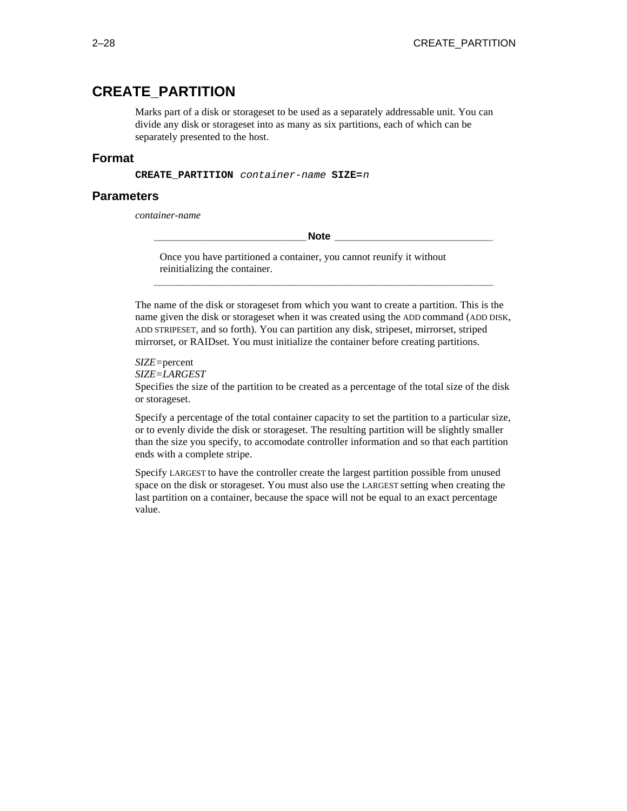# **CREATE\_PARTITION**

Marks part of a disk or storageset to be used as a separately addressable unit. You can divide any disk or storageset into as many as six partitions, each of which can be separately presented to the host.

## **Format**

**CREATE\_PARTITION** container-name **SIZE=**<sup>n</sup>

### **Parameters**

*container-name*

**\_\_\_\_\_\_\_\_\_\_\_\_\_\_\_\_\_\_\_\_\_\_\_\_\_\_\_Note \_\_\_\_\_\_\_\_\_\_\_\_\_\_\_\_\_\_\_\_\_\_\_\_\_\_\_\_**

Once you have partitioned a container, you cannot reunify it without reinitializing the container.

The name of the disk or storageset from which you want to create a partition. This is the name given the disk or storageset when it was created using the ADD command (ADD DISK, ADD STRIPESET, and so forth). You can partition any disk, stripeset, mirrorset, striped mirrorset, or RAIDset. You must initialize the container before creating partitions.

**\_\_\_\_\_\_\_\_\_\_\_\_\_\_\_\_\_\_\_\_\_\_\_\_\_\_\_\_\_\_\_\_\_\_\_\_\_\_\_\_\_\_\_\_\_\_\_\_\_\_\_\_\_\_\_\_\_\_\_\_**

*SIZE=*percent

*SIZE=LARGEST*

Specifies the size of the partition to be created as a percentage of the total size of the disk or storageset.

Specify a percentage of the total container capacity to set the partition to a particular size, or to evenly divide the disk or storageset. The resulting partition will be slightly smaller than the size you specify, to accomodate controller information and so that each partition ends with a complete stripe.

Specify LARGEST to have the controller create the largest partition possible from unused space on the disk or storageset. You must also use the LARGEST setting when creating the last partition on a container, because the space will not be equal to an exact percentage value.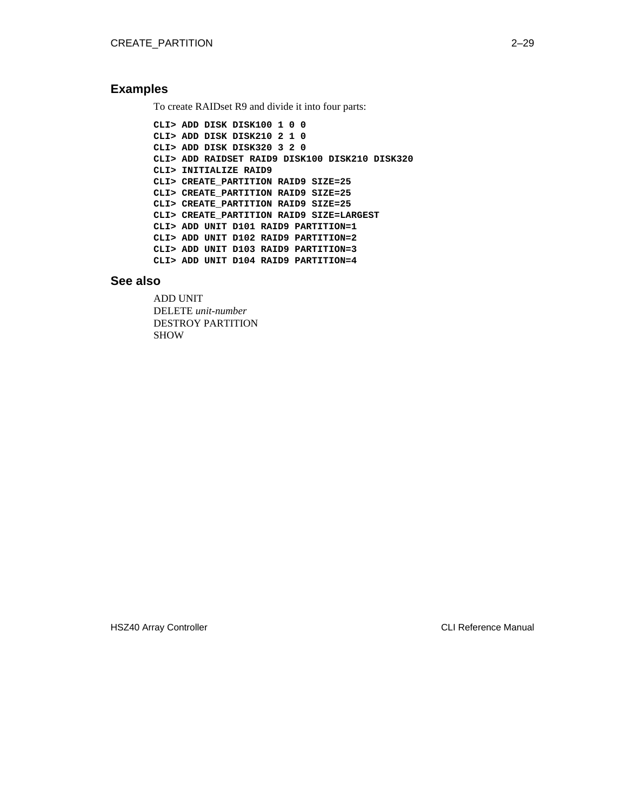## **Examples**

To create RAIDset R9 and divide it into four parts:

**CLI> ADD DISK DISK100 1 0 0 CLI> ADD DISK DISK210 2 1 0 CLI> ADD DISK DISK320 3 2 0 CLI> ADD RAIDSET RAID9 DISK100 DISK210 DISK320 CLI> INITIALIZE RAID9 CLI> CREATE\_PARTITION RAID9 SIZE=25 CLI> CREATE\_PARTITION RAID9 SIZE=25 CLI> CREATE\_PARTITION RAID9 SIZE=25 CLI> CREATE\_PARTITION RAID9 SIZE=LARGEST CLI> ADD UNIT D101 RAID9 PARTITION=1 CLI> ADD UNIT D102 RAID9 PARTITION=2 CLI> ADD UNIT D103 RAID9 PARTITION=3 CLI> ADD UNIT D104 RAID9 PARTITION=4**

### **See also**

ADD UNIT DELETE *unit-number* DESTROY PARTITION SHOW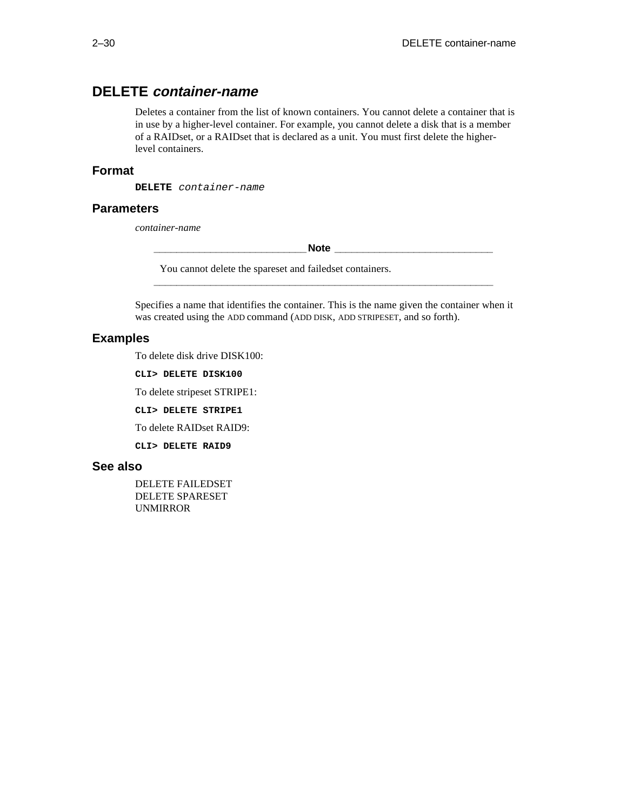# **DELETE container-name**

Deletes a container from the list of known containers. You cannot delete a container that is in use by a higher-level container. For example, you cannot delete a disk that is a member of a RAIDset, or a RAIDset that is declared as a unit. You must first delete the higherlevel containers.

## **Format**

**DELETE** container-name

### **Parameters**

*container-name*

**Note**  $\blacksquare$ 

You cannot delete the spareset and failedset containers.

Specifies a name that identifies the container. This is the name given the container when it was created using the ADD command (ADD DISK, ADD STRIPESET, and so forth).

**\_\_\_\_\_\_\_\_\_\_\_\_\_\_\_\_\_\_\_\_\_\_\_\_\_\_\_\_\_\_\_\_\_\_\_\_\_\_\_\_\_\_\_\_\_\_\_\_\_\_\_\_\_\_\_\_\_\_\_\_**

## **Examples**

To delete disk drive DISK100:

**CLI> DELETE DISK100**

To delete stripeset STRIPE1:

**CLI> DELETE STRIPE1**

To delete RAIDset RAID9:

**CLI> DELETE RAID9**

#### **See also**

DELETE FAILEDSET DELETE SPARESET UNMIRROR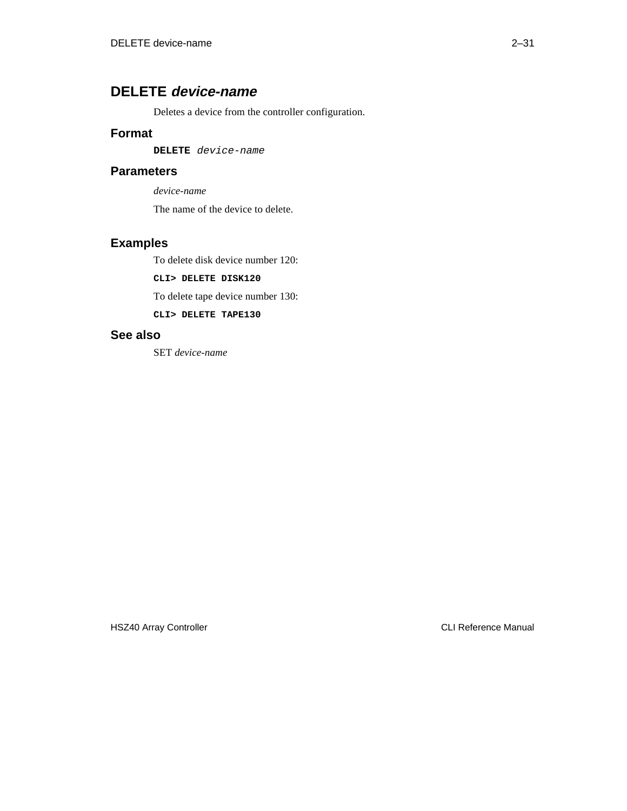# **DELETE device-name**

Deletes a device from the controller configuration.

## **Format**

**DELETE** device-name

## **Parameters**

*device-name*

The name of the device to delete.

# **Examples**

To delete disk device number 120:

**CLI> DELETE DISK120**

To delete tape device number 130:

**CLI> DELETE TAPE130**

## **See also**

SET *device-name*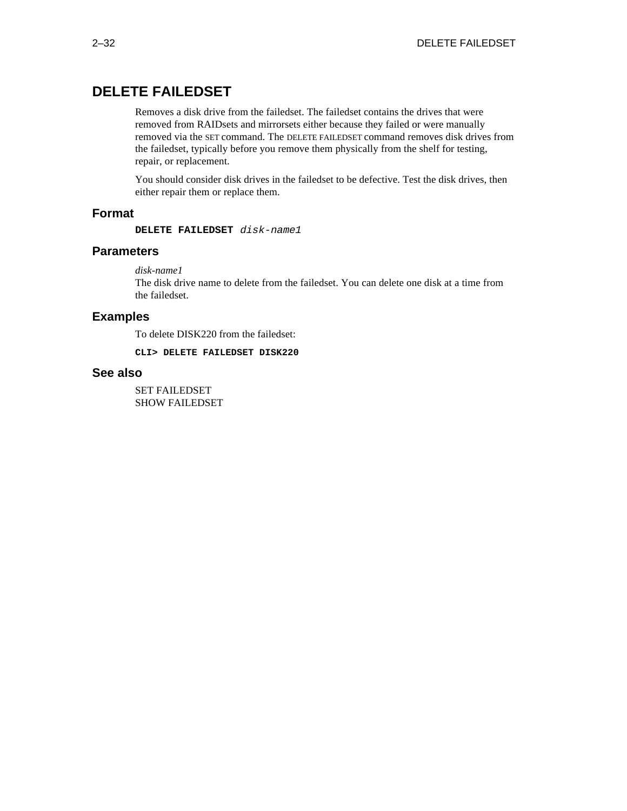# **DELETE FAILEDSET**

Removes a disk drive from the failedset. The failedset contains the drives that were removed from RAIDsets and mirrorsets either because they failed or were manually removed via the SET command. The DELETE FAILEDSET command removes disk drives from the failedset, typically before you remove them physically from the shelf for testing, repair, or replacement.

You should consider disk drives in the failedset to be defective. Test the disk drives, then either repair them or replace them.

## **Format**

**DELETE FAILEDSET** disk-name1

### **Parameters**

*disk-name1*

The disk drive name to delete from the failedset. You can delete one disk at a time from the failedset.

## **Examples**

To delete DISK220 from the failedset:

**CLI> DELETE FAILEDSET DISK220**

## **See also**

SET FAILEDSET SHOW FAILEDSET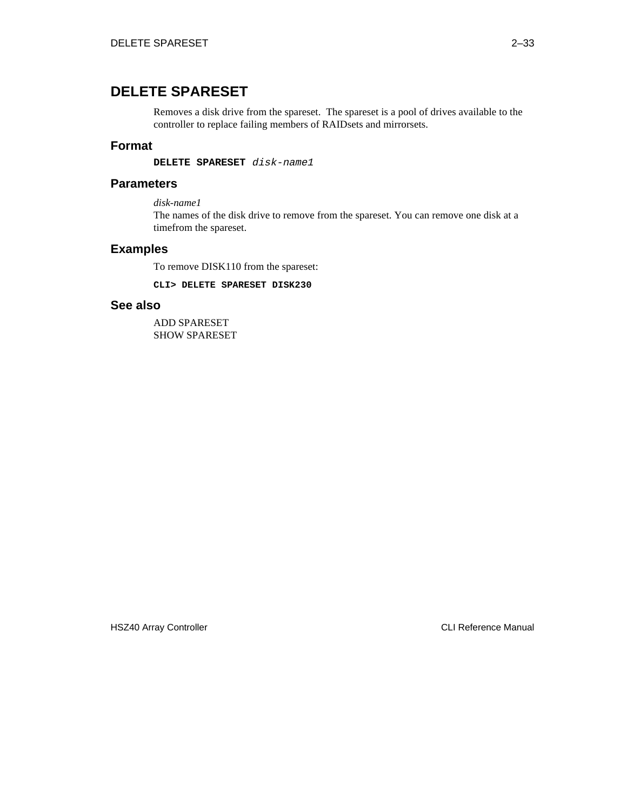# **DELETE SPARESET**

Removes a disk drive from the spareset. The spareset is a pool of drives available to the controller to replace failing members of RAIDsets and mirrorsets.

## **Format**

**DELETE SPARESET** disk-name1

## **Parameters**

*disk-name1*

The names of the disk drive to remove from the spareset. You can remove one disk at a timefrom the spareset.

## **Examples**

To remove DISK110 from the spareset:

**CLI> DELETE SPARESET DISK230**

## **See also**

ADD SPARESET SHOW SPARESET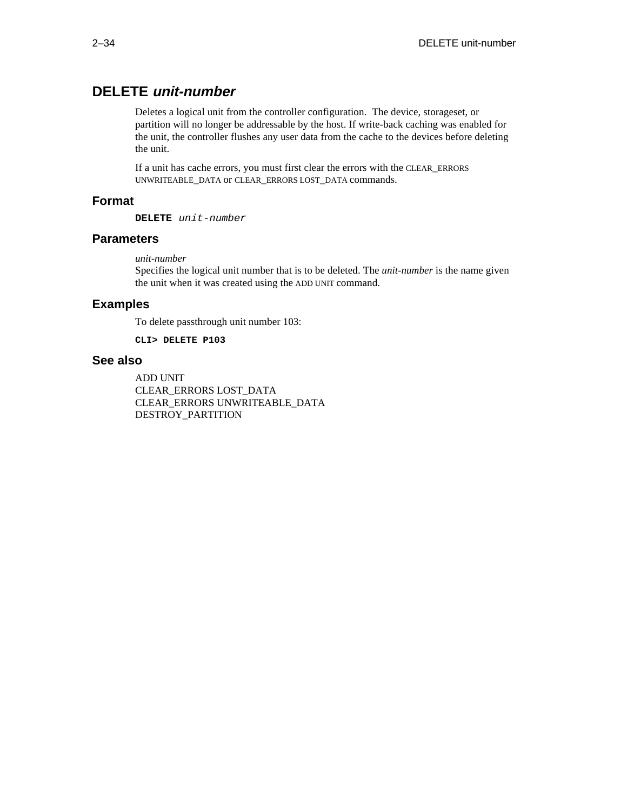# **DELETE unit-number**

Deletes a logical unit from the controller configuration. The device, storageset, or partition will no longer be addressable by the host. If write-back caching was enabled for the unit, the controller flushes any user data from the cache to the devices before deleting the unit.

If a unit has cache errors, you must first clear the errors with the CLEAR\_ERRORS UNWRITEABLE\_DATA or CLEAR\_ERRORS LOST\_DATA commands.

## **Format**

**DELETE** unit-number

## **Parameters**

*unit-number*

Specifies the logical unit number that is to be deleted. The *unit-number* is the name given the unit when it was created using the ADD UNIT command.

## **Examples**

To delete passthrough unit number 103:

**CLI> DELETE P103**

## **See also**

ADD UNIT CLEAR\_ERRORS LOST\_DATA CLEAR\_ERRORS UNWRITEABLE\_DATA DESTROY\_PARTITION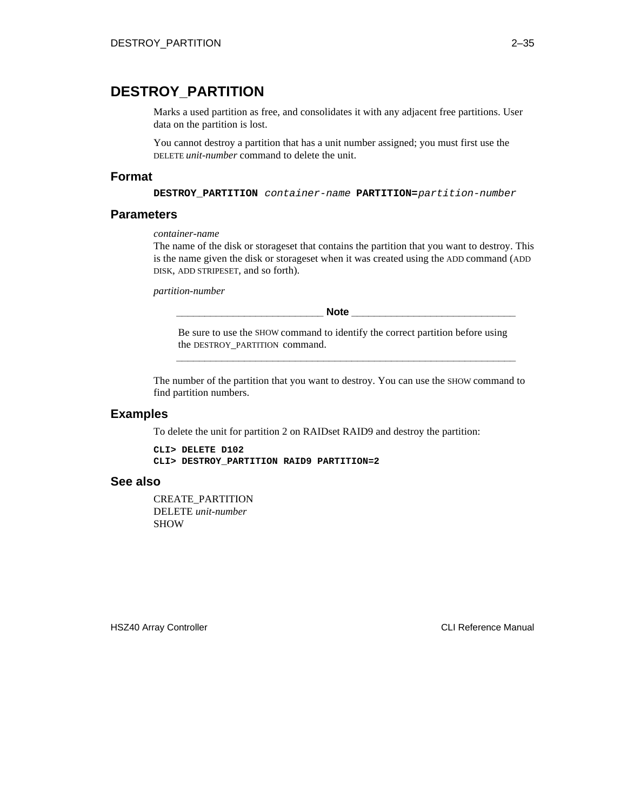# **DESTROY\_PARTITION**

Marks a used partition as free, and consolidates it with any adjacent free partitions. User data on the partition is lost.

You cannot destroy a partition that has a unit number assigned; you must first use the DELETE *unit-number* command to delete the unit.

### **Format**

**DESTROY\_PARTITION** container-name **PARTITION=**partition-number

## **Parameters**

*container-name*

The name of the disk or storageset that contains the partition that you want to destroy. This is the name given the disk or storageset when it was created using the ADD command (ADD DISK, ADD STRIPESET, and so forth).

*partition-number*

**\_\_\_\_\_\_\_\_\_\_\_\_\_\_\_\_\_\_\_\_\_\_\_\_\_\_ Note \_\_\_\_\_\_\_\_\_\_\_\_\_\_\_\_\_\_\_\_\_\_\_\_\_\_\_\_\_**

Be sure to use the SHOW command to identify the correct partition before using the DESTROY\_PARTITION command. **\_\_\_\_\_\_\_\_\_\_\_\_\_\_\_\_\_\_\_\_\_\_\_\_\_\_\_\_\_\_\_\_\_\_\_\_\_\_\_\_\_\_\_\_\_\_\_\_\_\_\_\_\_\_\_\_\_\_\_\_**

The number of the partition that you want to destroy. You can use the SHOW command to find partition numbers.

#### **Examples**

To delete the unit for partition 2 on RAIDset RAID9 and destroy the partition:

**CLI> DELETE D102 CLI> DESTROY\_PARTITION RAID9 PARTITION=2**

#### **See also**

CREATE\_PARTITION DELETE *unit-number* SHOW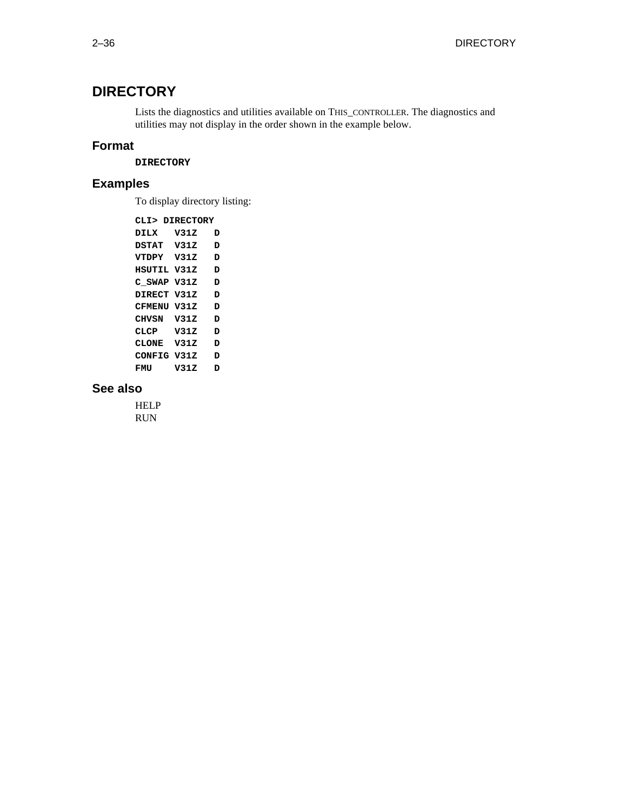# **DIRECTORY**

Lists the diagnostics and utilities available on THIS\_CONTROLLER. The diagnostics and utilities may not display in the order shown in the example below.

## **Format**

**DIRECTORY**

# **Examples**

To display directory listing:

**CLI> DIRECTORY DILX V31Z D DSTAT V31Z D VTDPY V31Z D HSUTIL V31Z D C\_SWAP V31Z D DIRECT V31Z D CFMENU V31Z D CHVSN V31Z D CLCP V31Z D CLONE V31Z D CONFIG V31Z D FMU V31Z D**

## **See also**

HELP RUN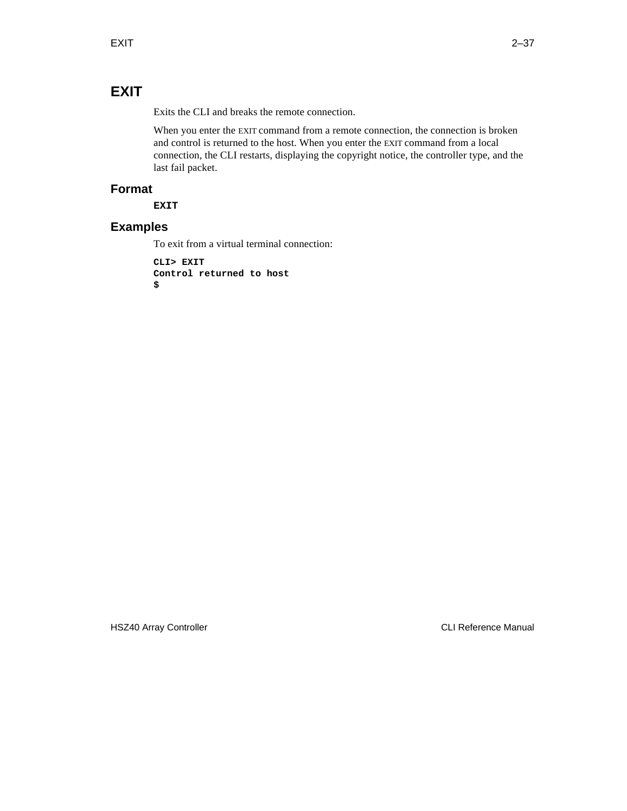# **EXIT**

Exits the CLI and breaks the remote connection.

When you enter the EXIT command from a remote connection, the connection is broken and control is returned to the host. When you enter the EXIT command from a local connection, the CLI restarts, displaying the copyright notice, the controller type, and the last fail packet.

## **Format**

**EXIT**

# **Examples**

To exit from a virtual terminal connection:

**CLI> EXIT Control returned to host \$**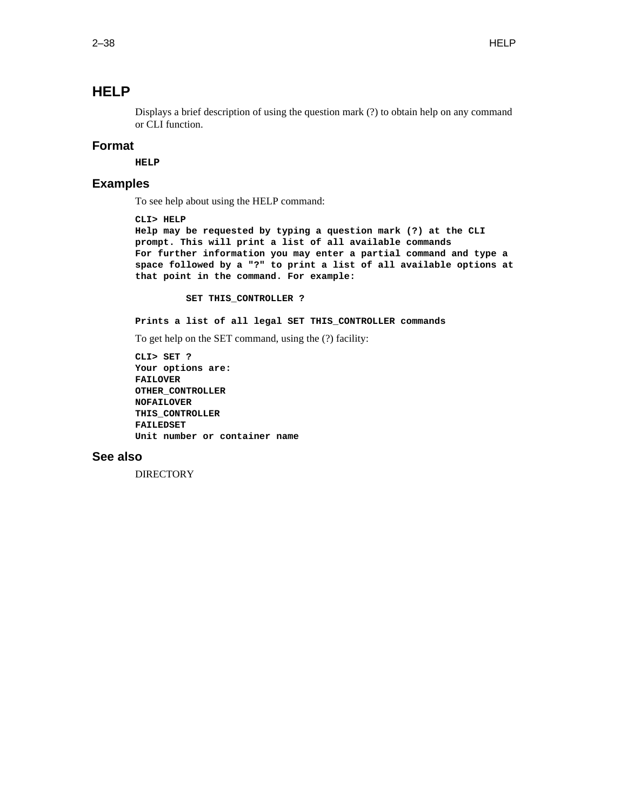# **HELP**

Displays a brief description of using the question mark (?) to obtain help on any command or CLI function.

## **Format**

**HELP**

## **Examples**

To see help about using the HELP command:

```
CLI> HELP
Help may be requested by typing a question mark (?) at the CLI
prompt. This will print a list of all available commands
For further information you may enter a partial command and type a
space followed by a "?" to print a list of all available options at
that point in the command. For example:
```
 **SET THIS\_CONTROLLER ?**

**Prints a list of all legal SET THIS\_CONTROLLER commands**

To get help on the SET command, using the (?) facility:

```
CLI> SET ?
Your options are:
FAILOVER
OTHER_CONTROLLER
NOFAILOVER
THIS_CONTROLLER
FAILEDSET
Unit number or container name
```
## **See also**

**DIRECTORY**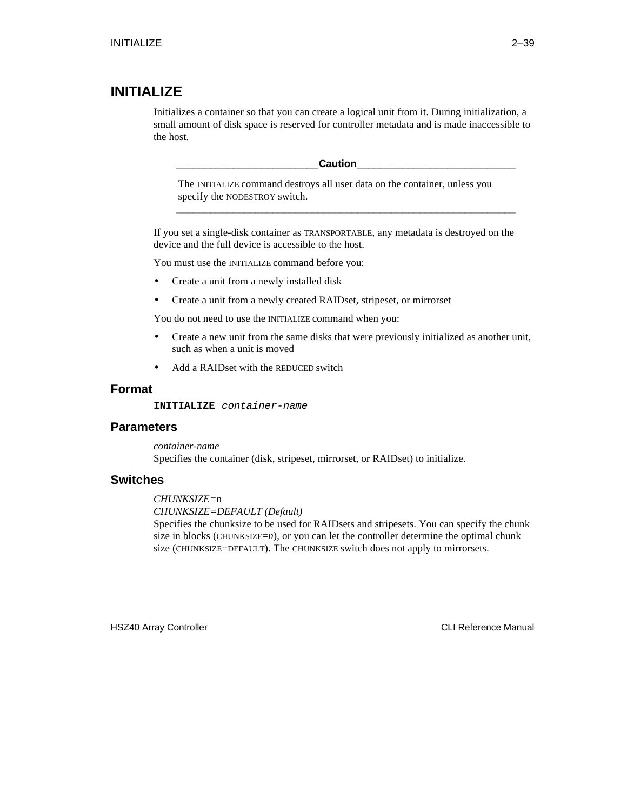# **INITIALIZE**

Initializes a container so that you can create a logical unit from it. During initialization, a small amount of disk space is reserved for controller metadata and is made inaccessible to the host.

**\_\_\_\_\_\_\_\_\_\_\_\_\_\_\_\_\_\_\_\_\_\_\_\_\_Caution\_\_\_\_\_\_\_\_\_\_\_\_\_\_\_\_\_\_\_\_\_\_\_\_\_\_\_\_**

The INITIALIZE command destroys all user data on the container, unless you specify the NODESTROY switch.

**\_\_\_\_\_\_\_\_\_\_\_\_\_\_\_\_\_\_\_\_\_\_\_\_\_\_\_\_\_\_\_\_\_\_\_\_\_\_\_\_\_\_\_\_\_\_\_\_\_\_\_\_\_\_\_\_\_\_\_\_**

If you set a single-disk container as TRANSPORTABLE, any metadata is destroyed on the device and the full device is accessible to the host.

You must use the INITIALIZE command before you:

- Create a unit from a newly installed disk
- Create a unit from a newly created RAIDset, stripeset, or mirrorset

You do not need to use the INITIALIZE command when you:

- Create a new unit from the same disks that were previously initialized as another unit, such as when a unit is moved
- Add a RAIDset with the REDUCED switch

## **Format**

**INITIALIZE** container-name

### **Parameters**

*container-name* Specifies the container (disk, stripeset, mirrorset, or RAIDset) to initialize.

## **Switches**

#### *CHUNKSIZE=*n

*CHUNKSIZE=DEFAULT (Default)*

Specifies the chunksize to be used for RAIDsets and stripesets. You can specify the chunk size in blocks (CHUNKSIZE=*n*), or you can let the controller determine the optimal chunk size (CHUNKSIZE=DEFAULT). The CHUNKSIZE switch does not apply to mirrorsets.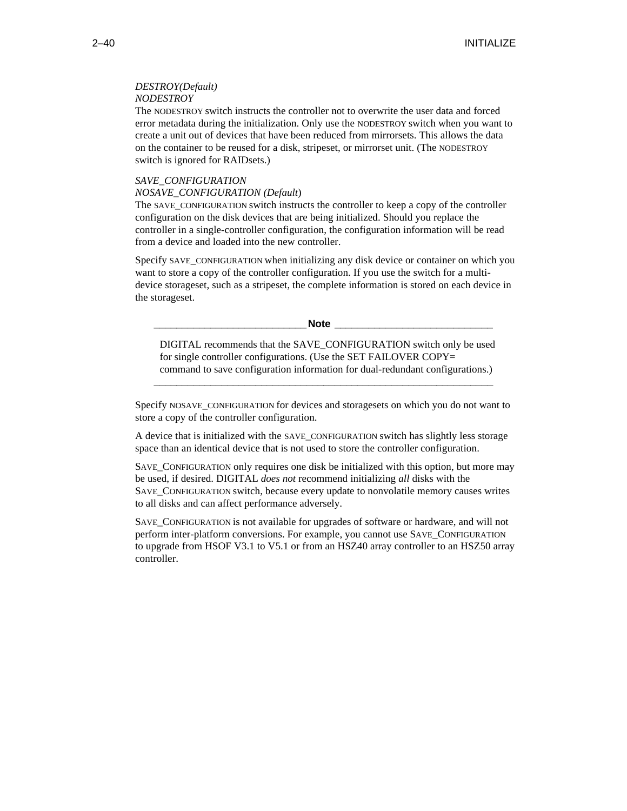#### *DESTROY(Default) NODESTROY*

The NODESTROY switch instructs the controller not to overwrite the user data and forced error metadata during the initialization. Only use the NODESTROY switch when you want to create a unit out of devices that have been reduced from mirrorsets. This allows the data on the container to be reused for a disk, stripeset, or mirrorset unit. (The NODESTROY switch is ignored for RAIDsets.)

#### *SAVE\_CONFIGURATION NOSAVE\_CONFIGURATION (Default*)

The SAVE CONFIGURATION switch instructs the controller to keep a copy of the controller configuration on the disk devices that are being initialized. Should you replace the controller in a single-controller configuration, the configuration information will be read from a device and loaded into the new controller.

Specify SAVE\_CONFIGURATION when initializing any disk device or container on which you want to store a copy of the controller configuration. If you use the switch for a multidevice storageset, such as a stripeset, the complete information is stored on each device in the storageset.

**Note Letters** 

DIGITAL recommends that the SAVE\_CONFIGURATION switch only be used for single controller configurations. (Use the SET FAILOVER COPY= command to save configuration information for dual-redundant configurations.)

Specify NOSAVE\_CONFIGURATION for devices and storagesets on which you do not want to store a copy of the controller configuration.

**\_\_\_\_\_\_\_\_\_\_\_\_\_\_\_\_\_\_\_\_\_\_\_\_\_\_\_\_\_\_\_\_\_\_\_\_\_\_\_\_\_\_\_\_\_\_\_\_\_\_\_\_\_\_\_\_\_\_\_\_**

A device that is initialized with the SAVE\_CONFIGURATION switch has slightly less storage space than an identical device that is not used to store the controller configuration.

SAVE\_CONFIGURATION only requires one disk be initialized with this option, but more may be used, if desired. DIGITAL *does not* recommend initializing *all* disks with the SAVE\_CONFIGURATION switch, because every update to nonvolatile memory causes writes to all disks and can affect performance adversely.

SAVE\_CONFIGURATION is not available for upgrades of software or hardware, and will not perform inter-platform conversions. For example, you cannot use SAVE\_CONFIGURATION to upgrade from HSOF V3.1 to V5.1 or from an HSZ40 array controller to an HSZ50 array controller.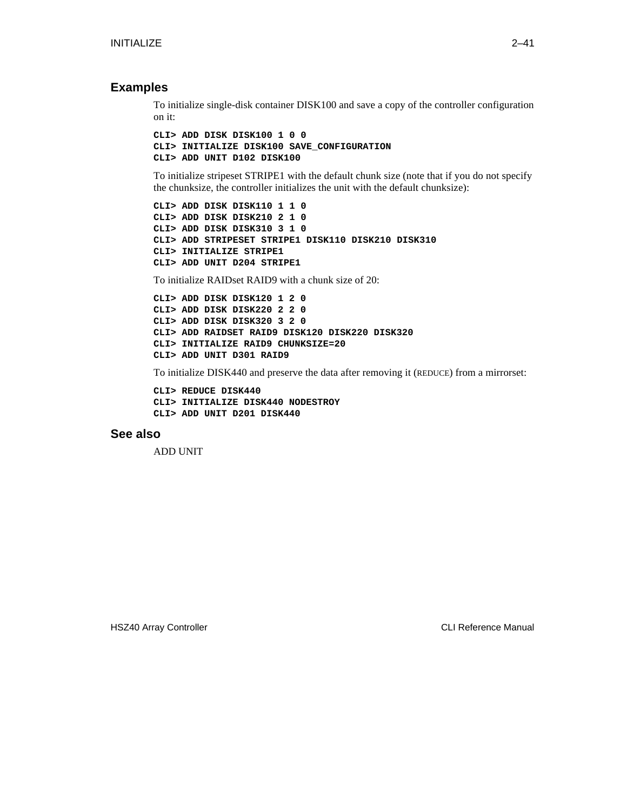## **Examples**

To initialize single-disk container DISK100 and save a copy of the controller configuration on it:

```
CLI> ADD DISK DISK100 1 0 0
CLI> INITIALIZE DISK100 SAVE_CONFIGURATION
CLI> ADD UNIT D102 DISK100
```
To initialize stripeset STRIPE1 with the default chunk size (note that if you do not specify the chunksize, the controller initializes the unit with the default chunksize):

```
CLI> ADD DISK DISK110 1 1 0
CLI> ADD DISK DISK210 2 1 0
CLI> ADD DISK DISK310 3 1 0
CLI> ADD STRIPESET STRIPE1 DISK110 DISK210 DISK310
CLI> INITIALIZE STRIPE1
CLI> ADD UNIT D204 STRIPE1
```
To initialize RAIDset RAID9 with a chunk size of 20:

```
CLI> ADD DISK DISK120 1 2 0
CLI> ADD DISK DISK220 2 2 0
CLI> ADD DISK DISK320 3 2 0
CLI> ADD RAIDSET RAID9 DISK120 DISK220 DISK320
CLI> INITIALIZE RAID9 CHUNKSIZE=20
CLI> ADD UNIT D301 RAID9
```
To initialize DISK440 and preserve the data after removing it (REDUCE) from a mirrorset:

**CLI> REDUCE DISK440 CLI> INITIALIZE DISK440 NODESTROY CLI> ADD UNIT D201 DISK440**

## **See also**

ADD UNIT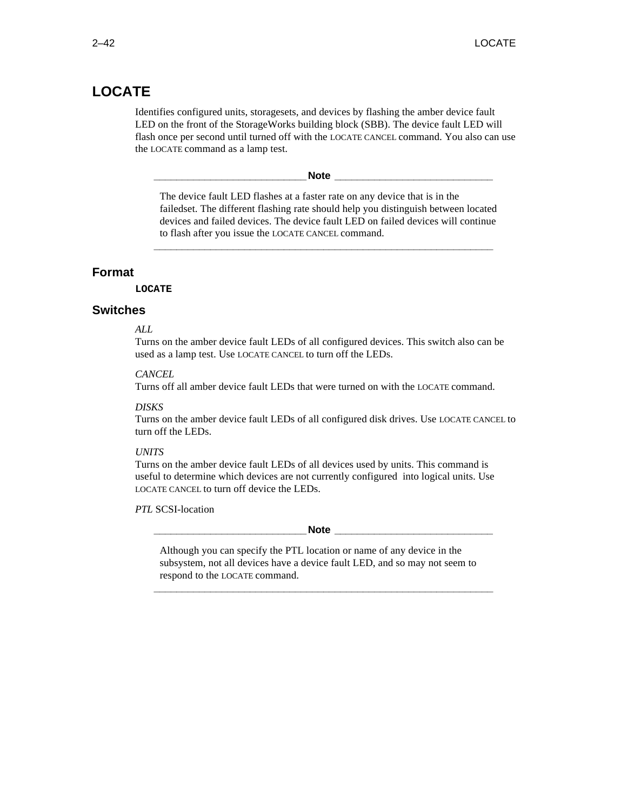# **LOCATE**

Identifies configured units, storagesets, and devices by flashing the amber device fault LED on the front of the StorageWorks building block (SBB). The device fault LED will flash once per second until turned off with the LOCATE CANCEL command. You also can use the LOCATE command as a lamp test.

**Note**  $\blacksquare$ 

The device fault LED flashes at a faster rate on any device that is in the failedset. The different flashing rate should help you distinguish between located devices and failed devices. The device fault LED on failed devices will continue to flash after you issue the LOCATE CANCEL command.

**\_\_\_\_\_\_\_\_\_\_\_\_\_\_\_\_\_\_\_\_\_\_\_\_\_\_\_\_\_\_\_\_\_\_\_\_\_\_\_\_\_\_\_\_\_\_\_\_\_\_\_\_\_\_\_\_\_\_\_\_**

## **Format**

#### **LOCATE**

## **Switches**

#### *ALL*

Turns on the amber device fault LEDs of all configured devices. This switch also can be used as a lamp test. Use LOCATE CANCEL to turn off the LEDs.

### *CANCEL*

Turns off all amber device fault LEDs that were turned on with the LOCATE command.

#### *DISKS*

Turns on the amber device fault LEDs of all configured disk drives. Use LOCATE CANCEL to turn off the LEDs.

#### *UNITS*

Turns on the amber device fault LEDs of all devices used by units. This command is useful to determine which devices are not currently configured into logical units. Use LOCATE CANCEL to turn off device the LEDs.

*PTL* SCSI-location

#### **\_\_\_\_\_\_\_\_\_\_\_\_\_\_\_\_\_\_\_\_\_\_\_\_\_\_\_Note \_\_\_\_\_\_\_\_\_\_\_\_\_\_\_\_\_\_\_\_\_\_\_\_\_\_\_\_**

Although you can specify the PTL location or name of any device in the subsystem, not all devices have a device fault LED, and so may not seem to respond to the LOCATE command.

**\_\_\_\_\_\_\_\_\_\_\_\_\_\_\_\_\_\_\_\_\_\_\_\_\_\_\_\_\_\_\_\_\_\_\_\_\_\_\_\_\_\_\_\_\_\_\_\_\_\_\_\_\_\_\_\_\_\_\_\_**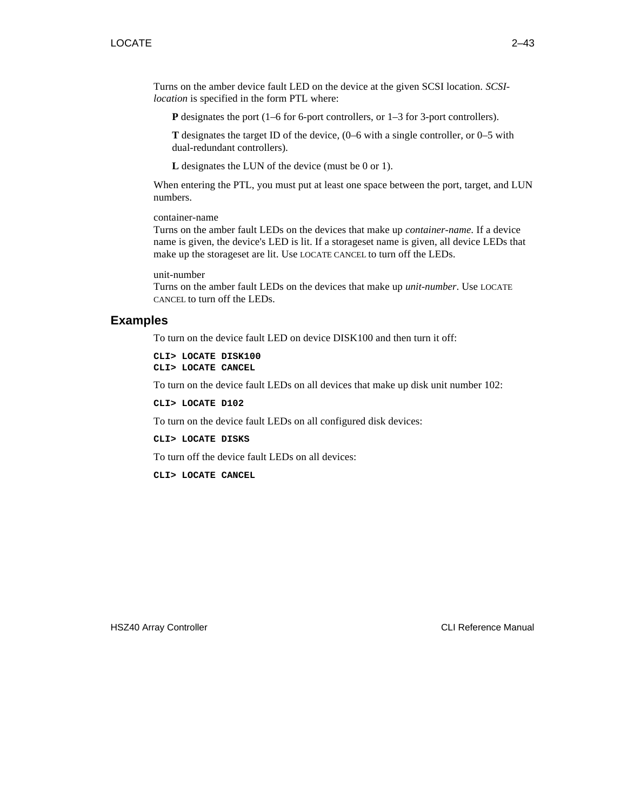Turns on the amber device fault LED on the device at the given SCSI location. *SCSIlocation* is specified in the form PTL where:

**P** designates the port (1–6 for 6-port controllers, or 1–3 for 3-port controllers).

**T** designates the target ID of the device, (0–6 with a single controller, or 0–5 with dual-redundant controllers).

**L** designates the LUN of the device (must be 0 or 1).

When entering the PTL, you must put at least one space between the port, target, and LUN numbers.

container-name

Turns on the amber fault LEDs on the devices that make up *container-name*. If a device name is given, the device's LED is lit. If a storageset name is given, all device LEDs that make up the storageset are lit. Use LOCATE CANCEL to turn off the LEDs.

unit-number

Turns on the amber fault LEDs on the devices that make up *unit-number*. Use LOCATE CANCEL to turn off the LEDs.

# **Examples**

To turn on the device fault LED on device DISK100 and then turn it off:

**CLI> LOCATE DISK100 CLI> LOCATE CANCEL**

To turn on the device fault LEDs on all devices that make up disk unit number 102:

**CLI> LOCATE D102**

To turn on the device fault LEDs on all configured disk devices:

**CLI> LOCATE DISKS**

To turn off the device fault LEDs on all devices:

**CLI> LOCATE CANCEL**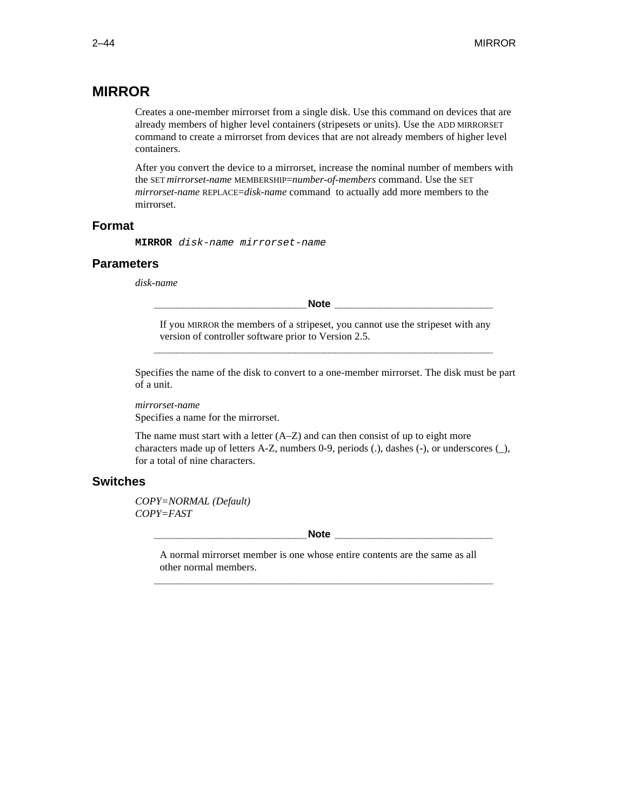# **MIRROR**

Creates a one-member mirrorset from a single disk. Use this command on devices that are already members of higher level containers (stripesets or units). Use the ADD MIRRORSET command to create a mirrorset from devices that are not already members of higher level containers.

After you convert the device to a mirrorset, increase the nominal number of members with the SET *mirrorset-name* MEMBERSHIP=*number-of-members* command. Use the SET *mirrorset-name* REPLACE=*disk-name* command to actually add more members to the mirrorset.

## **Format**

**MIRROR** disk-name mirrorset-name

### **Parameters**

*disk-name*

**Note Letters** 

If you MIRROR the members of a stripeset, you cannot use the stripeset with any version of controller software prior to Version 2.5. **\_\_\_\_\_\_\_\_\_\_\_\_\_\_\_\_\_\_\_\_\_\_\_\_\_\_\_\_\_\_\_\_\_\_\_\_\_\_\_\_\_\_\_\_\_\_\_\_\_\_\_\_\_\_\_\_\_\_\_\_**

Specifies the name of the disk to convert to a one-member mirrorset. The disk must be part of a unit.

*mirrorset-name*

Specifies a name for the mirrorset.

The name must start with a letter  $(A-Z)$  and can then consist of up to eight more characters made up of letters A-Z, numbers 0-9, periods (.), dashes (-), or underscores (\_), for a total of nine characters.

## **Switches**

*COPY=NORMAL (Default) COPY=FAST*

Note **and a** 

A normal mirrorset member is one whose entire contents are the same as all other normal members.

**\_\_\_\_\_\_\_\_\_\_\_\_\_\_\_\_\_\_\_\_\_\_\_\_\_\_\_\_\_\_\_\_\_\_\_\_\_\_\_\_\_\_\_\_\_\_\_\_\_\_\_\_\_\_\_\_\_\_\_\_**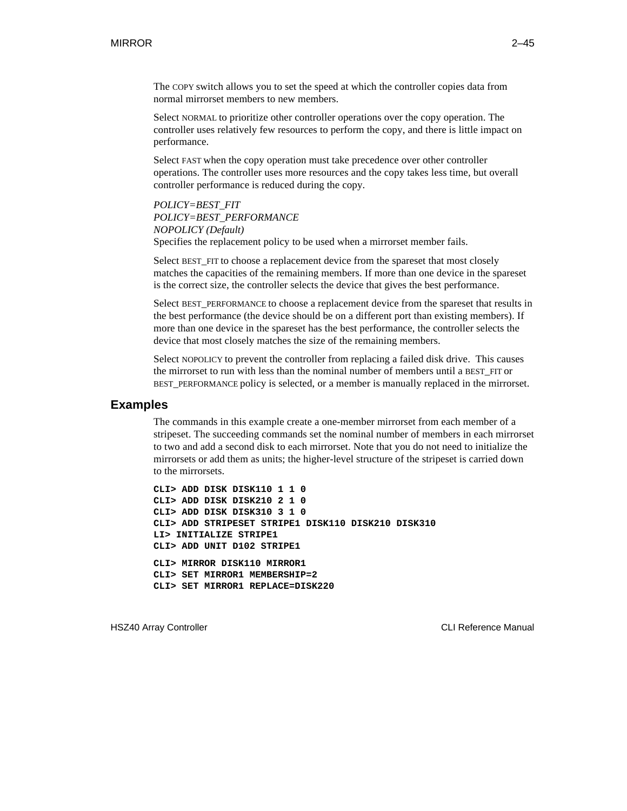The COPY switch allows you to set the speed at which the controller copies data from normal mirrorset members to new members.

Select NORMAL to prioritize other controller operations over the copy operation. The controller uses relatively few resources to perform the copy, and there is little impact on performance.

Select FAST when the copy operation must take precedence over other controller operations. The controller uses more resources and the copy takes less time, but overall controller performance is reduced during the copy.

*POLICY=BEST\_FIT POLICY=BEST\_PERFORMANCE NOPOLICY (Default)* Specifies the replacement policy to be used when a mirrorset member fails.

Select BEST FIT to choose a replacement device from the spareset that most closely matches the capacities of the remaining members. If more than one device in the spareset is the correct size, the controller selects the device that gives the best performance.

Select BEST\_PERFORMANCE to choose a replacement device from the spareset that results in the best performance (the device should be on a different port than existing members). If more than one device in the spareset has the best performance, the controller selects the device that most closely matches the size of the remaining members.

Select NOPOLICY to prevent the controller from replacing a failed disk drive. This causes the mirrorset to run with less than the nominal number of members until a BEST\_FIT or BEST\_PERFORMANCE policy is selected, or a member is manually replaced in the mirrorset.

#### **Examples**

The commands in this example create a one-member mirrorset from each member of a stripeset. The succeeding commands set the nominal number of members in each mirrorset to two and add a second disk to each mirrorset. Note that you do not need to initialize the mirrorsets or add them as units; the higher-level structure of the stripeset is carried down to the mirrorsets.

**CLI> ADD DISK DISK110 1 1 0 CLI> ADD DISK DISK210 2 1 0 CLI> ADD DISK DISK310 3 1 0 CLI> ADD STRIPESET STRIPE1 DISK110 DISK210 DISK310 LI> INITIALIZE STRIPE1 CLI> ADD UNIT D102 STRIPE1 CLI> MIRROR DISK110 MIRROR1 CLI> SET MIRROR1 MEMBERSHIP=2 CLI> SET MIRROR1 REPLACE=DISK220**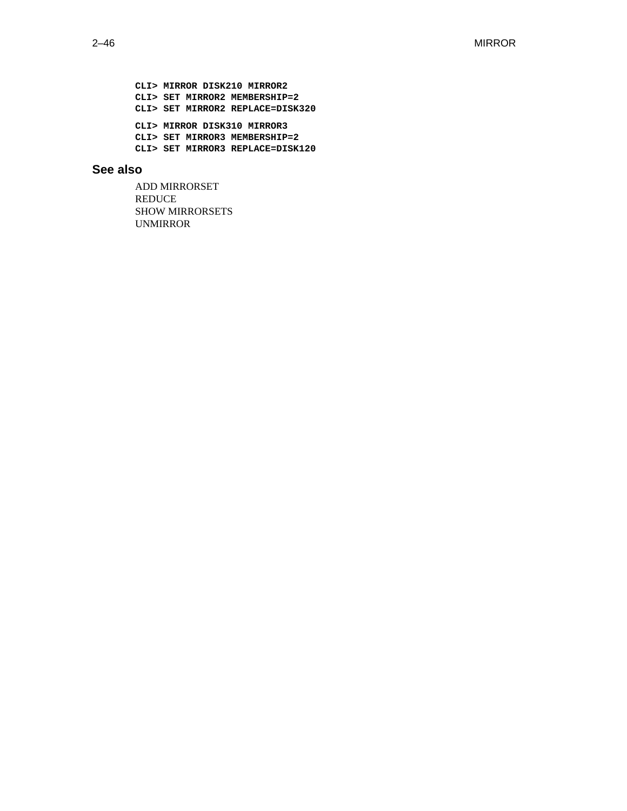**CLI> MIRROR DISK210 MIRROR2 CLI> SET MIRROR2 MEMBERSHIP=2 CLI> SET MIRROR2 REPLACE=DISK320 CLI> MIRROR DISK310 MIRROR3 CLI> SET MIRROR3 MEMBERSHIP=2 CLI> SET MIRROR3 REPLACE=DISK120**

## **See also**

ADD MIRRORSET REDUCE SHOW MIRRORSETS UNMIRROR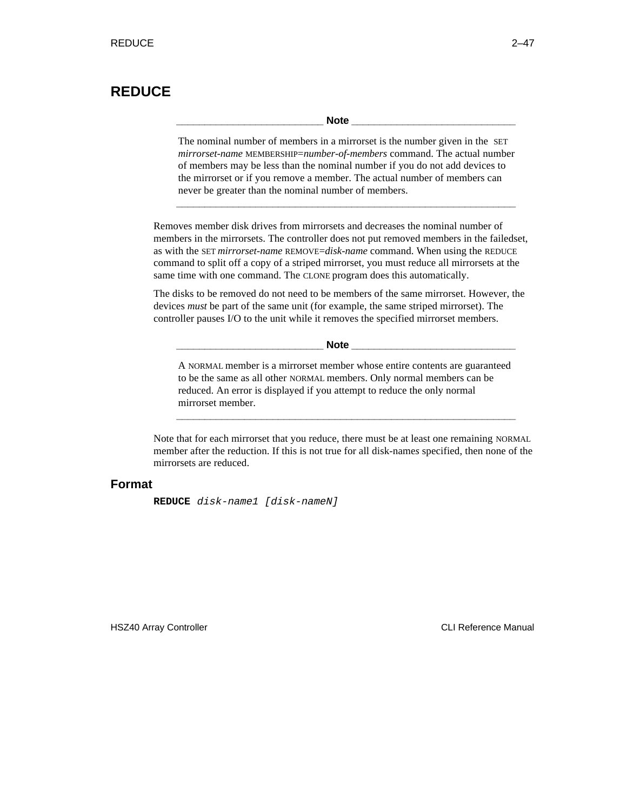# **REDUCE**

**\_\_\_\_\_\_\_\_\_\_\_\_\_\_\_\_\_\_\_\_\_\_\_\_\_\_ Note \_\_\_\_\_\_\_\_\_\_\_\_\_\_\_\_\_\_\_\_\_\_\_\_\_\_\_\_\_**

The nominal number of members in a mirrorset is the number given in the SET *mirrorset-name* MEMBERSHIP=*number-of-members* command. The actual number of members may be less than the nominal number if you do not add devices to the mirrorset or if you remove a member. The actual number of members can never be greater than the nominal number of members.

**\_\_\_\_\_\_\_\_\_\_\_\_\_\_\_\_\_\_\_\_\_\_\_\_\_\_\_\_\_\_\_\_\_\_\_\_\_\_\_\_\_\_\_\_\_\_\_\_\_\_\_\_\_\_\_\_\_\_\_\_**

Removes member disk drives from mirrorsets and decreases the nominal number of members in the mirrorsets. The controller does not put removed members in the failedset, as with the SET *mirrorset-name* REMOVE=*disk-name* command. When using the REDUCE command to split off a copy of a striped mirrorset, you must reduce all mirrorsets at the same time with one command. The CLONE program does this automatically.

The disks to be removed do not need to be members of the same mirrorset. However, the devices *must* be part of the same unit (for example, the same striped mirrorset). The controller pauses I/O to the unit while it removes the specified mirrorset members.

Note **Note** 

A NORMAL member is a mirrorset member whose entire contents are guaranteed to be the same as all other NORMAL members. Only normal members can be reduced. An error is displayed if you attempt to reduce the only normal mirrorset member.

**\_\_\_\_\_\_\_\_\_\_\_\_\_\_\_\_\_\_\_\_\_\_\_\_\_\_\_\_\_\_\_\_\_\_\_\_\_\_\_\_\_\_\_\_\_\_\_\_\_\_\_\_\_\_\_\_\_\_\_\_**

Note that for each mirrorset that you reduce, there must be at least one remaining NORMAL member after the reduction. If this is not true for all disk-name*s* specified, then none of the mirrorsets are reduced.

## **Format**

**REDUCE** disk-name1 [disk-nameN]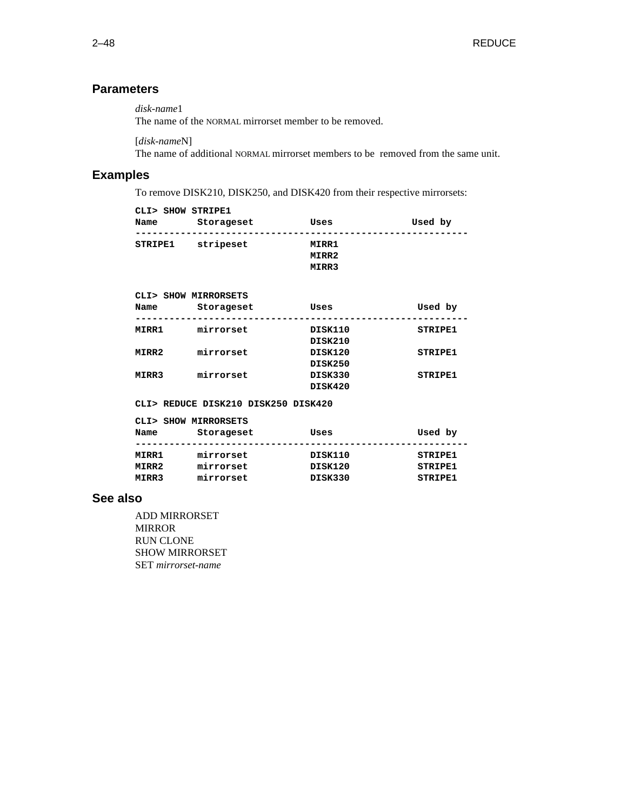# **Parameters**

*disk-name*1

The name of the NORMAL mirrorset member to be removed.

[*disk-name*N]

The name of additional NORMAL mirrorset members to be removed from the same unit.

# **Examples**

To remove DISK210, DISK250, and DISK420 from their respective mirrorsets:

| CLI> SHOW STRIPE1<br>Name           | Storageset | Uses                    | Used by |  |  |  |
|-------------------------------------|------------|-------------------------|---------|--|--|--|
| STRIPE1                             | stripeset  | MIRR1<br>MIRR2<br>MIRR3 |         |  |  |  |
| CLI> SHOW MIRRORSETS                |            |                         |         |  |  |  |
| Name                                | Storageset | Uses                    | Used by |  |  |  |
| MIRR1                               | mirrorset  | DISK110<br>DISK210      | STRIPE1 |  |  |  |
| MIRR2                               | mirrorset  | DISK120<br>DISK250      | STRIPE1 |  |  |  |
| MIRR3                               | mirrorset  | DISK330<br>DISK420      | STRIPE1 |  |  |  |
| CLI> REDUCE DISK210 DISK250 DISK420 |            |                         |         |  |  |  |

| _____ |                      |  |  |  |  |
|-------|----------------------|--|--|--|--|
|       |                      |  |  |  |  |
|       | CLIS SHOW MIRRORSETS |  |  |  |  |

| Name  | COLL DION MINICROSID<br>Storageset | Uses    | Used by |
|-------|------------------------------------|---------|---------|
| MIRR1 | mirrorset                          | DISK110 | STRIPE1 |
| MIRR2 | mirrorset                          | DISK120 | STRIPE1 |
| MIRR3 | mirrorset                          | DISK330 | STRIPE1 |

## **See also**

ADD MIRRORSET MIRROR RUN CLONE SHOW MIRRORSET SET *mirrorset-name*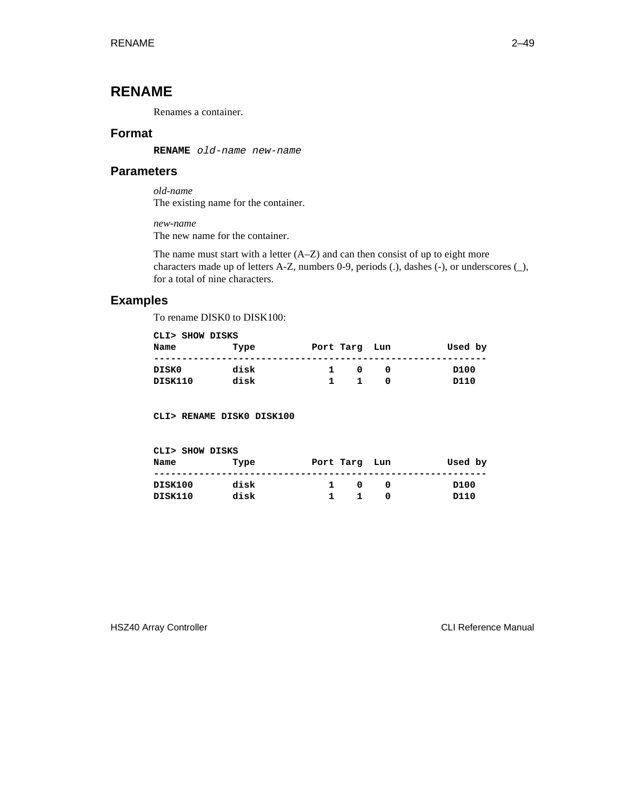# **RENAME**

Renames a container.

## **Format**

**RENAME** old-name new-name

## **Parameters**

*old-name* The existing name for the container.

*new-name*

The new name for the container.

The name must start with a letter (A–Z) and can then consist of up to eight more characters made up of letters A-Z, numbers 0-9, periods (.), dashes (-), or underscores (\_), for a total of nine characters.

## **Examples**

To rename DISK0 to DISK100:

| CLI> SHOW DISKS |      |               |         |
|-----------------|------|---------------|---------|
| Name            | Type | Port Targ Lun | Used by |
|                 |      |               |         |
| DISK0           | disk | 1.<br>0       | D100    |
| DISK110         | disk |               | D110    |

**CLI> RENAME DISK0 DISK100**

| CLI> SHOW DISKS |      |               |         |
|-----------------|------|---------------|---------|
| Name            | Type | Port Targ Lun | Used by |
| DISK100         | disk | 1.<br>0       | D100    |
| DISK110         | disk | 1.            | D110    |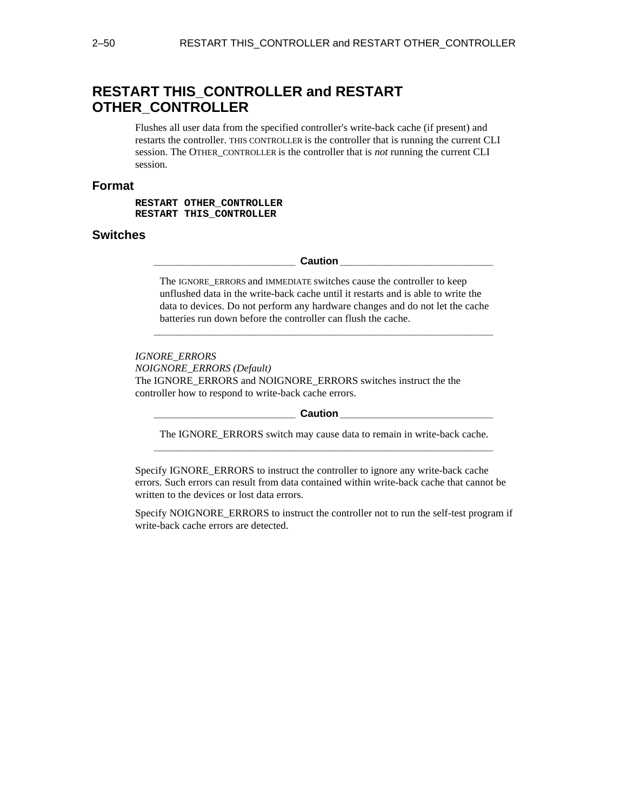# **RESTART THIS\_CONTROLLER and RESTART OTHER\_CONTROLLER**

Flushes all user data from the specified controller's write-back cache (if present) and restarts the controller. THIS CONTROLLER is the controller that is running the current CLI session. The OTHER\_CONTROLLER is the controller that is *not* running the current CLI session.

## **Format**

**RESTART OTHER\_CONTROLLER RESTART THIS\_CONTROLLER**

## **Switches**

 $\blacksquare$  Caution  $\blacksquare$ 

The IGNORE\_ERRORS and IMMEDIATE switches cause the controller to keep unflushed data in the write-back cache until it restarts and is able to write the data to devices. Do not perform any hardware changes and do not let the cache batteries run down before the controller can flush the cache.

**\_\_\_\_\_\_\_\_\_\_\_\_\_\_\_\_\_\_\_\_\_\_\_\_\_\_\_\_\_\_\_\_\_\_\_\_\_\_\_\_\_\_\_\_\_\_\_\_\_\_\_\_\_\_\_\_\_\_\_\_**

*IGNORE\_ERRORS NOIGNORE\_ERRORS (Default)* The IGNORE\_ERRORS and NOIGNORE\_ERRORS switches instruct the the controller how to respond to write-back cache errors.

#### $\blacksquare$  Caution  $\blacksquare$

The IGNORE ERRORS switch may cause data to remain in write-back cache. **\_\_\_\_\_\_\_\_\_\_\_\_\_\_\_\_\_\_\_\_\_\_\_\_\_\_\_\_\_\_\_\_\_\_\_\_\_\_\_\_\_\_\_\_\_\_\_\_\_\_\_\_\_\_\_\_\_\_\_\_**

Specify IGNORE\_ERRORS to instruct the controller to ignore any write-back cache errors. Such errors can result from data contained within write-back cache that cannot be written to the devices or lost data errors.

Specify NOIGNORE\_ERRORS to instruct the controller not to run the self-test program if write-back cache errors are detected.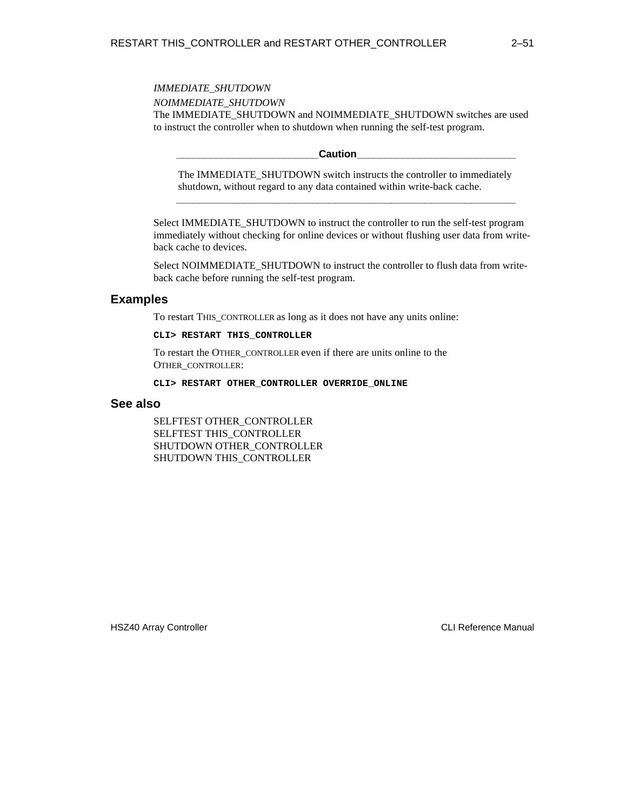## *IMMEDIATE\_SHUTDOWN NOIMMEDIATE\_SHUTDOWN* The IMMEDIATE\_SHUTDOWN and NOIMMEDIATE\_SHUTDOWN switches are used to instruct the controller when to shutdown when running the self-test program.

**\_\_\_\_\_\_\_\_\_\_\_\_\_\_\_\_\_\_\_\_\_\_\_\_\_Caution\_\_\_\_\_\_\_\_\_\_\_\_\_\_\_\_\_\_\_\_\_\_\_\_\_\_\_\_**

The IMMEDIATE\_SHUTDOWN switch instructs the controller to immediately shutdown, without regard to any data contained within write-back cache. **\_\_\_\_\_\_\_\_\_\_\_\_\_\_\_\_\_\_\_\_\_\_\_\_\_\_\_\_\_\_\_\_\_\_\_\_\_\_\_\_\_\_\_\_\_\_\_\_\_\_\_\_\_\_\_\_\_\_\_\_**

Select IMMEDIATE\_SHUTDOWN to instruct the controller to run the self-test program immediately without checking for online devices or without flushing user data from writeback cache to devices.

Select NOIMMEDIATE\_SHUTDOWN to instruct the controller to flush data from writeback cache before running the self-test program.

# **Examples**

To restart THIS\_CONTROLLER as long as it does not have any units online:

#### **CLI> RESTART THIS\_CONTROLLER**

To restart the OTHER\_CONTROLLER even if there are units online to the OTHER\_CONTROLLER:

**CLI> RESTART OTHER\_CONTROLLER OVERRIDE\_ONLINE**

#### **See also**

SELFTEST OTHER\_CONTROLLER SELFTEST THIS\_CONTROLLER SHUTDOWN OTHER\_CONTROLLER SHUTDOWN THIS\_CONTROLLER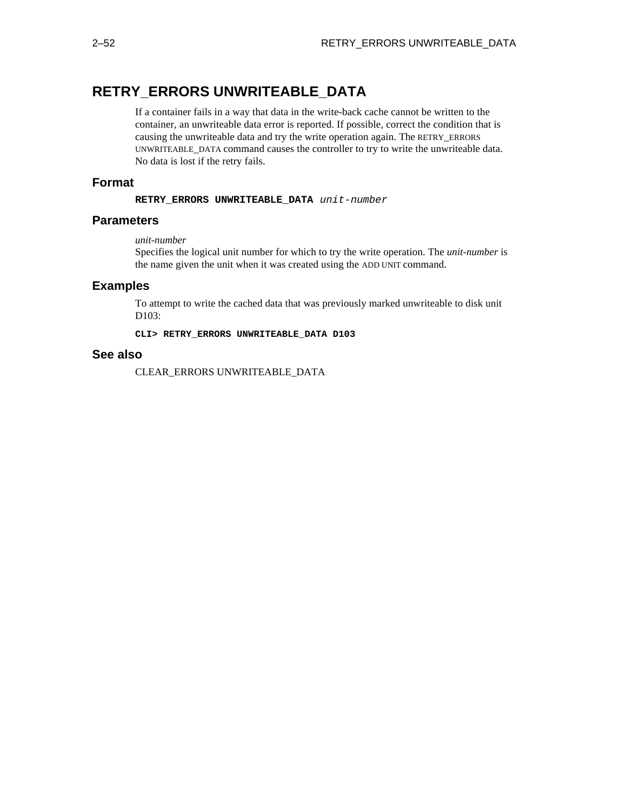# **RETRY\_ERRORS UNWRITEABLE\_DATA**

If a container fails in a way that data in the write-back cache cannot be written to the container, an unwriteable data error is reported. If possible, correct the condition that is causing the unwriteable data and try the write operation again. The RETRY\_ERRORS UNWRITEABLE\_DATA command causes the controller to try to write the unwriteable data. No data is lost if the retry fails.

## **Format**

**RETRY\_ERRORS UNWRITEABLE\_DATA** unit-number

## **Parameters**

#### *unit-number*

Specifies the logical unit number for which to try the write operation. The *unit-number* is the name given the unit when it was created using the ADD UNIT command.

## **Examples**

To attempt to write the cached data that was previously marked unwriteable to disk unit D103:

**CLI> RETRY\_ERRORS UNWRITEABLE\_DATA D103**

## **See also**

CLEAR\_ERRORS UNWRITEABLE\_DATA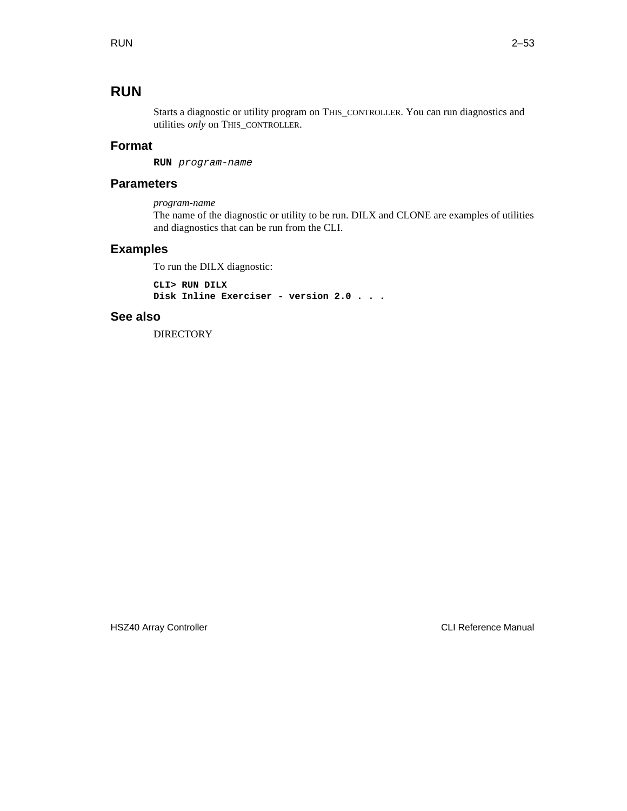# **RUN**

Starts a diagnostic or utility program on THIS\_CONTROLLER. You can run diagnostics and utilities *only* on THIS\_CONTROLLER.

# **Format**

**RUN** program-name

## **Parameters**

*program-name*

The name of the diagnostic or utility to be run. DILX and CLONE are examples of utilities and diagnostics that can be run from the CLI.

## **Examples**

To run the DILX diagnostic:

**CLI> RUN DILX Disk Inline Exerciser - version 2.0 . . .**

## **See also**

**DIRECTORY**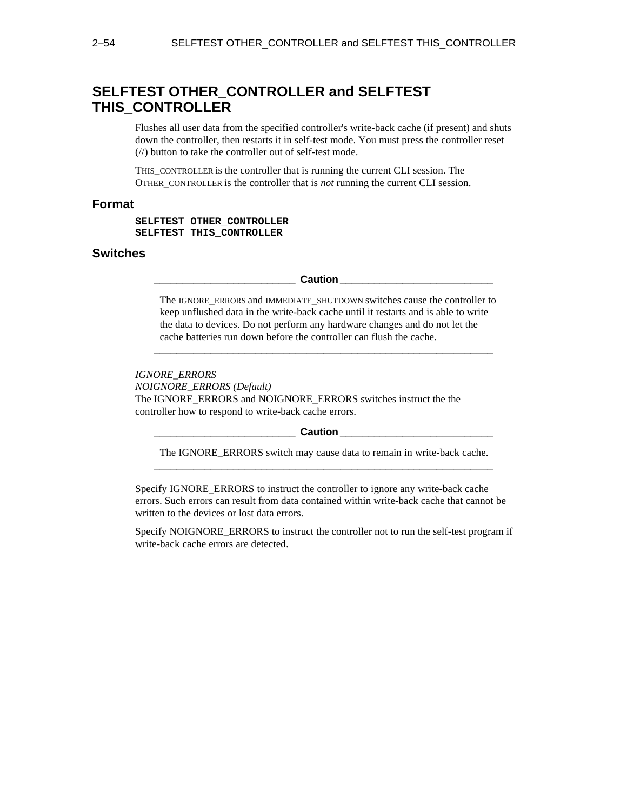# **SELFTEST OTHER\_CONTROLLER and SELFTEST THIS\_CONTROLLER**

Flushes all user data from the specified controller's write-back cache (if present) and shuts down the controller, then restarts it in self-test mode. You must press the controller reset (//) button to take the controller out of self-test mode.

THIS\_CONTROLLER is the controller that is running the current CLI session. The OTHER\_CONTROLLER is the controller that is *not* running the current CLI session.

### **Format**

**SELFTEST OTHER\_CONTROLLER SELFTEST THIS\_CONTROLLER**

## **Switches**

**Caution Caution** 

The IGNORE\_ERRORS and IMMEDIATE\_SHUTDOWN switches cause the controller to keep unflushed data in the write-back cache until it restarts and is able to write the data to devices. Do not perform any hardware changes and do not let the cache batteries run down before the controller can flush the cache.

**\_\_\_\_\_\_\_\_\_\_\_\_\_\_\_\_\_\_\_\_\_\_\_\_\_\_\_\_\_\_\_\_\_\_\_\_\_\_\_\_\_\_\_\_\_\_\_\_\_\_\_\_\_\_\_\_\_\_\_\_**

#### *IGNORE\_ERRORS*

*NOIGNORE\_ERRORS (Default)* The IGNORE\_ERRORS and NOIGNORE\_ERRORS switches instruct the the

controller how to respond to write-back cache errors.

#### **Caution Letter**

The IGNORE\_ERRORS switch may cause data to remain in write-back cache. **\_\_\_\_\_\_\_\_\_\_\_\_\_\_\_\_\_\_\_\_\_\_\_\_\_\_\_\_\_\_\_\_\_\_\_\_\_\_\_\_\_\_\_\_\_\_\_\_\_\_\_\_\_\_\_\_\_\_\_\_**

Specify IGNORE\_ERRORS to instruct the controller to ignore any write-back cache errors. Such errors can result from data contained within write-back cache that cannot be written to the devices or lost data errors.

Specify NOIGNORE\_ERRORS to instruct the controller not to run the self-test program if write-back cache errors are detected.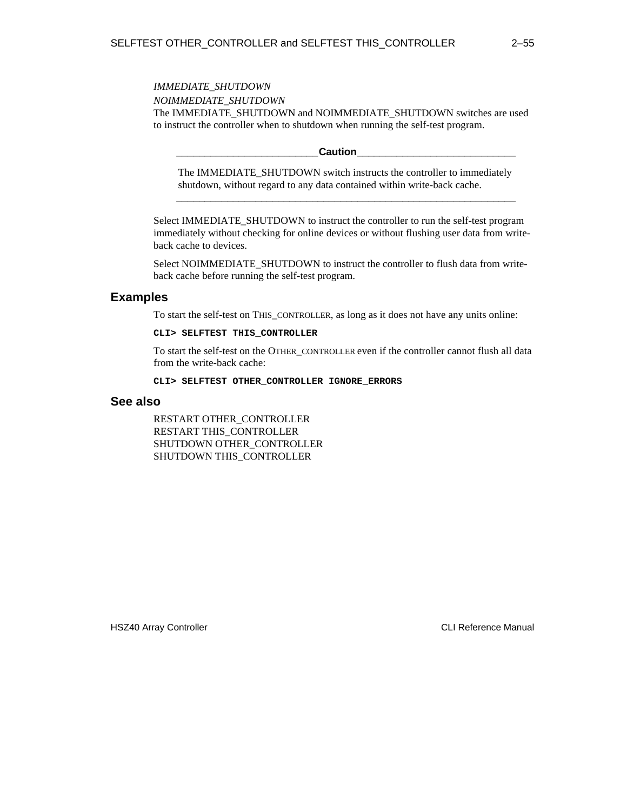*IMMEDIATE\_SHUTDOWN NOIMMEDIATE\_SHUTDOWN* The IMMEDIATE\_SHUTDOWN and NOIMMEDIATE\_SHUTDOWN switches are used to instruct the controller when to shutdown when running the self-test program.

 $\sf {Caution}$ 

The IMMEDIATE\_SHUTDOWN switch instructs the controller to immediately shutdown, without regard to any data contained within write-back cache. **\_\_\_\_\_\_\_\_\_\_\_\_\_\_\_\_\_\_\_\_\_\_\_\_\_\_\_\_\_\_\_\_\_\_\_\_\_\_\_\_\_\_\_\_\_\_\_\_\_\_\_\_\_\_\_\_\_\_\_\_**

Select IMMEDIATE\_SHUTDOWN to instruct the controller to run the self-test program immediately without checking for online devices or without flushing user data from writeback cache to devices.

Select NOIMMEDIATE\_SHUTDOWN to instruct the controller to flush data from writeback cache before running the self-test program.

## **Examples**

To start the self-test on THIS\_CONTROLLER, as long as it does not have any units online:

#### **CLI> SELFTEST THIS\_CONTROLLER**

To start the self-test on the OTHER\_CONTROLLER even if the controller cannot flush all data from the write-back cache:

**CLI> SELFTEST OTHER\_CONTROLLER IGNORE\_ERRORS**

### **See also**

RESTART OTHER\_CONTROLLER RESTART THIS\_CONTROLLER SHUTDOWN OTHER\_CONTROLLER SHUTDOWN THIS\_CONTROLLER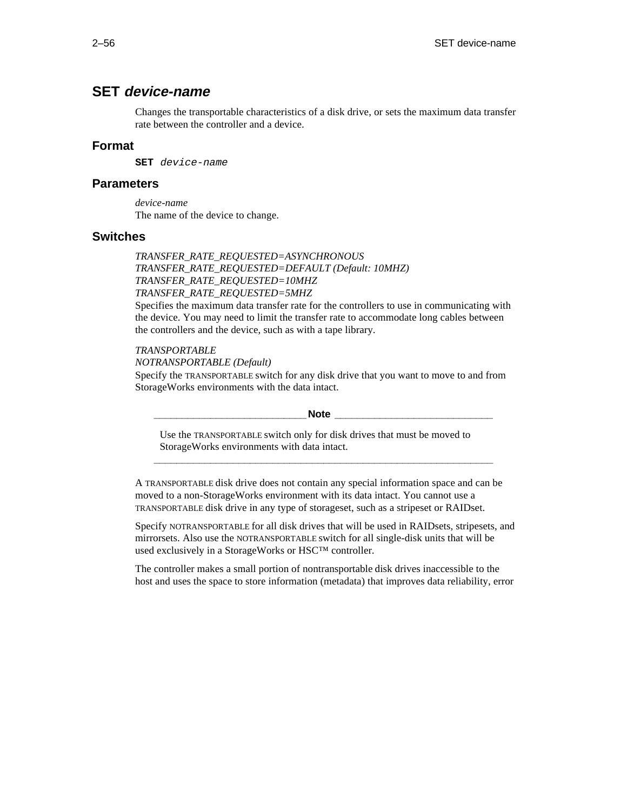# **SET device-name**

Changes the transportable characteristics of a disk drive, or sets the maximum data transfer rate between the controller and a device.

## **Format**

**SET** device-name

## **Parameters**

*device-name* The name of the device to change.

## **Switches**

*TRANSFER\_RATE\_REQUESTED=ASYNCHRONOUS TRANSFER\_RATE\_REQUESTED=DEFAULT (Default: 10MHZ) TRANSFER\_RATE\_REQUESTED=10MHZ TRANSFER\_RATE\_REQUESTED=5MHZ*

Specifies the maximum data transfer rate for the controllers to use in communicating with the device. You may need to limit the transfer rate to accommodate long cables between the controllers and the device, such as with a tape library.

#### *TRANSPORTABLE*

*NOTRANSPORTABLE (Default)*

Specify the TRANSPORTABLE switch for any disk drive that you want to move to and from StorageWorks environments with the data intact.

#### **\_\_\_\_\_\_\_\_\_\_\_\_\_\_\_\_\_\_\_\_\_\_\_\_\_\_\_Note \_\_\_\_\_\_\_\_\_\_\_\_\_\_\_\_\_\_\_\_\_\_\_\_\_\_\_\_**

Use the TRANSPORTABLE switch only for disk drives that must be moved to StorageWorks environments with data intact.

**\_\_\_\_\_\_\_\_\_\_\_\_\_\_\_\_\_\_\_\_\_\_\_\_\_\_\_\_\_\_\_\_\_\_\_\_\_\_\_\_\_\_\_\_\_\_\_\_\_\_\_\_\_\_\_\_\_\_\_\_**

A TRANSPORTABLE disk drive does not contain any special information space and can be moved to a non-StorageWorks environment with its data intact. You cannot use a TRANSPORTABLE disk drive in any type of storageset, such as a stripeset or RAIDset.

Specify NOTRANSPORTABLE for all disk drives that will be used in RAIDsets, stripesets, and mirrorsets. Also use the NOTRANSPORTABLE switch for all single-disk units that will be used exclusively in a StorageWorks or HSC™ controller.

The controller makes a small portion of nontransportable disk drives inaccessible to the host and uses the space to store information (metadata) that improves data reliability, error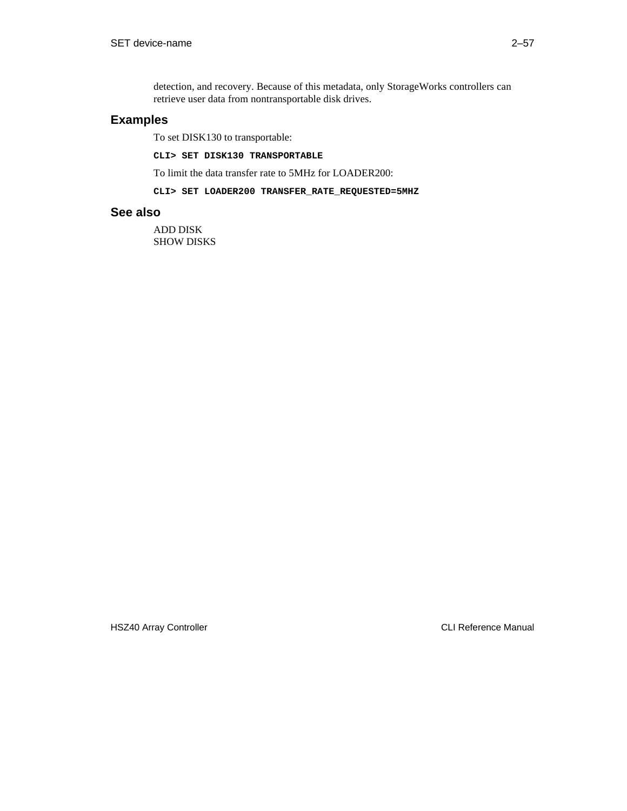detection, and recovery. Because of this metadata, only StorageWorks controllers can retrieve user data from nontransportable disk drives.

## **Examples**

To set DISK130 to transportable:

**CLI> SET DISK130 TRANSPORTABLE**

To limit the data transfer rate to 5MHz for LOADER200:

#### **CLI> SET LOADER200 TRANSFER\_RATE\_REQUESTED=5MHZ**

### **See also**

ADD DISK SHOW DISKS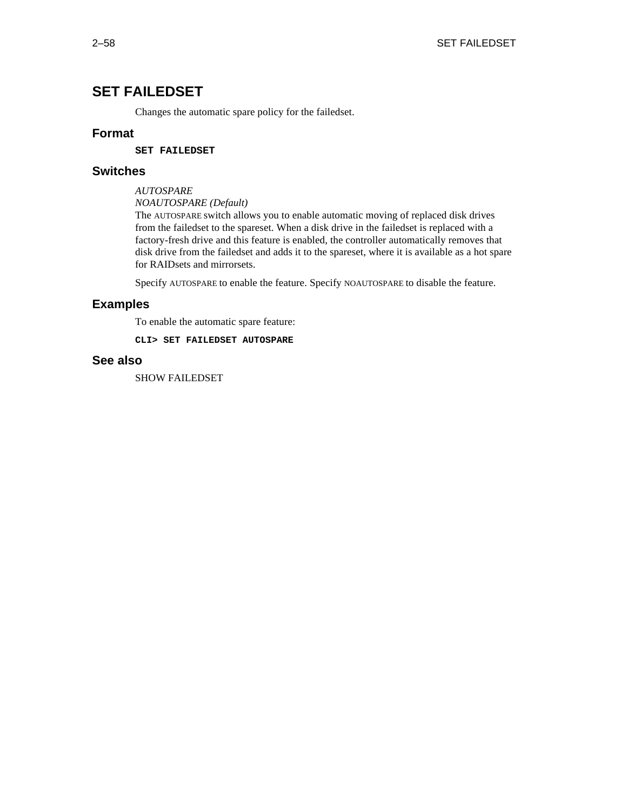# **SET FAILEDSET**

Changes the automatic spare policy for the failedset.

## **Format**

**SET FAILEDSET**

## **Switches**

*AUTOSPARE*

*NOAUTOSPARE (Default)*

The AUTOSPARE switch allows you to enable automatic moving of replaced disk drives from the failedset to the spareset. When a disk drive in the failedset is replaced with a factory-fresh drive and this feature is enabled, the controller automatically removes that disk drive from the failedset and adds it to the spareset, where it is available as a hot spare for RAIDsets and mirrorsets.

Specify AUTOSPARE to enable the feature. Specify NOAUTOSPARE to disable the feature.

## **Examples**

To enable the automatic spare feature:

**CLI> SET FAILEDSET AUTOSPARE**

## **See also**

SHOW FAILEDSET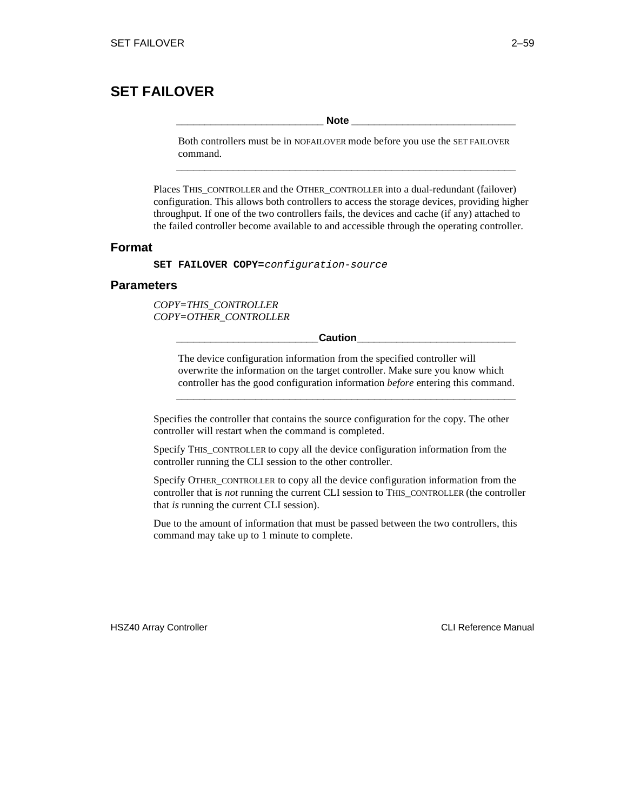# **SET FAILOVER**

**\_\_\_\_\_\_\_\_\_\_\_\_\_\_\_\_\_\_\_\_\_\_\_\_\_\_ Note \_\_\_\_\_\_\_\_\_\_\_\_\_\_\_\_\_\_\_\_\_\_\_\_\_\_\_\_\_**

Both controllers must be in NOFAILOVER mode before you use the SET FAILOVER command. **\_\_\_\_\_\_\_\_\_\_\_\_\_\_\_\_\_\_\_\_\_\_\_\_\_\_\_\_\_\_\_\_\_\_\_\_\_\_\_\_\_\_\_\_\_\_\_\_\_\_\_\_\_\_\_\_\_\_\_\_**

Places THIS\_CONTROLLER and the OTHER\_CONTROLLER into a dual-redundant (failover) configuration. This allows both controllers to access the storage devices, providing higher throughput. If one of the two controllers fails, the devices and cache (if any) attached to the failed controller become available to and accessible through the operating controller.

## **Format**

**SET FAILOVER COPY=**configuration-source

## **Parameters**

*COPY=THIS\_CONTROLLER COPY=OTHER\_CONTROLLER*

**\_\_\_\_\_\_\_\_\_\_\_\_\_\_\_\_\_\_\_\_\_\_\_\_\_Caution\_\_\_\_\_\_\_\_\_\_\_\_\_\_\_\_\_\_\_\_\_\_\_\_\_\_\_\_**

The device configuration information from the specified controller will overwrite the information on the target controller. Make sure you know which controller has the good configuration information *before* entering this command.

**\_\_\_\_\_\_\_\_\_\_\_\_\_\_\_\_\_\_\_\_\_\_\_\_\_\_\_\_\_\_\_\_\_\_\_\_\_\_\_\_\_\_\_\_\_\_\_\_\_\_\_\_\_\_\_\_\_\_\_\_**

Specifies the controller that contains the source configuration for the copy. The other controller will restart when the command is completed.

Specify THIS\_CONTROLLER to copy all the device configuration information from the controller running the CLI session to the other controller.

Specify OTHER\_CONTROLLER to copy all the device configuration information from the controller that is *not* running the current CLI session to THIS\_CONTROLLER (the controller that *is* running the current CLI session).

Due to the amount of information that must be passed between the two controllers, this command may take up to 1 minute to complete.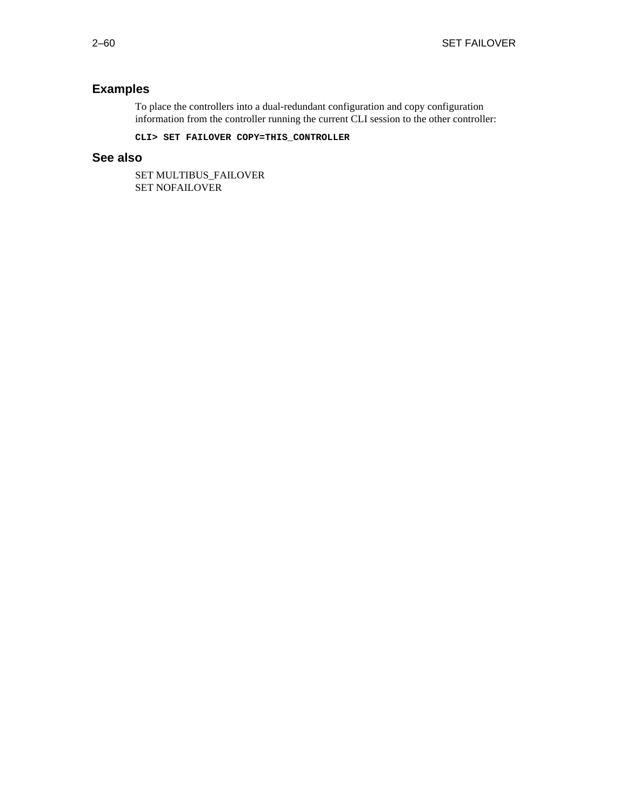# **Examples**

To place the controllers into a dual-redundant configuration and copy configuration information from the controller running the current CLI session to the other controller:

**CLI> SET FAILOVER COPY=THIS\_CONTROLLER**

## **See also**

SET MULTIBUS\_FAILOVER SET NOFAILOVER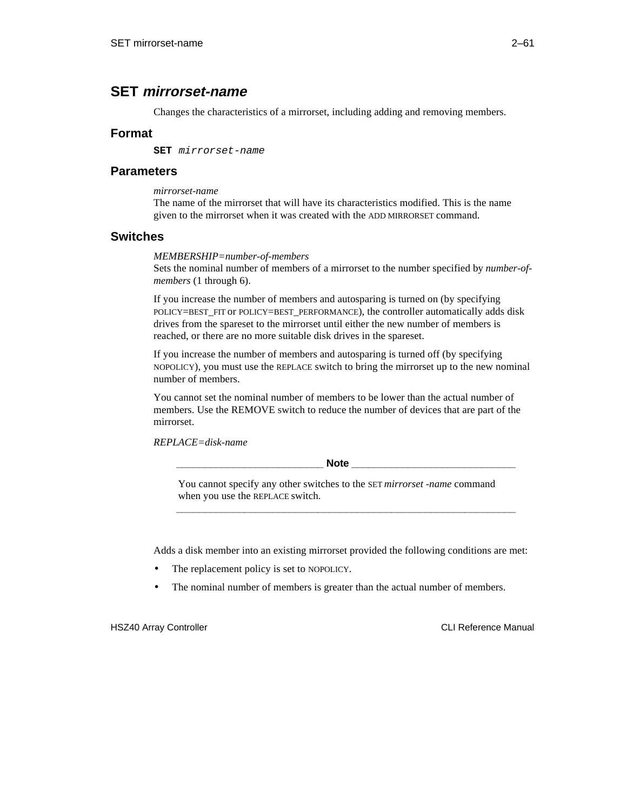# **SET mirrorset-name**

Changes the characteristics of a mirrorset, including adding and removing members.

## **Format**

**SET** mirrorset-name

## **Parameters**

*mirrorset-name*

The name of the mirrorset that will have its characteristics modified. This is the name given to the mirrorset when it was created with the ADD MIRRORSET command.

## **Switches**

#### *MEMBERSHIP=number-of-members*

Sets the nominal number of members of a mirrorset to the number specified by *number-ofmembers* (1 through 6).

If you increase the number of members and autosparing is turned on (by specifying POLICY=BEST\_FIT or POLICY=BEST\_PERFORMANCE), the controller automatically adds disk drives from the spareset to the mirrorset until either the new number of members is reached, or there are no more suitable disk drives in the spareset.

If you increase the number of members and autosparing is turned off (by specifying NOPOLICY), you must use the REPLACE switch to bring the mirrorset up to the new nominal number of members.

You cannot set the nominal number of members to be lower than the actual number of members. Use the REMOVE switch to reduce the number of devices that are part of the mirrorset.

*REPLACE=disk-name*

 $\bf Note$ 

You cannot specify any other switches to the SET *mirrorset -name* command when you use the REPLACE switch.

**\_\_\_\_\_\_\_\_\_\_\_\_\_\_\_\_\_\_\_\_\_\_\_\_\_\_\_\_\_\_\_\_\_\_\_\_\_\_\_\_\_\_\_\_\_\_\_\_\_\_\_\_\_\_\_\_\_\_\_\_**

Adds a disk member into an existing mirrorset provided the following conditions are met:

- The replacement policy is set to NOPOLICY.
- The nominal number of members is greater than the actual number of members.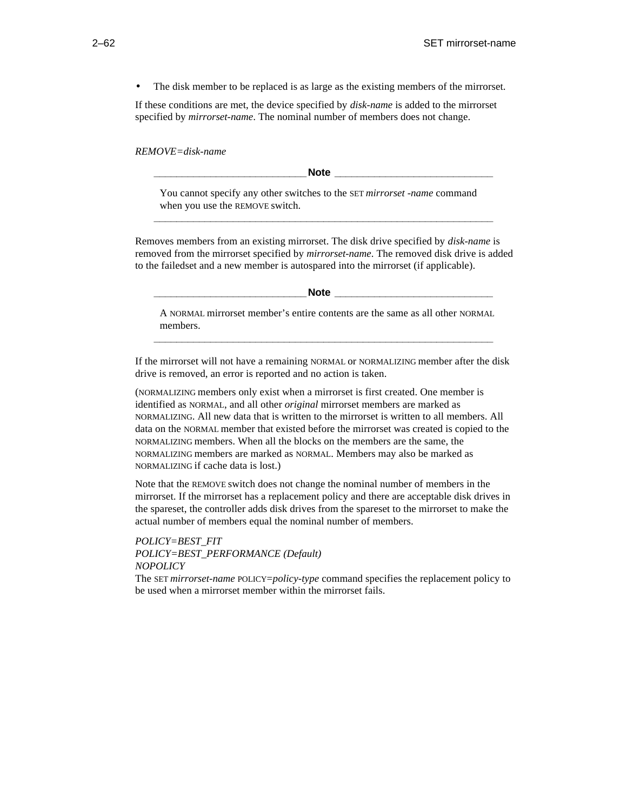• The disk member to be replaced is as large as the existing members of the mirrorset.

If these conditions are met, the device specified by *disk-name* is added to the mirrorset specified by *mirrorset-name*. The nominal number of members does not change.

*REMOVE=disk-name*

**\_\_\_\_\_\_\_\_\_\_\_\_\_\_\_\_\_\_\_\_\_\_\_\_\_\_\_Note \_\_\_\_\_\_\_\_\_\_\_\_\_\_\_\_\_\_\_\_\_\_\_\_\_\_\_\_**

You cannot specify any other switches to the SET *mirrorset -name* command when you use the REMOVE switch. **\_\_\_\_\_\_\_\_\_\_\_\_\_\_\_\_\_\_\_\_\_\_\_\_\_\_\_\_\_\_\_\_\_\_\_\_\_\_\_\_\_\_\_\_\_\_\_\_\_\_\_\_\_\_\_\_\_\_\_\_**

Removes members from an existing mirrorset. The disk drive specified by *disk-name* is removed from the mirrorset specified by *mirrorset-name*. The removed disk drive is added to the failedset and a new member is autospared into the mirrorset (if applicable).

**\_\_\_\_\_\_\_\_\_\_\_\_\_\_\_\_\_\_\_\_\_\_\_\_\_\_\_Note \_\_\_\_\_\_\_\_\_\_\_\_\_\_\_\_\_\_\_\_\_\_\_\_\_\_\_\_**

A NORMAL mirrorset member's entire contents are the same as all other NORMAL members.

If the mirrorset will not have a remaining NORMAL or NORMALIZING member after the disk drive is removed, an error is reported and no action is taken.

**\_\_\_\_\_\_\_\_\_\_\_\_\_\_\_\_\_\_\_\_\_\_\_\_\_\_\_\_\_\_\_\_\_\_\_\_\_\_\_\_\_\_\_\_\_\_\_\_\_\_\_\_\_\_\_\_\_\_\_\_**

(NORMALIZING members only exist when a mirrorset is first created. One member is identified as NORMAL, and all other *original* mirrorset members are marked as NORMALIZING. All new data that is written to the mirrorset is written to all members. All data on the NORMAL member that existed before the mirrorset was created is copied to the NORMALIZING members. When all the blocks on the members are the same, the NORMALIZING members are marked as NORMAL. Members may also be marked as NORMALIZING if cache data is lost.)

Note that the REMOVE switch does not change the nominal number of members in the mirrorset. If the mirrorset has a replacement policy and there are acceptable disk drives in the spareset, the controller adds disk drives from the spareset to the mirrorset to make the actual number of members equal the nominal number of members.

*POLICY=BEST\_FIT POLICY=BEST\_PERFORMANCE (Default) NOPOLICY*

The SET *mirrorset-name* POLICY=*policy-type* command specifies the replacement policy to be used when a mirrorset member within the mirrorset fails.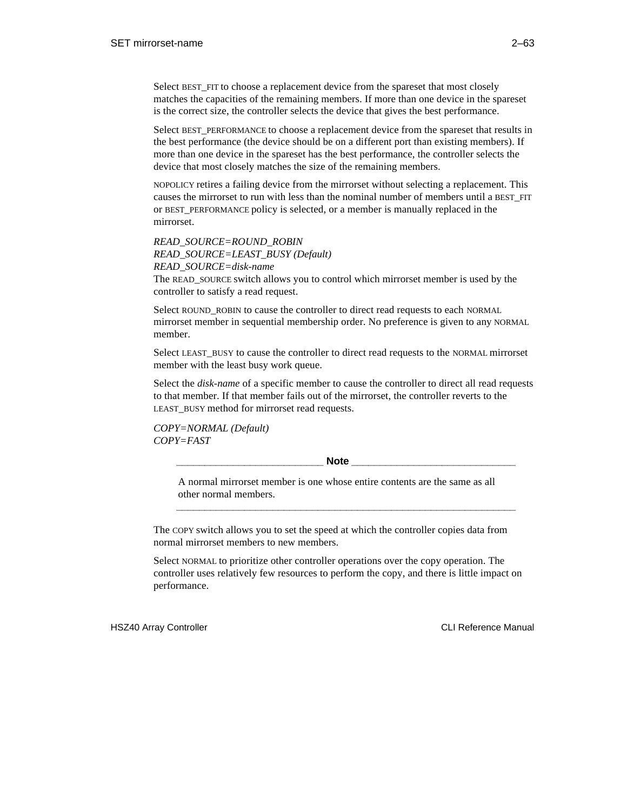Select BEST FIT to choose a replacement device from the spareset that most closely matches the capacities of the remaining members. If more than one device in the spareset is the correct size, the controller selects the device that gives the best performance.

Select BEST\_PERFORMANCE to choose a replacement device from the spareset that results in the best performance (the device should be on a different port than existing members). If more than one device in the spareset has the best performance, the controller selects the device that most closely matches the size of the remaining members.

NOPOLICY retires a failing device from the mirrorset without selecting a replacement. This causes the mirrorset to run with less than the nominal number of members until a BEST\_FIT or BEST\_PERFORMANCE policy is selected, or a member is manually replaced in the mirrorset.

*READ\_SOURCE=ROUND\_ROBIN READ\_SOURCE=LEAST\_BUSY (Default) READ\_SOURCE=disk-name*

The READ\_SOURCE switch allows you to control which mirrorset member is used by the controller to satisfy a read request.

Select ROUND\_ROBIN to cause the controller to direct read requests to each NORMAL mirrorset member in sequential membership order. No preference is given to any NORMAL member.

Select LEAST\_BUSY to cause the controller to direct read requests to the NORMAL mirrorset member with the least busy work queue.

Select the *disk-name* of a specific member to cause the controller to direct all read requests to that member. If that member fails out of the mirrorset, the controller reverts to the LEAST BUSY method for mirrorset read requests.

*COPY=NORMAL (Default) COPY=FAST*

Note **Note** 

A normal mirrorset member is one whose entire contents are the same as all other normal members.

**\_\_\_\_\_\_\_\_\_\_\_\_\_\_\_\_\_\_\_\_\_\_\_\_\_\_\_\_\_\_\_\_\_\_\_\_\_\_\_\_\_\_\_\_\_\_\_\_\_\_\_\_\_\_\_\_\_\_\_\_**

The COPY switch allows you to set the speed at which the controller copies data from normal mirrorset members to new members.

Select NORMAL to prioritize other controller operations over the copy operation. The controller uses relatively few resources to perform the copy, and there is little impact on performance.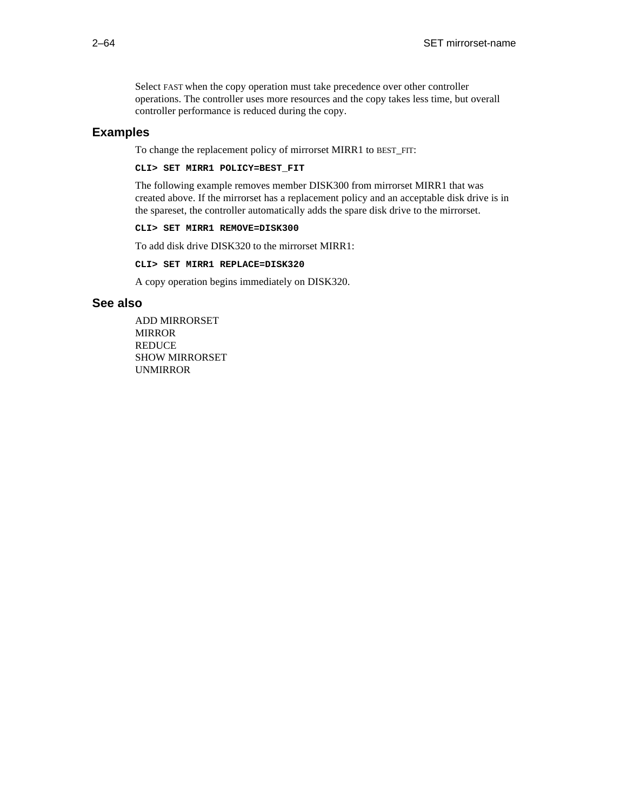Select FAST when the copy operation must take precedence over other controller operations. The controller uses more resources and the copy takes less time, but overall controller performance is reduced during the copy.

## **Examples**

To change the replacement policy of mirrorset MIRR1 to BEST\_FIT:

**CLI> SET MIRR1 POLICY=BEST\_FIT**

The following example removes member DISK300 from mirrorset MIRR1 that was created above. If the mirrorset has a replacement policy and an acceptable disk drive is in the spareset, the controller automatically adds the spare disk drive to the mirrorset.

**CLI> SET MIRR1 REMOVE=DISK300**

To add disk drive DISK320 to the mirrorset MIRR1:

**CLI> SET MIRR1 REPLACE=DISK320**

A copy operation begins immediately on DISK320.

## **See also**

ADD MIRRORSET MIRROR **REDUCE** SHOW MIRRORSET UNMIRROR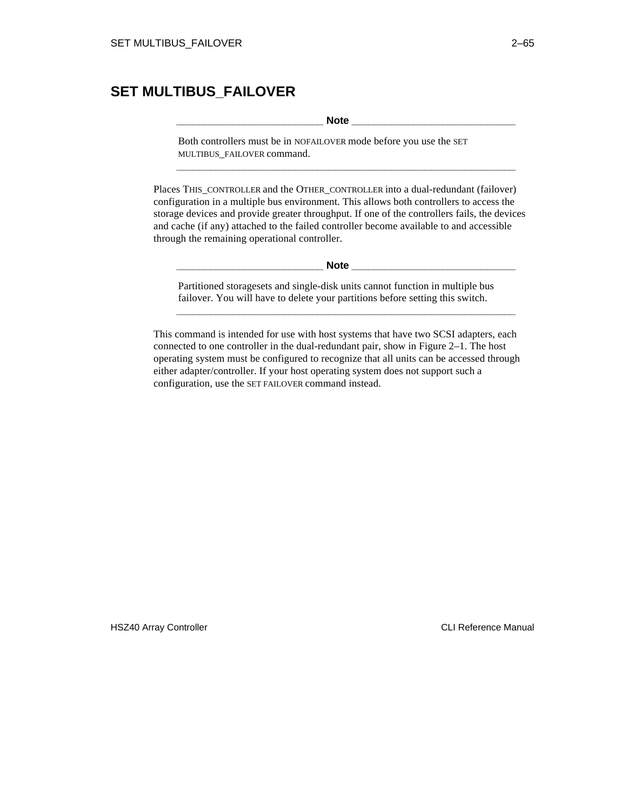# **SET MULTIBUS\_FAILOVER**

**\_\_\_\_\_\_\_\_\_\_\_\_\_\_\_\_\_\_\_\_\_\_\_\_\_\_ Note \_\_\_\_\_\_\_\_\_\_\_\_\_\_\_\_\_\_\_\_\_\_\_\_\_\_\_\_\_**

Both controllers must be in NOFAILOVER mode before you use the SET MULTIBUS\_FAILOVER command.

Places THIS\_CONTROLLER and the OTHER\_CONTROLLER into a dual-redundant (failover) configuration in a multiple bus environment. This allows both controllers to access the storage devices and provide greater throughput. If one of the controllers fails, the devices and cache (if any) attached to the failed controller become available to and accessible through the remaining operational controller.

**\_\_\_\_\_\_\_\_\_\_\_\_\_\_\_\_\_\_\_\_\_\_\_\_\_\_\_\_\_\_\_\_\_\_\_\_\_\_\_\_\_\_\_\_\_\_\_\_\_\_\_\_\_\_\_\_\_\_\_\_**

 $\bf Note$ 

Partitioned storagesets and single-disk units cannot function in multiple bus failover. You will have to delete your partitions before setting this switch.

**\_\_\_\_\_\_\_\_\_\_\_\_\_\_\_\_\_\_\_\_\_\_\_\_\_\_\_\_\_\_\_\_\_\_\_\_\_\_\_\_\_\_\_\_\_\_\_\_\_\_\_\_\_\_\_\_\_\_\_\_**

This command is intended for use with host systems that have two SCSI adapters, each connected to one controller in the dual-redundant pair, show in Figure 2–1. The host operating system must be configured to recognize that all units can be accessed through either adapter/controller. If your host operating system does not support such a configuration, use the SET FAILOVER command instead.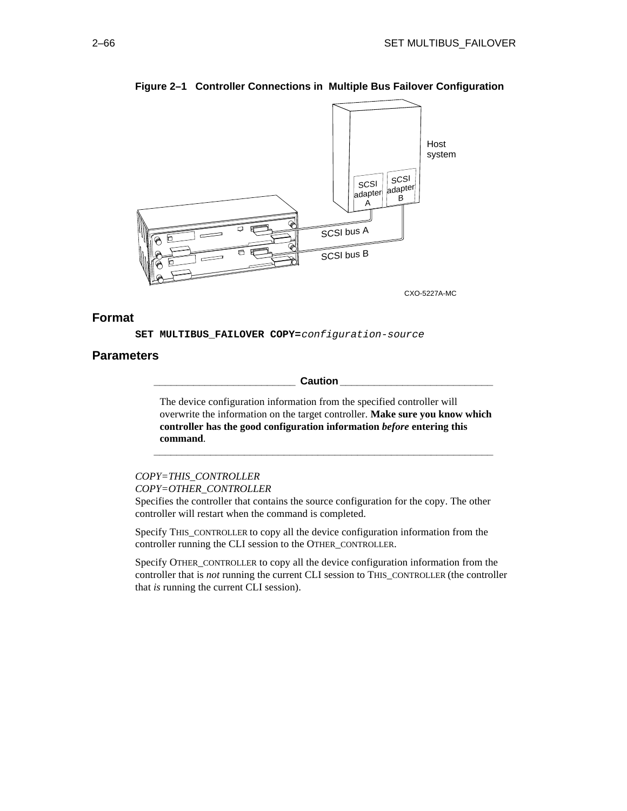

## **Figure 2–1 Controller Connections in Multiple Bus Failover Configuration**

CXO-5227A-MC

## **Format**

**SET MULTIBUS\_FAILOVER COPY=**configuration-source

## **Parameters**

**\_\_\_\_\_\_\_\_\_\_\_\_\_\_\_\_\_\_\_\_\_\_\_\_\_ Caution \_\_\_\_\_\_\_\_\_\_\_\_\_\_\_\_\_\_\_\_\_\_\_\_\_\_\_**

The device configuration information from the specified controller will overwrite the information on the target controller. **Make sure you know which controller has the good configuration information** *before* **entering this command**.

**\_\_\_\_\_\_\_\_\_\_\_\_\_\_\_\_\_\_\_\_\_\_\_\_\_\_\_\_\_\_\_\_\_\_\_\_\_\_\_\_\_\_\_\_\_\_\_\_\_\_\_\_\_\_\_\_\_\_\_\_**

*COPY=THIS\_CONTROLLER COPY=OTHER\_CONTROLLER*

Specifies the controller that contains the source configuration for the copy. The other controller will restart when the command is completed.

Specify THIS\_CONTROLLER to copy all the device configuration information from the controller running the CLI session to the OTHER\_CONTROLLER.

Specify OTHER\_CONTROLLER to copy all the device configuration information from the controller that is *not* running the current CLI session to THIS\_CONTROLLER (the controller that *is* running the current CLI session).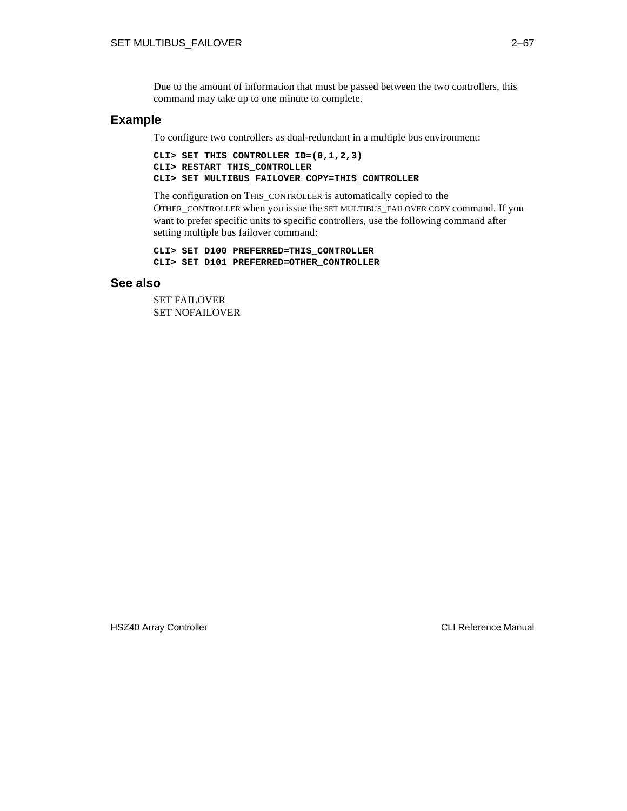Due to the amount of information that must be passed between the two controllers, this command may take up to one minute to complete.

## **Example**

To configure two controllers as dual-redundant in a multiple bus environment:

```
CLI> SET THIS_CONTROLLER ID=(0,1,2,3)
CLI> RESTART THIS_CONTROLLER
CLI> SET MULTIBUS_FAILOVER COPY=THIS_CONTROLLER
```
The configuration on THIS\_CONTROLLER is automatically copied to the OTHER\_CONTROLLER when you issue the SET MULTIBUS\_FAILOVER COPY command. If you want to prefer specific units to specific controllers, use the following command after setting multiple bus failover command:

```
CLI> SET D100 PREFERRED=THIS_CONTROLLER
CLI> SET D101 PREFERRED=OTHER_CONTROLLER
```
## **See also**

SET FAILOVER SET NOFAILOVER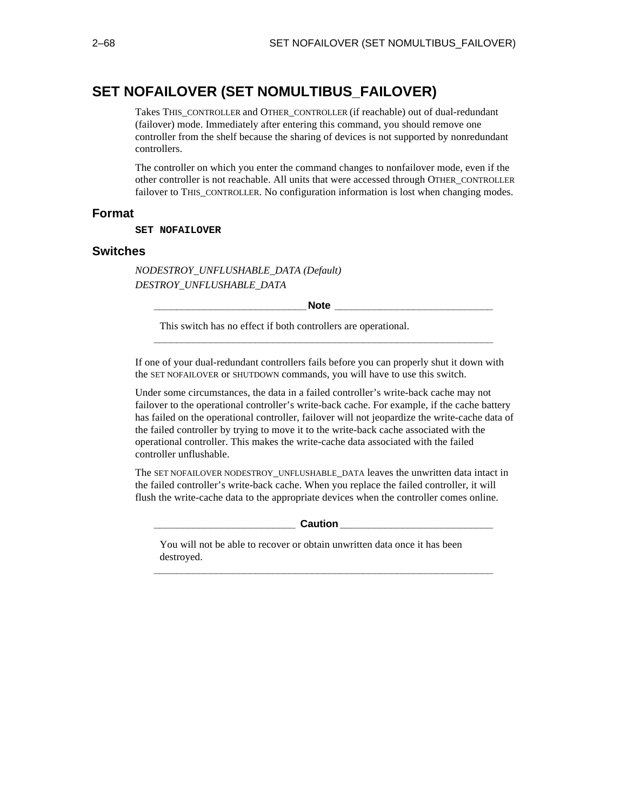# **SET NOFAILOVER (SET NOMULTIBUS\_FAILOVER)**

Takes THIS\_CONTROLLER and OTHER\_CONTROLLER (if reachable) out of dual-redundant (failover) mode. Immediately after entering this command, you should remove one controller from the shelf because the sharing of devices is not supported by nonredundant controllers.

The controller on which you enter the command changes to nonfailover mode, even if the other controller is not reachable. All units that were accessed through OTHER\_CONTROLLER failover to THIS\_CONTROLLER. No configuration information is lost when changing modes.

## **Format**

#### **SET NOFAILOVER**

#### **Switches**

*NODESTROY\_UNFLUSHABLE\_DATA (Default) DESTROY\_UNFLUSHABLE\_DATA*

**\_\_\_\_\_\_\_\_\_\_\_\_\_\_\_\_\_\_\_\_\_\_\_\_\_\_\_Note \_\_\_\_\_\_\_\_\_\_\_\_\_\_\_\_\_\_\_\_\_\_\_\_\_\_\_\_**

**\_\_\_\_\_\_\_\_\_\_\_\_\_\_\_\_\_\_\_\_\_\_\_\_\_\_\_\_\_\_\_\_\_\_\_\_\_\_\_\_\_\_\_\_\_\_\_\_\_\_\_\_\_\_\_\_\_\_\_\_**

This switch has no effect if both controllers are operational.

If one of your dual-redundant controllers fails before you can properly shut it down with the SET NOFAILOVER or SHUTDOWN commands, you will have to use this switch.

Under some circumstances, the data in a failed controller's write-back cache may not failover to the operational controller's write-back cache. For example, if the cache battery has failed on the operational controller, failover will not jeopardize the write-cache data of the failed controller by trying to move it to the write-back cache associated with the operational controller. This makes the write-cache data associated with the failed controller unflushable.

The SET NOFAILOVER NODESTROY\_UNFLUSHABLE\_DATA leaves the unwritten data intact in the failed controller's write-back cache. When you replace the failed controller, it will flush the write-cache data to the appropriate devices when the controller comes online.

 $\blacksquare$  Caution  $\blacksquare$ 

**\_\_\_\_\_\_\_\_\_\_\_\_\_\_\_\_\_\_\_\_\_\_\_\_\_\_\_\_\_\_\_\_\_\_\_\_\_\_\_\_\_\_\_\_\_\_\_\_\_\_\_\_\_\_\_\_\_\_\_\_**

You will not be able to recover or obtain unwritten data once it has been destroyed.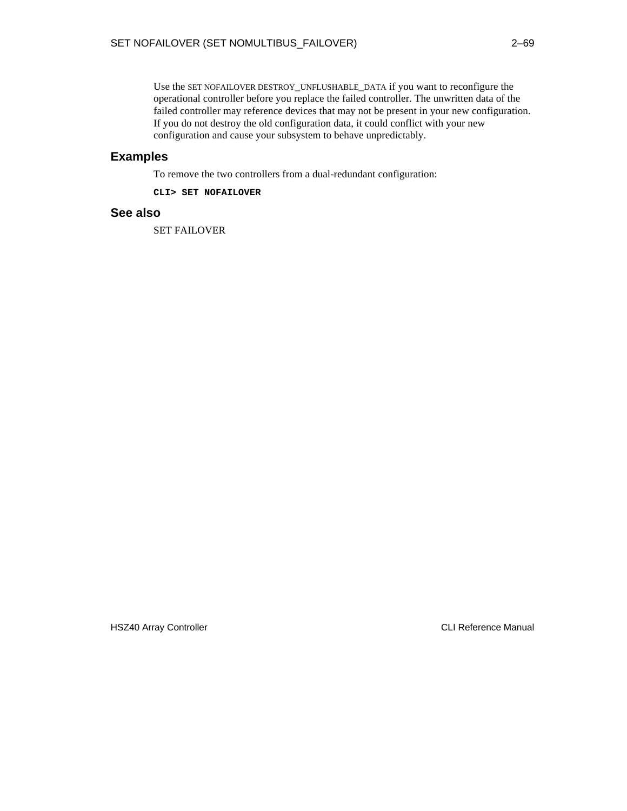Use the SET NOFAILOVER DESTROY\_UNFLUSHABLE\_DATA if you want to reconfigure the operational controller before you replace the failed controller. The unwritten data of the failed controller may reference devices that may not be present in your new configuration. If you do not destroy the old configuration data, it could conflict with your new configuration and cause your subsystem to behave unpredictably.

## **Examples**

To remove the two controllers from a dual-redundant configuration:

**CLI> SET NOFAILOVER**

## **See also**

SET FAILOVER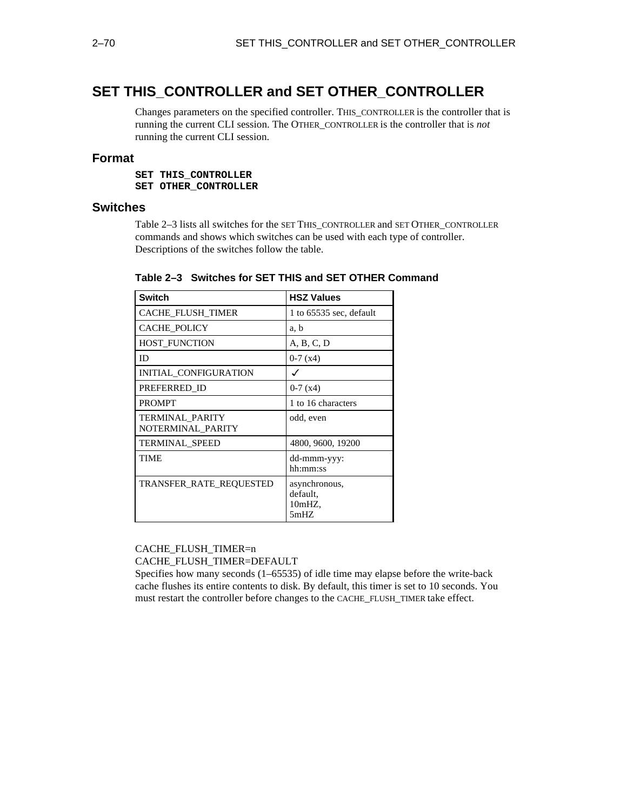# **SET THIS\_CONTROLLER and SET OTHER\_CONTROLLER**

Changes parameters on the specified controller. THIS\_CONTROLLER is the controller that is running the current CLI session. The OTHER\_CONTROLLER is the controller that is *not* running the current CLI session.

## **Format**

**SET THIS\_CONTROLLER SET OTHER\_CONTROLLER**

## **Switches**

Table 2–3 lists all switches for the SET THIS\_CONTROLLER and SET OTHER\_CONTROLLER commands and shows which switches can be used with each type of controller. Descriptions of the switches follow the table.

| <b>Switch</b>                        | <b>HSZ Values</b>                              |
|--------------------------------------|------------------------------------------------|
| CACHE_FLUSH_TIMER                    | 1 to $65535$ sec, default                      |
| <b>CACHE POLICY</b>                  | a, b                                           |
| <b>HOST FUNCTION</b>                 | A, B, C, D                                     |
| ID                                   | $0-7(x4)$                                      |
| INITIAL CONFIGURATION                |                                                |
| PREFERRED ID                         | $0-7(x4)$                                      |
| <b>PROMPT</b>                        | 1 to 16 characters                             |
| TERMINAL_PARITY<br>NOTERMINAL PARITY | odd, even                                      |
| <b>TERMINAL SPEED</b>                | 4800, 9600, 19200                              |
| TIME                                 | dd-mmm-yyy:<br>hh:mm:ss                        |
| TRANSFER RATE REQUESTED              | asynchronous,<br>default.<br>10mHZ.<br>$5m$ HZ |

**Table 2–3 Switches for SET THIS and SET OTHER Command**

## CACHE\_FLUSH\_TIMER=n CACHE\_FLUSH\_TIMER=DEFAULT

Specifies how many seconds (1–65535) of idle time may elapse before the write-back cache flushes its entire contents to disk. By default, this timer is set to 10 seconds. You must restart the controller before changes to the CACHE\_FLUSH\_TIMER take effect.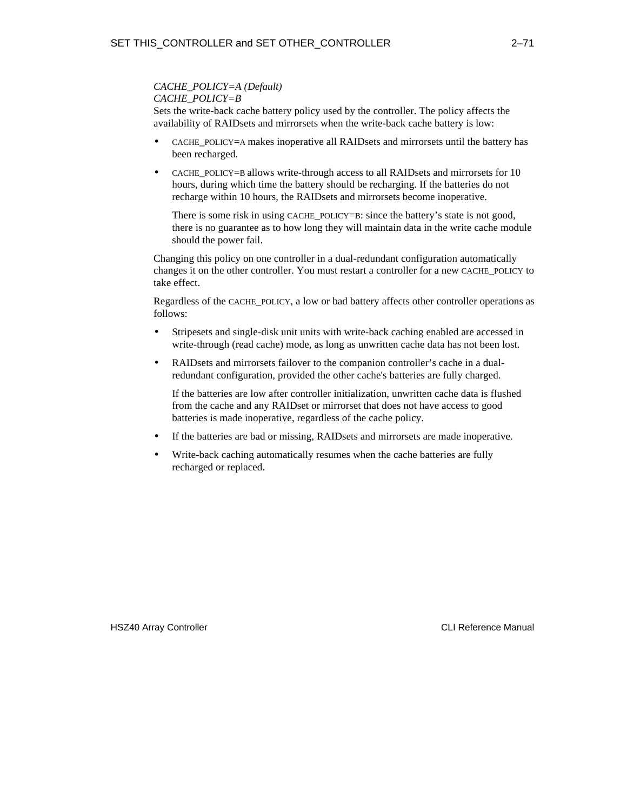#### *CACHE\_POLICY=A (Default) CACHE\_POLICY=B*

Sets the write-back cache battery policy used by the controller. The policy affects the availability of RAIDsets and mirrorsets when the write-back cache battery is low:

- CACHE\_POLICY=A makes inoperative all RAIDsets and mirrorsets until the battery has been recharged.
- CACHE\_POLICY=B allows write-through access to all RAIDsets and mirrorsets for 10 hours, during which time the battery should be recharging. If the batteries do not recharge within 10 hours, the RAIDsets and mirrorsets become inoperative.

There is some risk in using CACHE POLICY=B: since the battery's state is not good, there is no guarantee as to how long they will maintain data in the write cache module should the power fail.

Changing this policy on one controller in a dual-redundant configuration automatically changes it on the other controller. You must restart a controller for a new CACHE\_POLICY to take effect.

Regardless of the CACHE\_POLICY, a low or bad battery affects other controller operations as follows:

- Stripesets and single-disk unit units with write-back caching enabled are accessed in write-through (read cache) mode, as long as unwritten cache data has not been lost.
- RAIDsets and mirrorsets failover to the companion controller's cache in a dualredundant configuration, provided the other cache's batteries are fully charged.

 If the batteries are low after controller initialization, unwritten cache data is flushed from the cache and any RAIDset or mirrorset that does not have access to good batteries is made inoperative, regardless of the cache policy.

- If the batteries are bad or missing, RAIDsets and mirrorsets are made inoperative.
- Write-back caching automatically resumes when the cache batteries are fully recharged or replaced.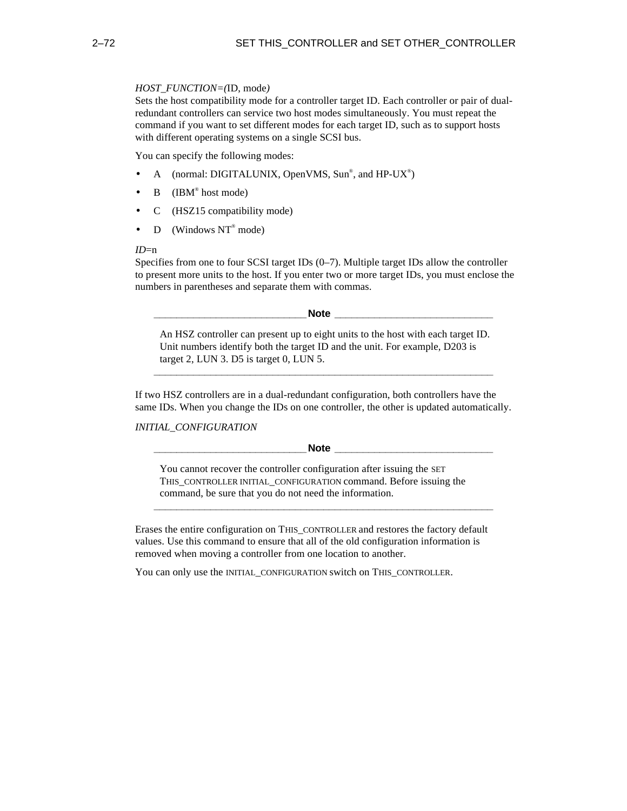#### *HOST\_FUNCTION=(*ID, mode*)*

Sets the host compatibility mode for a controller target ID. Each controller or pair of dualredundant controllers can service two host modes simultaneously. You must repeat the command if you want to set different modes for each target ID, such as to support hosts with different operating systems on a single SCSI bus.

You can specify the following modes:

- A (normal: DIGITALUNIX, OpenVMS, Sun®, and HP-UX®)
- B  $\left($  IBM<sup>®</sup> host mode)
- C (HSZ15 compatibility mode)
- D (Windows  $NT^{\circ}$  mode)

#### *ID*=n

Specifies from one to four SCSI target IDs (0–7). Multiple target IDs allow the controller to present more units to the host. If you enter two or more target IDs, you must enclose the numbers in parentheses and separate them with commas.

**\_\_\_\_\_\_\_\_\_\_\_\_\_\_\_\_\_\_\_\_\_\_\_\_\_\_\_Note \_\_\_\_\_\_\_\_\_\_\_\_\_\_\_\_\_\_\_\_\_\_\_\_\_\_\_\_**

An HSZ controller can present up to eight units to the host with each target ID. Unit numbers identify both the target ID and the unit. For example, D203 is target 2, LUN 3. D5 is target 0, LUN 5.

**\_\_\_\_\_\_\_\_\_\_\_\_\_\_\_\_\_\_\_\_\_\_\_\_\_\_\_\_\_\_\_\_\_\_\_\_\_\_\_\_\_\_\_\_\_\_\_\_\_\_\_\_\_\_\_\_\_\_\_\_**

If two HSZ controllers are in a dual-redundant configuration, both controllers have the same IDs. When you change the IDs on one controller, the other is updated automatically.

*INITIAL\_CONFIGURATION*

**Note Letters** 

You cannot recover the controller configuration after issuing the SET THIS\_CONTROLLER INITIAL\_CONFIGURATION command. Before issuing the command, be sure that you do not need the information.

**\_\_\_\_\_\_\_\_\_\_\_\_\_\_\_\_\_\_\_\_\_\_\_\_\_\_\_\_\_\_\_\_\_\_\_\_\_\_\_\_\_\_\_\_\_\_\_\_\_\_\_\_\_\_\_\_\_\_\_\_**

Erases the entire configuration on THIS\_CONTROLLER and restores the factory default values. Use this command to ensure that all of the old configuration information is removed when moving a controller from one location to another.

You can only use the INITIAL\_CONFIGURATION switch on THIS\_CONTROLLER.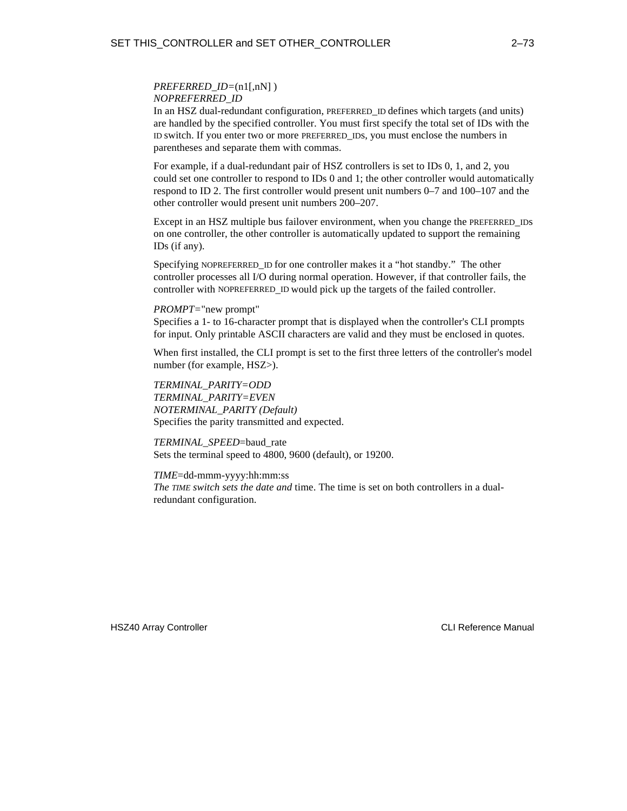#### *PREFERRED\_ID=*(n1[,nN]) *NOPREFERRED\_ID*

In an HSZ dual-redundant configuration, PREFERRED\_ID defines which targets (and units) are handled by the specified controller. You must first specify the total set of IDs with the ID switch. If you enter two or more PREFERRED\_IDs, you must enclose the numbers in parentheses and separate them with commas.

For example, if a dual-redundant pair of HSZ controllers is set to IDs 0, 1, and 2, you could set one controller to respond to IDs 0 and 1; the other controller would automatically respond to ID 2. The first controller would present unit numbers 0–7 and 100–107 and the other controller would present unit numbers 200–207.

Except in an HSZ multiple bus failover environment, when you change the PREFERRED IDS on one controller, the other controller is automatically updated to support the remaining IDs (if any).

Specifying NOPREFERRED\_ID for one controller makes it a "hot standby." The other controller processes all I/O during normal operation. However, if that controller fails, the controller with NOPREFERRED\_ID would pick up the targets of the failed controller.

#### *PROMPT=*"new prompt"

Specifies a 1- to 16-character prompt that is displayed when the controller's CLI prompts for input. Only printable ASCII characters are valid and they must be enclosed in quotes.

When first installed, the CLI prompt is set to the first three letters of the controller's model number (for example, HSZ>).

*TERMINAL\_PARITY=ODD TERMINAL\_PARITY=EVEN NOTERMINAL\_PARITY (Default)* Specifies the parity transmitted and expected.

*TERMINAL\_SPEED*=baud\_rate Sets the terminal speed to 4800, 9600 (default), or 19200.

#### *TIME*=dd-mmm-yyyy:hh:mm:ss

*The TIME switch sets the date and* time. The time is set on both controllers in a dualredundant configuration.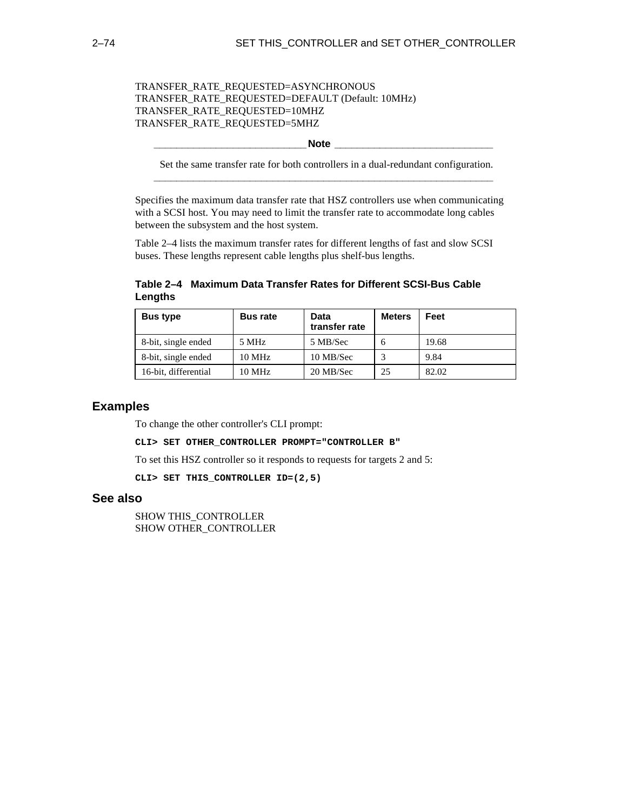## TRANSFER\_RATE\_REQUESTED=ASYNCHRONOUS TRANSFER\_RATE\_REQUESTED=DEFAULT (Default: 10MHz) TRANSFER\_RATE\_REQUESTED=10MHZ TRANSFER\_RATE\_REQUESTED=5MHZ

#### **\_\_\_\_\_\_\_\_\_\_\_\_\_\_\_\_\_\_\_\_\_\_\_\_\_\_\_Note \_\_\_\_\_\_\_\_\_\_\_\_\_\_\_\_\_\_\_\_\_\_\_\_\_\_\_\_**

Set the same transfer rate for both controllers in a dual-redundant configuration. **\_\_\_\_\_\_\_\_\_\_\_\_\_\_\_\_\_\_\_\_\_\_\_\_\_\_\_\_\_\_\_\_\_\_\_\_\_\_\_\_\_\_\_\_\_\_\_\_\_\_\_\_\_\_\_\_\_\_\_\_**

Specifies the maximum data transfer rate that HSZ controllers use when communicating with a SCSI host. You may need to limit the transfer rate to accommodate long cables between the subsystem and the host system.

Table 2–4 lists the maximum transfer rates for different lengths of fast and slow SCSI buses. These lengths represent cable lengths plus shelf-bus lengths.

## **Table 2–4 Maximum Data Transfer Rates for Different SCSI-Bus Cable Lengths**

| <b>Bus type</b>      | <b>Bus rate</b>  | Data<br>transfer rate | <b>Meters</b> | Feet  |
|----------------------|------------------|-----------------------|---------------|-------|
| 8-bit, single ended  | 5 MHz            | 5 MB/Sec              | h             | 19.68 |
| 8-bit, single ended  | $10 \text{ MHz}$ | 10 MB/Sec             |               | 9.84  |
| 16-bit, differential | $10 \text{ MHz}$ | 20 MB/Sec             | 25            | 82.02 |

## **Examples**

To change the other controller's CLI prompt:

**CLI> SET OTHER\_CONTROLLER PROMPT="CONTROLLER B"**

To set this HSZ controller so it responds to requests for targets 2 and 5:

**CLI> SET THIS\_CONTROLLER ID=(2,5)**

## **See also**

SHOW THIS\_CONTROLLER SHOW OTHER\_CONTROLLER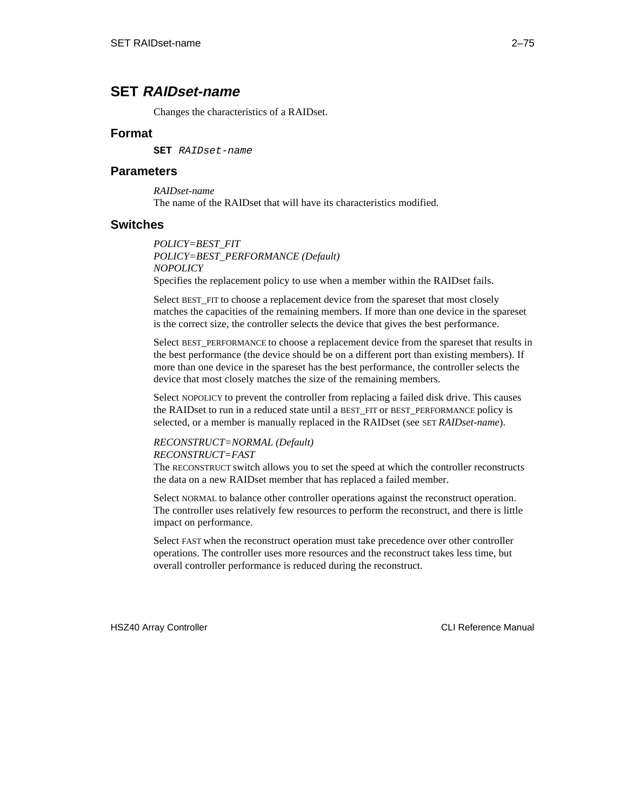# **SET RAIDset-name**

Changes the characteristics of a RAIDset.

## **Format**

**SET** RAIDset-name

## **Parameters**

*RAIDset-name* The name of the RAIDset that will have its characteristics modified.

## **Switches**

*POLICY=BEST\_FIT POLICY=BEST\_PERFORMANCE (Default) NOPOLICY* Specifies the replacement policy to use when a member within the RAIDset fails.

Select BEST\_FIT to choose a replacement device from the spareset that most closely matches the capacities of the remaining members. If more than one device in the spareset is the correct size, the controller selects the device that gives the best performance.

Select BEST\_PERFORMANCE to choose a replacement device from the spareset that results in the best performance (the device should be on a different port than existing members). If more than one device in the spareset has the best performance, the controller selects the device that most closely matches the size of the remaining members.

Select NOPOLICY to prevent the controller from replacing a failed disk drive. This causes the RAIDset to run in a reduced state until a BEST\_FIT or BEST\_PERFORMANCE policy is selected, or a member is manually replaced in the RAIDset (see SET *RAIDset-name*).

## *RECONSTRUCT=NORMAL (Default)*

#### *RECONSTRUCT=FAST*

The RECONSTRUCT switch allows you to set the speed at which the controller reconstructs the data on a new RAIDset member that has replaced a failed member.

Select NORMAL to balance other controller operations against the reconstruct operation. The controller uses relatively few resources to perform the reconstruct, and there is little impact on performance.

Select FAST when the reconstruct operation must take precedence over other controller operations. The controller uses more resources and the reconstruct takes less time, but overall controller performance is reduced during the reconstruct.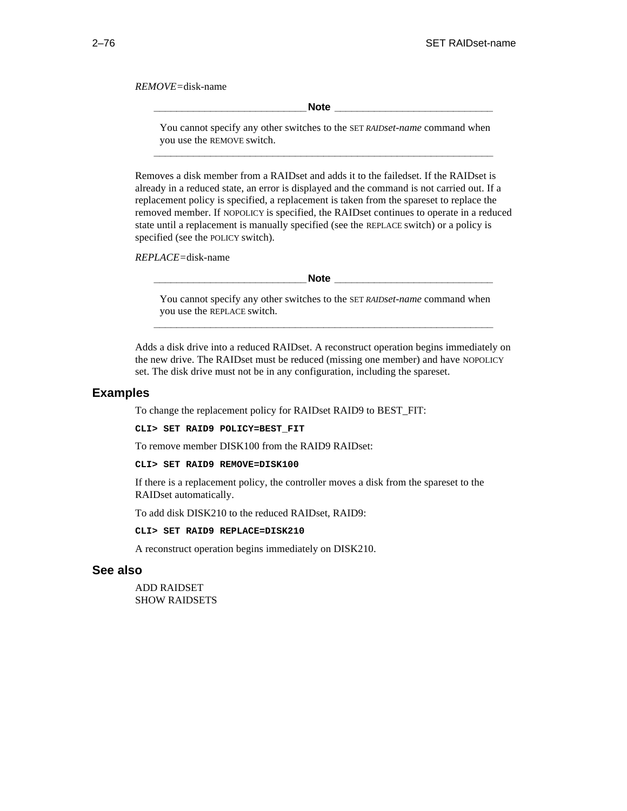*REMOVE=*disk-name

**Note**  $\blacksquare$ 

You cannot specify any other switches to the SET *RAIDset-name* command when you use the REMOVE switch. **\_\_\_\_\_\_\_\_\_\_\_\_\_\_\_\_\_\_\_\_\_\_\_\_\_\_\_\_\_\_\_\_\_\_\_\_\_\_\_\_\_\_\_\_\_\_\_\_\_\_\_\_\_\_\_\_\_\_\_\_**

Removes a disk member from a RAIDset and adds it to the failedset. If the RAIDset is already in a reduced state, an error is displayed and the command is not carried out. If a replacement policy is specified, a replacement is taken from the spareset to replace the removed member. If NOPOLICY is specified, the RAIDset continues to operate in a reduced state until a replacement is manually specified (see the REPLACE switch) or a policy is specified (see the POLICY switch).

*REPLACE=*disk-name

**Note**  $\blacksquare$ 

You cannot specify any other switches to the SET *RAIDset-name* command when you use the REPLACE switch. **\_\_\_\_\_\_\_\_\_\_\_\_\_\_\_\_\_\_\_\_\_\_\_\_\_\_\_\_\_\_\_\_\_\_\_\_\_\_\_\_\_\_\_\_\_\_\_\_\_\_\_\_\_\_\_\_\_\_\_\_**

Adds a disk drive into a reduced RAIDset. A reconstruct operation begins immediately on the new drive. The RAIDset must be reduced (missing one member) and have NOPOLICY set. The disk drive must not be in any configuration, including the spareset.

#### **Examples**

To change the replacement policy for RAIDset RAID9 to BEST\_FIT:

**CLI> SET RAID9 POLICY=BEST\_FIT**

To remove member DISK100 from the RAID9 RAIDset:

**CLI> SET RAID9 REMOVE=DISK100**

If there is a replacement policy, the controller moves a disk from the spareset to the RAIDset automatically.

To add disk DISK210 to the reduced RAIDset, RAID9:

**CLI> SET RAID9 REPLACE=DISK210**

A reconstruct operation begins immediately on DISK210.

#### **See also**

ADD RAIDSET SHOW RAIDSETS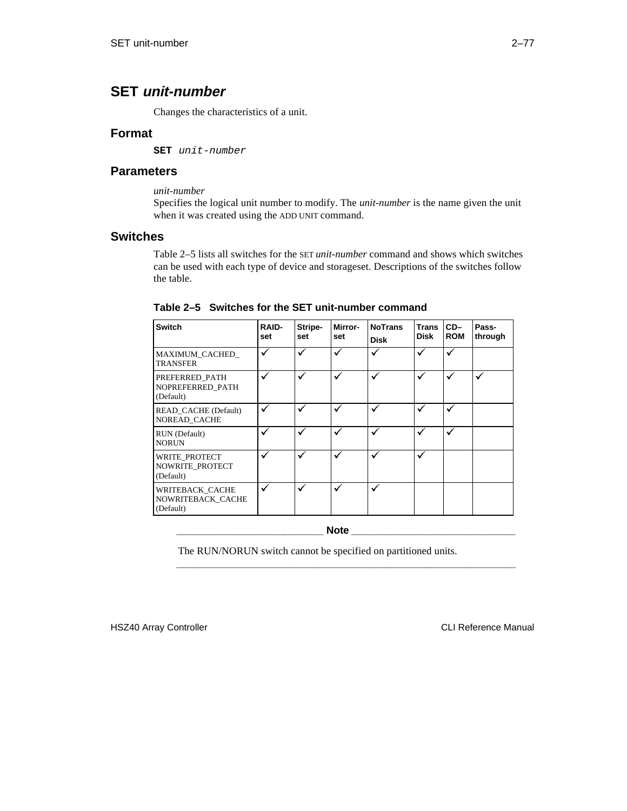# **SET unit-number**

Changes the characteristics of a unit.

## **Format**

**SET** unit-number

## **Parameters**

*unit-number*

Specifies the logical unit number to modify. The *unit-number* is the name given the unit when it was created using the ADD UNIT command.

## **Switches**

Table 2–5 lists all switches for the SET *unit-number* command and shows which switches can be used with each type of device and storageset. Descriptions of the switches follow the table.

| <b>Switch</b>                                     | <b>RAID-</b><br>set | Stripe-<br>set | <b>Mirror-</b><br>set | <b>NoTrans</b><br><b>Disk</b> | <b>Trans</b><br><b>Disk</b> | $CD-$<br><b>ROM</b> | Pass-<br>through |
|---------------------------------------------------|---------------------|----------------|-----------------------|-------------------------------|-----------------------------|---------------------|------------------|
| <b>MAXIMUM CACHED</b><br><b>TRANSFER</b>          | V                   |                |                       | ✓                             | ✓                           |                     |                  |
| PREFERRED PATH<br>NOPREFERRED PATH<br>(Default)   | √                   | ✓              | √                     | ✓                             | ✓                           | √                   |                  |
| READ CACHE (Default)<br><b>NOREAD CACHE</b>       | v                   |                | ✓                     | ✓                             | ✓                           |                     |                  |
| RUN (Default)<br><b>NORUN</b>                     |                     |                | ✓                     |                               |                             |                     |                  |
| WRITE PROTECT<br>NOWRITE_PROTECT<br>(Default)     |                     |                | ✓                     | ✓                             | ✓                           |                     |                  |
| WRITEBACK_CACHE<br>NOWRITEBACK CACHE<br>(Default) |                     |                | ✓                     | ✓                             |                             |                     |                  |

**Table 2–5 Switches for the SET unit-number command**

**\_\_\_\_\_\_\_\_\_\_\_\_\_\_\_\_\_\_\_\_\_\_\_\_\_\_ Note \_\_\_\_\_\_\_\_\_\_\_\_\_\_\_\_\_\_\_\_\_\_\_\_\_\_\_\_\_**

**\_\_\_\_\_\_\_\_\_\_\_\_\_\_\_\_\_\_\_\_\_\_\_\_\_\_\_\_\_\_\_\_\_\_\_\_\_\_\_\_\_\_\_\_\_\_\_\_\_\_\_\_\_\_\_\_\_\_\_\_**

The RUN/NORUN switch cannot be specified on partitioned units.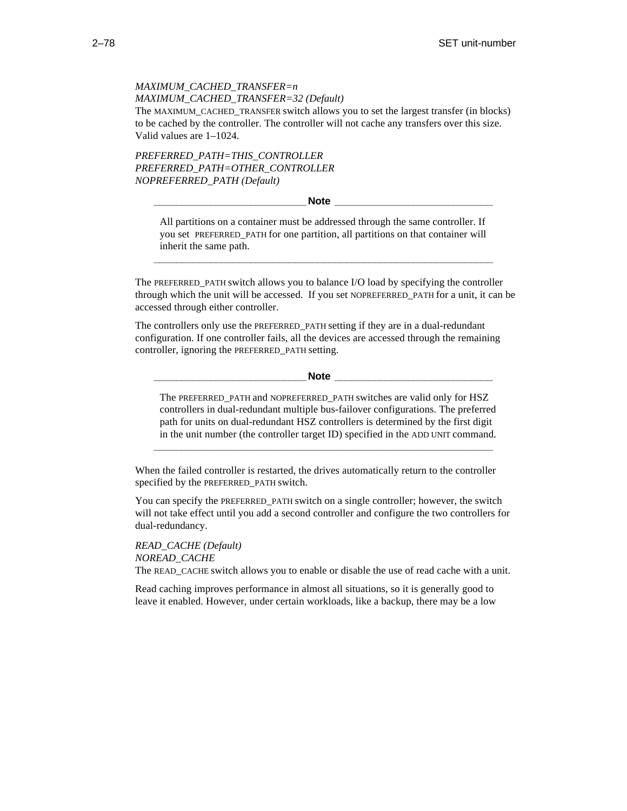## *MAXIMUM\_CACHED\_TRANSFER=n MAXIMUM\_CACHED\_TRANSFER=32 (Default)* The MAXIMUM\_CACHED\_TRANSFER switch allows you to set the largest transfer (in blocks) to be cached by the controller. The controller will not cache any transfers over this size. Valid values are 1–1024.

*PREFERRED\_PATH=THIS\_CONTROLLER PREFERRED\_PATH=OTHER\_CONTROLLER NOPREFERRED\_PATH (Default)*

**\_\_\_\_\_\_\_\_\_\_\_\_\_\_\_\_\_\_\_\_\_\_\_\_\_\_\_Note \_\_\_\_\_\_\_\_\_\_\_\_\_\_\_\_\_\_\_\_\_\_\_\_\_\_\_\_**

All partitions on a container must be addressed through the same controller. If you set PREFERRED\_PATH for one partition, all partitions on that container will inherit the same path.

**\_\_\_\_\_\_\_\_\_\_\_\_\_\_\_\_\_\_\_\_\_\_\_\_\_\_\_\_\_\_\_\_\_\_\_\_\_\_\_\_\_\_\_\_\_\_\_\_\_\_\_\_\_\_\_\_\_\_\_\_**

The PREFERRED\_PATH switch allows you to balance I/O load by specifying the controller through which the unit will be accessed. If you set NOPREFERRED\_PATH for a unit, it can be accessed through either controller.

The controllers only use the PREFERRED\_PATH setting if they are in a dual-redundant configuration. If one controller fails, all the devices are accessed through the remaining controller, ignoring the PREFERRED\_PATH setting.

**\_\_\_\_\_\_\_\_\_\_\_\_\_\_\_\_\_\_\_\_\_\_\_\_\_\_\_Note \_\_\_\_\_\_\_\_\_\_\_\_\_\_\_\_\_\_\_\_\_\_\_\_\_\_\_\_**

The PREFERRED\_PATH and NOPREFERRED\_PATH switches are valid only for HSZ controllers in dual-redundant multiple bus-failover configurations. The preferred path for units on dual-redundant HSZ controllers is determined by the first digit in the unit number (the controller target ID) specified in the ADD UNIT command.

**\_\_\_\_\_\_\_\_\_\_\_\_\_\_\_\_\_\_\_\_\_\_\_\_\_\_\_\_\_\_\_\_\_\_\_\_\_\_\_\_\_\_\_\_\_\_\_\_\_\_\_\_\_\_\_\_\_\_\_\_**

When the failed controller is restarted, the drives automatically return to the controller specified by the PREFERRED\_PATH switch.

You can specify the PREFERRED\_PATH switch on a single controller; however, the switch will not take effect until you add a second controller and configure the two controllers for dual-redundancy.

*READ\_CACHE (Default) NOREAD\_CACHE* The READ CACHE switch allows you to enable or disable the use of read cache with a unit.

Read caching improves performance in almost all situations, so it is generally good to leave it enabled. However, under certain workloads, like a backup, there may be a low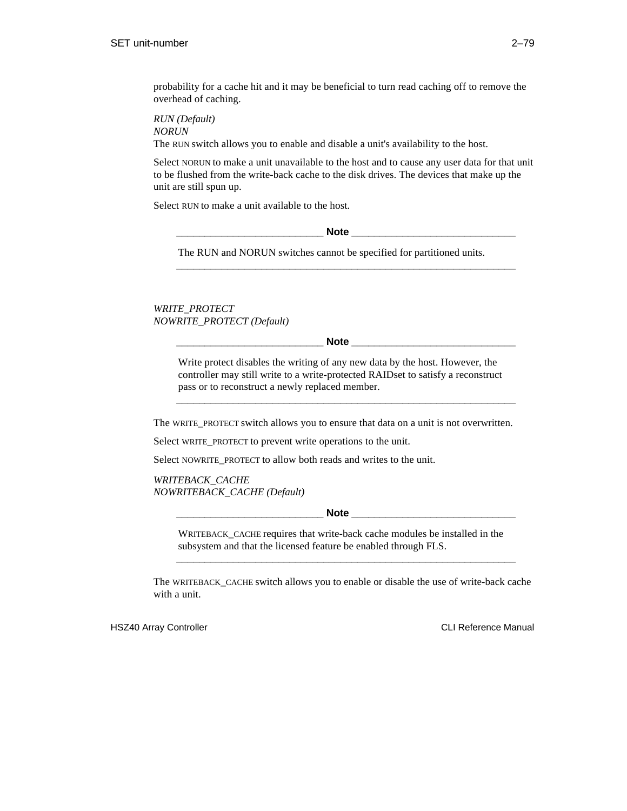probability for a cache hit and it may be beneficial to turn read caching off to remove the overhead of caching.

*RUN (Default) NORUN*

The RUN switch allows you to enable and disable a unit's availability to the host.

Select NORUN to make a unit unavailable to the host and to cause any user data for that unit to be flushed from the write-back cache to the disk drives. The devices that make up the unit are still spun up.

Select RUN to make a unit available to the host.

**Note**  $\blacksquare$ 

**\_\_\_\_\_\_\_\_\_\_\_\_\_\_\_\_\_\_\_\_\_\_\_\_\_\_\_\_\_\_\_\_\_\_\_\_\_\_\_\_\_\_\_\_\_\_\_\_\_\_\_\_\_\_\_\_\_\_\_\_**

The RUN and NORUN switches cannot be specified for partitioned units.

*WRITE\_PROTECT NOWRITE\_PROTECT (Default)*

 $\bf Note$ 

Write protect disables the writing of any new data by the host. However, the controller may still write to a write-protected RAIDset to satisfy a reconstruct pass or to reconstruct a newly replaced member.

**\_\_\_\_\_\_\_\_\_\_\_\_\_\_\_\_\_\_\_\_\_\_\_\_\_\_\_\_\_\_\_\_\_\_\_\_\_\_\_\_\_\_\_\_\_\_\_\_\_\_\_\_\_\_\_\_\_\_\_\_**

The WRITE\_PROTECT switch allows you to ensure that data on a unit is not overwritten.

Select WRITE\_PROTECT to prevent write operations to the unit.

Select NOWRITE PROTECT to allow both reads and writes to the unit.

*WRITEBACK\_CACHE NOWRITEBACK\_CACHE (Default)*

 $\bf Note$ 

WRITEBACK\_CACHE requires that write-back cache modules be installed in the subsystem and that the licensed feature be enabled through FLS.

**\_\_\_\_\_\_\_\_\_\_\_\_\_\_\_\_\_\_\_\_\_\_\_\_\_\_\_\_\_\_\_\_\_\_\_\_\_\_\_\_\_\_\_\_\_\_\_\_\_\_\_\_\_\_\_\_\_\_\_\_**

The WRITEBACK\_CACHE switch allows you to enable or disable the use of write-back cache with a unit.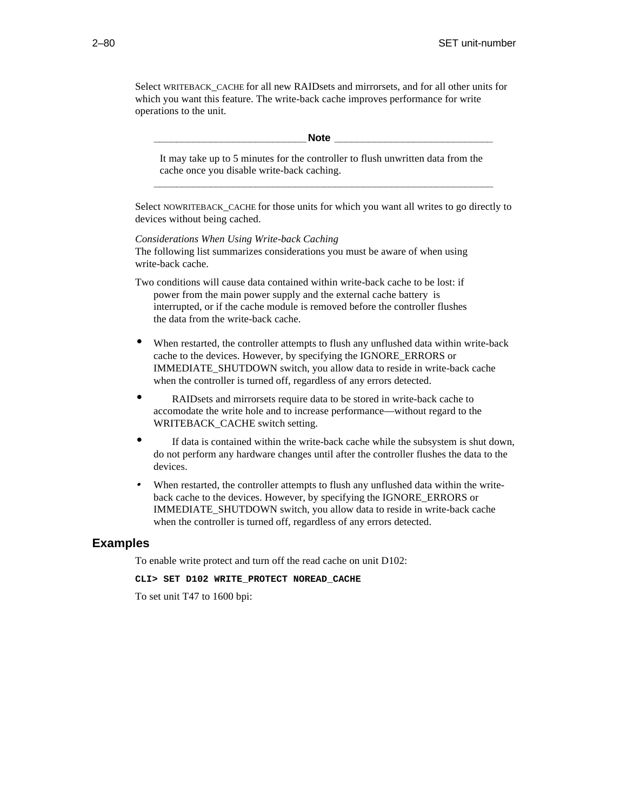Select WRITEBACK\_CACHE for all new RAIDsets and mirrorsets, and for all other units for which you want this feature. The write-back cache improves performance for write operations to the unit.

#### **\_\_\_\_\_\_\_\_\_\_\_\_\_\_\_\_\_\_\_\_\_\_\_\_\_\_\_Note \_\_\_\_\_\_\_\_\_\_\_\_\_\_\_\_\_\_\_\_\_\_\_\_\_\_\_\_**

It may take up to 5 minutes for the controller to flush unwritten data from the cache once you disable write-back caching. **\_\_\_\_\_\_\_\_\_\_\_\_\_\_\_\_\_\_\_\_\_\_\_\_\_\_\_\_\_\_\_\_\_\_\_\_\_\_\_\_\_\_\_\_\_\_\_\_\_\_\_\_\_\_\_\_\_\_\_\_**

Select NOWRITEBACK\_CACHE for those units for which you want all writes to go directly to devices without being cached.

*Considerations When Using Write-back Caching* The following list summarizes considerations you must be aware of when using write-back cache.

Two conditions will cause data contained within write-back cache to be lost: if power from the main power supply and the external cache battery is interrupted, or if the cache module is removed before the controller flushes the data from the write-back cache.

- When restarted, the controller attempts to flush any unflushed data within write-back cache to the devices. However, by specifying the IGNORE\_ERRORS or IMMEDIATE\_SHUTDOWN switch, you allow data to reside in write-back cache when the controller is turned off, regardless of any errors detected.
- RAIDsets and mirrorsets require data to be stored in write-back cache to accomodate the write hole and to increase performance—without regard to the WRITEBACK\_CACHE switch setting.
- If data is contained within the write-back cache while the subsystem is shut down, do not perform any hardware changes until after the controller flushes the data to the devices.
- When restarted, the controller attempts to flush any unflushed data within the writeback cache to the devices. However, by specifying the IGNORE\_ERRORS or IMMEDIATE\_SHUTDOWN switch, you allow data to reside in write-back cache when the controller is turned off, regardless of any errors detected.

## **Examples**

To enable write protect and turn off the read cache on unit D102:

**CLI> SET D102 WRITE\_PROTECT NOREAD\_CACHE**

To set unit T47 to 1600 bpi: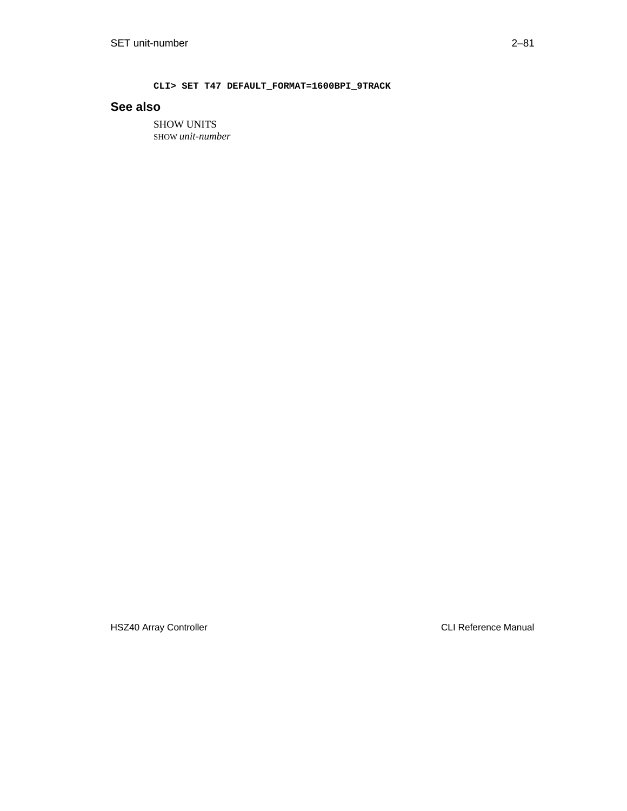**CLI> SET T47 DEFAULT\_FORMAT=1600BPI\_9TRACK**

# **See also**

SHOW UNITS SHOW *unit-number*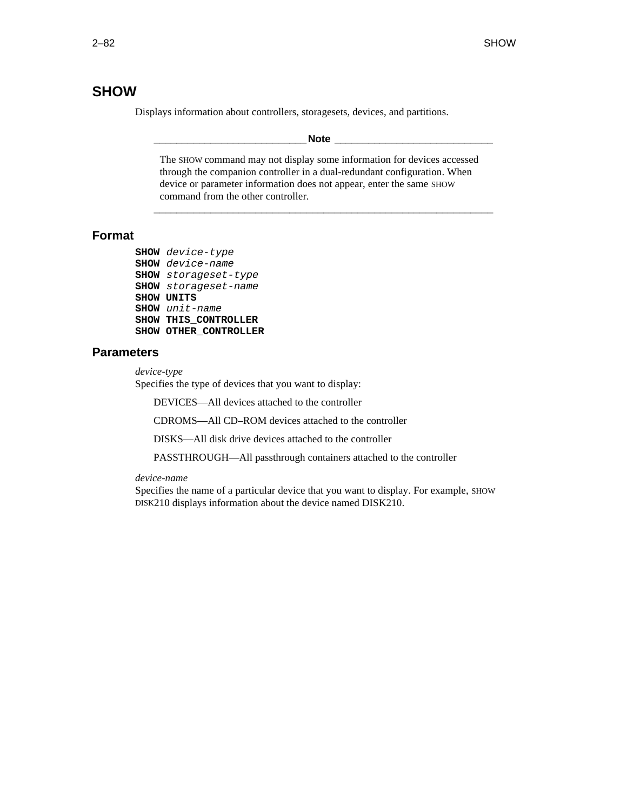# **SHOW**

Displays information about controllers, storagesets, devices, and partitions.

#### **\_\_\_\_\_\_\_\_\_\_\_\_\_\_\_\_\_\_\_\_\_\_\_\_\_\_\_Note \_\_\_\_\_\_\_\_\_\_\_\_\_\_\_\_\_\_\_\_\_\_\_\_\_\_\_\_**

The SHOW command may not display some information for devices accessed through the companion controller in a dual-redundant configuration. When device or parameter information does not appear, enter the same SHOW command from the other controller.

**\_\_\_\_\_\_\_\_\_\_\_\_\_\_\_\_\_\_\_\_\_\_\_\_\_\_\_\_\_\_\_\_\_\_\_\_\_\_\_\_\_\_\_\_\_\_\_\_\_\_\_\_\_\_\_\_\_\_\_\_**

## **Format**

```
SHOW device-type
SHOW device-name
SHOW storageset-type
SHOW storageset-name
SHOW UNITS
SHOW unit-name
SHOW THIS_CONTROLLER
SHOW OTHER_CONTROLLER
```
#### **Parameters**

*device-type*

Specifies the type of devices that you want to display:

DEVICES—All devices attached to the controller

CDROMS—All CD–ROM devices attached to the controller

DISKS—All disk drive devices attached to the controller

PASSTHROUGH—All passthrough containers attached to the controller

#### *device-name*

Specifies the name of a particular device that you want to display. For example, SHOW DISK210 displays information about the device named DISK210.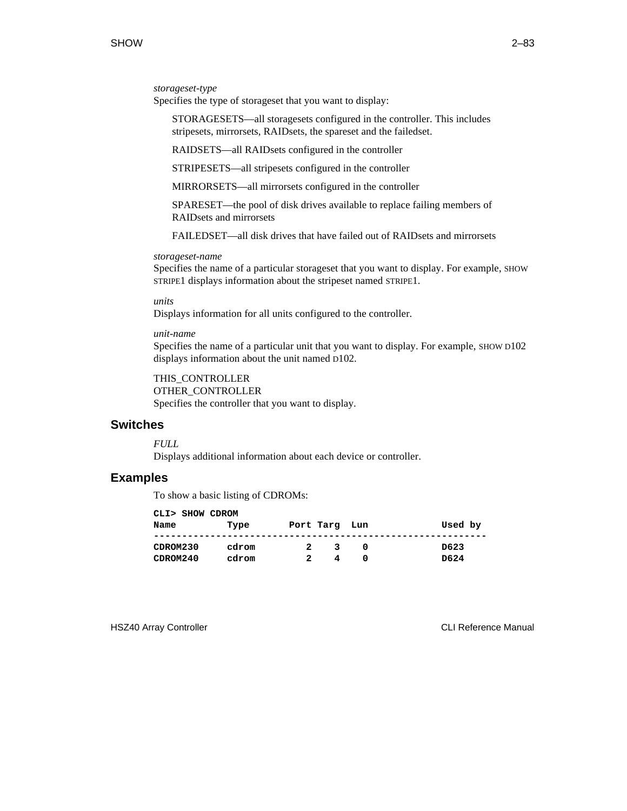#### *storageset-type*

Specifies the type of storageset that you want to display:

 STORAGESETS—all storagesets configured in the controller. This includes stripesets, mirrorsets, RAIDsets, the spareset and the failedset.

RAIDSETS—all RAIDsets configured in the controller

STRIPESETS—all stripesets configured in the controller

MIRRORSETS—all mirrorsets configured in the controller

 SPARESET—the pool of disk drives available to replace failing members of RAIDsets and mirrorsets

FAILEDSET—all disk drives that have failed out of RAIDsets and mirrorsets

#### *storageset-name*

Specifies the name of a particular storageset that you want to display. For example, SHOW STRIPE1 displays information about the stripeset named STRIPE1.

*units*

Displays information for all units configured to the controller.

#### *unit-name*

Specifies the name of a particular unit that you want to display. For example, SHOW D102 displays information about the unit named D102.

THIS\_CONTROLLER OTHER\_CONTROLLER

Specifies the controller that you want to display.

#### **Switches**

*FULL*

Displays additional information about each device or controller.

## **Examples**

To show a basic listing of CDROMs:

| CLI> SHOW CDROM |       |           |   |     |         |
|-----------------|-------|-----------|---|-----|---------|
| Name            | Type  | Port Targ |   | Lun | Used by |
|                 |       |           |   |     |         |
| CDROM230        | cdrom | 2         | 3 | n   | D623    |
| CDROM240        | cdrom |           |   |     | D624    |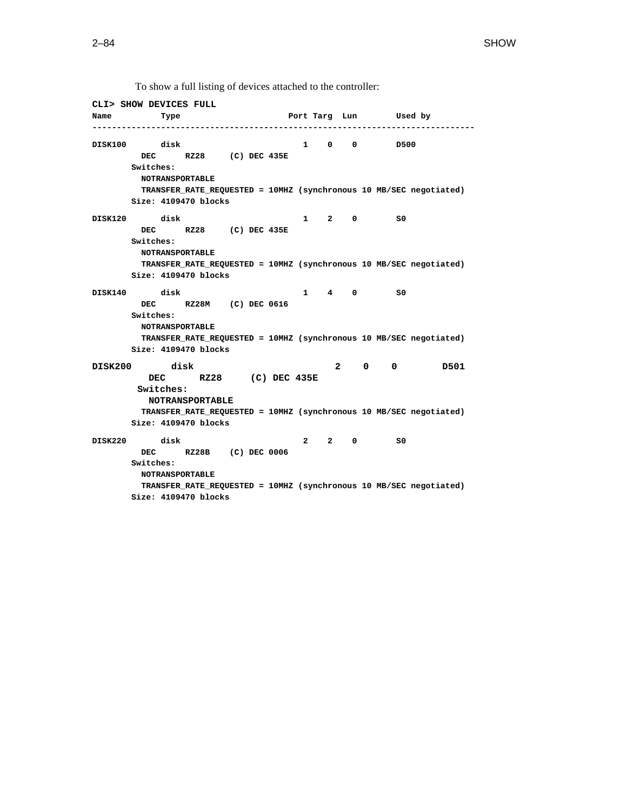**CLI> SHOW DEVICES FULL Name Type Port Targ Lun Used by ------------------------------------------------------------------------------ DISK100 disk 1 0 0 D500 DEC RZ28 (C) DEC 435E Switches: NOTRANSPORTABLE TRANSFER\_RATE\_REQUESTED = 10MHZ (synchronous 10 MB/SEC negotiated) Size: 4109470 blocks DISK120 disk 1 2 0 S0 DEC RZ28 (C) DEC 435E Switches: NOTRANSPORTABLE TRANSFER\_RATE\_REQUESTED = 10MHZ (synchronous 10 MB/SEC negotiated) Size: 4109470 blocks DISK140 disk 1 4 0 S0 DEC RZ28M (C) DEC 0616 Switches: NOTRANSPORTABLE TRANSFER\_RATE\_REQUESTED = 10MHZ (synchronous 10 MB/SEC negotiated) Size: 4109470 blocks DISK200 disk 2 0 0 D501 DEC RZ28 (C) DEC 435E Switches: NOTRANSPORTABLE TRANSFER\_RATE\_REQUESTED = 10MHZ (synchronous 10 MB/SEC negotiated) Size: 4109470 blocks DISK220 disk 2 2 0 S0 DEC RZ28B (C) DEC 0006 Switches: NOTRANSPORTABLE TRANSFER\_RATE\_REQUESTED = 10MHZ (synchronous 10 MB/SEC negotiated) Size: 4109470 blocks**

To show a full listing of devices attached to the controller: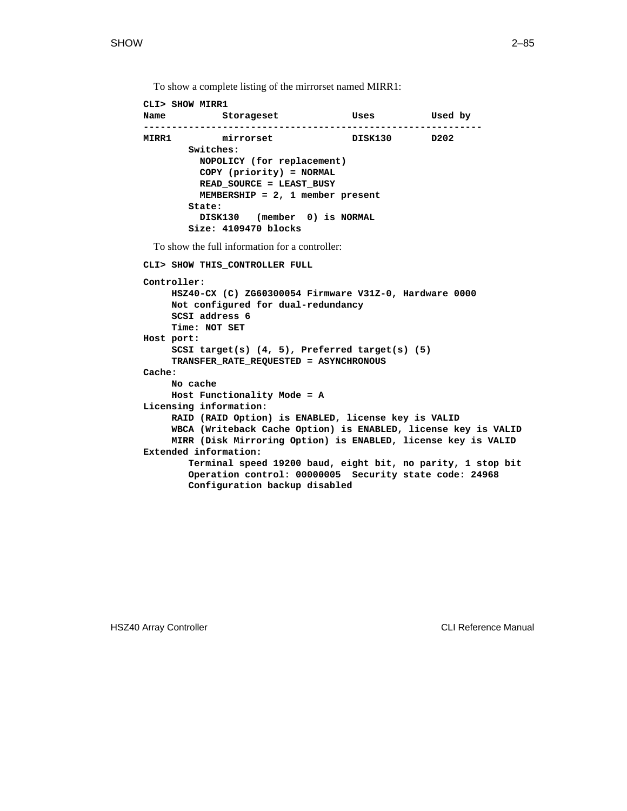```
CLI> SHOW MIRR1
Name Storageset Uses Used by
------------------------------------------------------------
MIRR1 mirrorset DISK130 D202
        Switches:
          NOPOLICY (for replacement)
          COPY (priority) = NORMAL
          READ_SOURCE = LEAST_BUSY
          MEMBERSHIP = 2, 1 member present
        State:
          DISK130 (member 0) is NORMAL
         Size: 4109470 blocks
 To show the full information for a controller:
CLI> SHOW THIS_CONTROLLER FULL
Controller:
     HSZ40-CX (C) ZG60300054 Firmware V31Z-0, Hardware 0000
     Not configured for dual-redundancy
     SCSI address 6
     Time: NOT SET
Host port:
     SCSI target(s) (4, 5), Preferred target(s) (5)
     TRANSFER_RATE_REQUESTED = ASYNCHRONOUS
Cache:
     No cache
     Host Functionality Mode = A
Licensing information:
     RAID (RAID Option) is ENABLED, license key is VALID
     WBCA (Writeback Cache Option) is ENABLED, license key is VALID
     MIRR (Disk Mirroring Option) is ENABLED, license key is VALID
Extended information:
        Terminal speed 19200 baud, eight bit, no parity, 1 stop bit
        Operation control: 00000005 Security state code: 24968
        Configuration backup disabled
```
To show a complete listing of the mirrorset named MIRR1: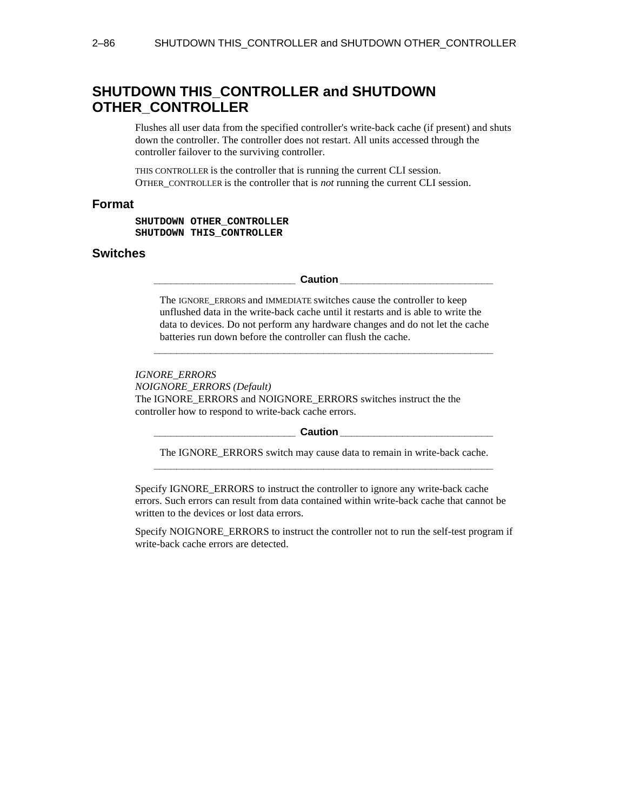# **SHUTDOWN THIS\_CONTROLLER and SHUTDOWN OTHER\_CONTROLLER**

Flushes all user data from the specified controller's write-back cache (if present) and shuts down the controller. The controller does not restart. All units accessed through the controller failover to the surviving controller.

THIS CONTROLLER is the controller that is running the current CLI session. OTHER\_CONTROLLER is the controller that is *not* running the current CLI session.

## **Format**

**SHUTDOWN OTHER\_CONTROLLER SHUTDOWN THIS\_CONTROLLER**

## **Switches**

**Paulion Caution Caution** 

The IGNORE ERRORS and IMMEDIATE switches cause the controller to keep unflushed data in the write-back cache until it restarts and is able to write the data to devices. Do not perform any hardware changes and do not let the cache batteries run down before the controller can flush the cache.

**\_\_\_\_\_\_\_\_\_\_\_\_\_\_\_\_\_\_\_\_\_\_\_\_\_\_\_\_\_\_\_\_\_\_\_\_\_\_\_\_\_\_\_\_\_\_\_\_\_\_\_\_\_\_\_\_\_\_\_\_**

#### *IGNORE\_ERRORS*

*NOIGNORE\_ERRORS (Default)* The IGNORE\_ERRORS and NOIGNORE\_ERRORS switches instruct the the controller how to respond to write-back cache errors.

#### **Caution Letter**

The IGNORE\_ERRORS switch may cause data to remain in write-back cache. **\_\_\_\_\_\_\_\_\_\_\_\_\_\_\_\_\_\_\_\_\_\_\_\_\_\_\_\_\_\_\_\_\_\_\_\_\_\_\_\_\_\_\_\_\_\_\_\_\_\_\_\_\_\_\_\_\_\_\_\_**

Specify IGNORE\_ERRORS to instruct the controller to ignore any write-back cache errors. Such errors can result from data contained within write-back cache that cannot be written to the devices or lost data errors.

Specify NOIGNORE\_ERRORS to instruct the controller not to run the self-test program if write-back cache errors are detected.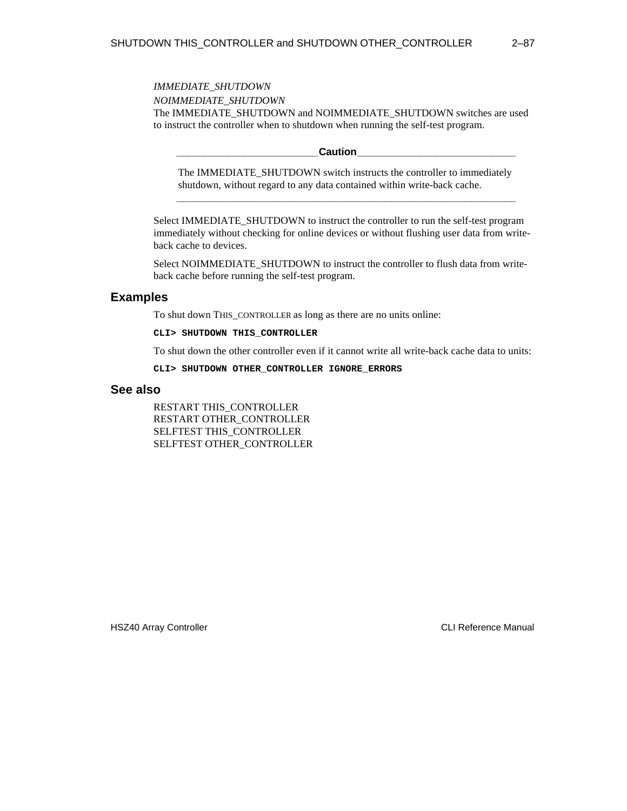*IMMEDIATE\_SHUTDOWN NOIMMEDIATE\_SHUTDOWN* The IMMEDIATE\_SHUTDOWN and NOIMMEDIATE\_SHUTDOWN switches are used to instruct the controller when to shutdown when running the self-test program.

 $Caution$ 

The IMMEDIATE\_SHUTDOWN switch instructs the controller to immediately shutdown, without regard to any data contained within write-back cache. **\_\_\_\_\_\_\_\_\_\_\_\_\_\_\_\_\_\_\_\_\_\_\_\_\_\_\_\_\_\_\_\_\_\_\_\_\_\_\_\_\_\_\_\_\_\_\_\_\_\_\_\_\_\_\_\_\_\_\_\_**

Select IMMEDIATE\_SHUTDOWN to instruct the controller to run the self-test program immediately without checking for online devices or without flushing user data from writeback cache to devices.

Select NOIMMEDIATE\_SHUTDOWN to instruct the controller to flush data from writeback cache before running the self-test program.

## **Examples**

To shut down THIS\_CONTROLLER as long as there are no units online:

**CLI> SHUTDOWN THIS\_CONTROLLER**

To shut down the other controller even if it cannot write all write-back cache data to units:

**CLI> SHUTDOWN OTHER\_CONTROLLER IGNORE\_ERRORS**

## **See also**

RESTART THIS\_CONTROLLER RESTART OTHER\_CONTROLLER SELFTEST THIS\_CONTROLLER SELFTEST OTHER\_CONTROLLER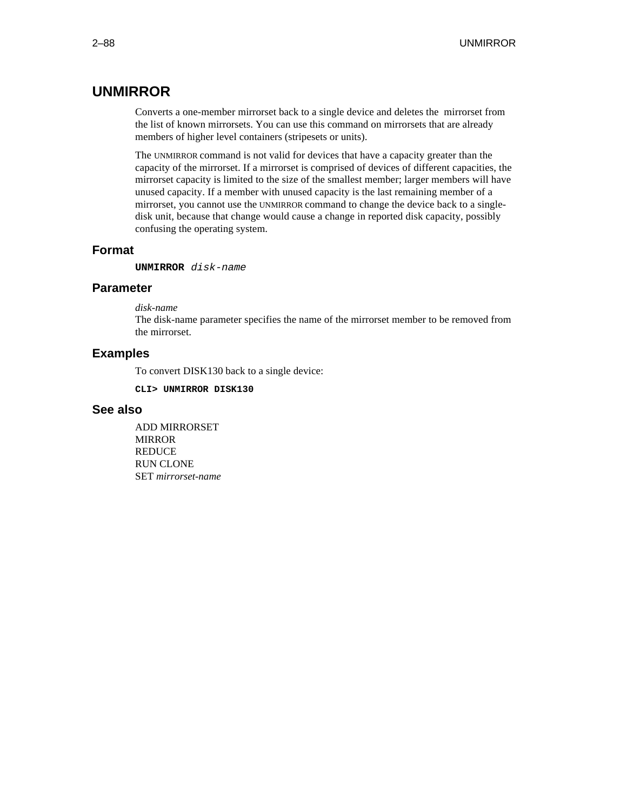# **UNMIRROR**

Converts a one-member mirrorset back to a single device and deletes the mirrorset from the list of known mirrorsets. You can use this command on mirrorsets that are already members of higher level containers (stripesets or units).

The UNMIRROR command is not valid for devices that have a capacity greater than the capacity of the mirrorset. If a mirrorset is comprised of devices of different capacities, the mirrorset capacity is limited to the size of the smallest member; larger members will have unused capacity. If a member with unused capacity is the last remaining member of a mirrorset, you cannot use the UNMIRROR command to change the device back to a singledisk unit, because that change would cause a change in reported disk capacity, possibly confusing the operating system.

## **Format**

**UNMIRROR** disk-name

## **Parameter**

*disk-name*

The disk-name parameter specifies the name of the mirrorset member to be removed from the mirrorset.

## **Examples**

To convert DISK130 back to a single device:

**CLI> UNMIRROR DISK130**

## **See also**

ADD MIRRORSET MIRROR **REDUCE** RUN CLONE SET *mirrorset-name*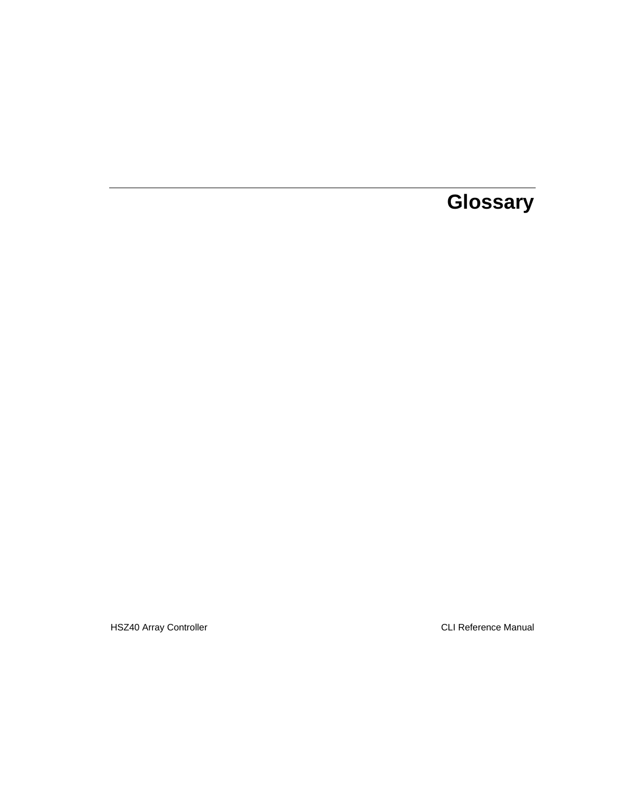# **Glossary**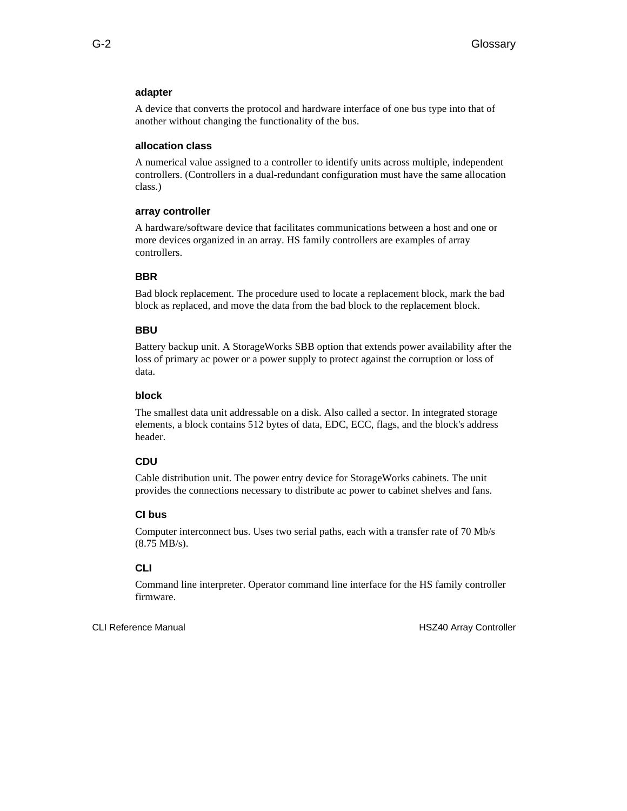#### **adapter**

A device that converts the protocol and hardware interface of one bus type into that of another without changing the functionality of the bus.

#### **allocation class**

A numerical value assigned to a controller to identify units across multiple, independent controllers. (Controllers in a dual-redundant configuration must have the same allocation class.)

#### **array controller**

A hardware/software device that facilitates communications between a host and one or more devices organized in an array. HS family controllers are examples of array controllers.

## **BBR**

Bad block replacement. The procedure used to locate a replacement block, mark the bad block as replaced, and move the data from the bad block to the replacement block.

#### **BBU**

Battery backup unit. A StorageWorks SBB option that extends power availability after the loss of primary ac power or a power supply to protect against the corruption or loss of data.

## **block**

The smallest data unit addressable on a disk. Also called a sector. In integrated storage elements, a block contains 512 bytes of data, EDC, ECC, flags, and the block's address header.

#### **CDU**

Cable distribution unit. The power entry device for StorageWorks cabinets. The unit provides the connections necessary to distribute ac power to cabinet shelves and fans.

## **CI bus**

Computer interconnect bus. Uses two serial paths, each with a transfer rate of 70 Mb/s (8.75 MB/s).

## **CLI**

Command line interpreter. Operator command line interface for the HS family controller firmware.

CLI Reference Manual **HSZ40** Array Controller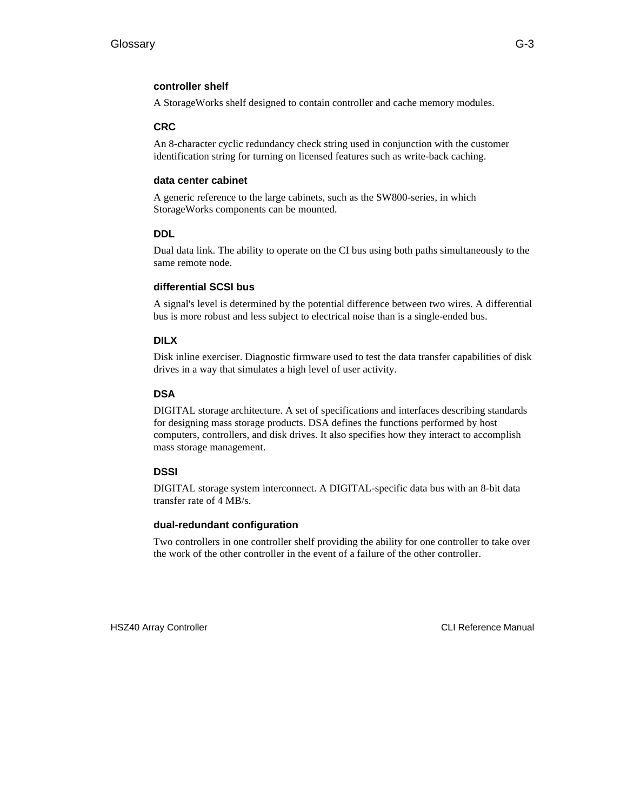## **controller shelf**

A StorageWorks shelf designed to contain controller and cache memory modules.

## **CRC**

An 8-character cyclic redundancy check string used in conjunction with the customer identification string for turning on licensed features such as write-back caching.

## **data center cabinet**

A generic reference to the large cabinets, such as the SW800-series, in which StorageWorks components can be mounted.

## **DDL**

Dual data link. The ability to operate on the CI bus using both paths simultaneously to the same remote node.

## **differential SCSI bus**

A signal's level is determined by the potential difference between two wires. A differential bus is more robust and less subject to electrical noise than is a single-ended bus.

## **DILX**

Disk inline exerciser. Diagnostic firmware used to test the data transfer capabilities of disk drives in a way that simulates a high level of user activity.

## **DSA**

DIGITAL storage architecture. A set of specifications and interfaces describing standards for designing mass storage products. DSA defines the functions performed by host computers, controllers, and disk drives. It also specifies how they interact to accomplish mass storage management.

## **DSSI**

DIGITAL storage system interconnect. A DIGITAL-specific data bus with an 8-bit data transfer rate of 4 MB/s.

## **dual-redundant configuration**

Two controllers in one controller shelf providing the ability for one controller to take over the work of the other controller in the event of a failure of the other controller.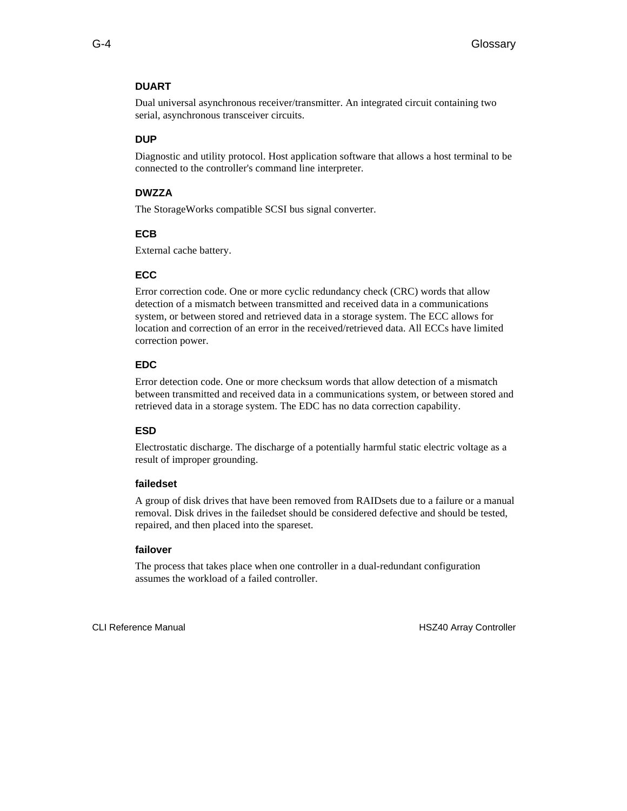## **DUART**

Dual universal asynchronous receiver/transmitter. An integrated circuit containing two serial, asynchronous transceiver circuits.

#### **DUP**

Diagnostic and utility protocol. Host application software that allows a host terminal to be connected to the controller's command line interpreter.

## **DWZZA**

The StorageWorks compatible SCSI bus signal converter.

#### **ECB**

External cache battery.

#### **ECC**

Error correction code. One or more cyclic redundancy check (CRC) words that allow detection of a mismatch between transmitted and received data in a communications system, or between stored and retrieved data in a storage system. The ECC allows for location and correction of an error in the received/retrieved data. All ECCs have limited correction power.

#### **EDC**

Error detection code. One or more checksum words that allow detection of a mismatch between transmitted and received data in a communications system, or between stored and retrieved data in a storage system. The EDC has no data correction capability.

## **ESD**

Electrostatic discharge. The discharge of a potentially harmful static electric voltage as a result of improper grounding.

#### **failedset**

A group of disk drives that have been removed from RAIDsets due to a failure or a manual removal. Disk drives in the failedset should be considered defective and should be tested, repaired, and then placed into the spareset.

#### **failover**

The process that takes place when one controller in a dual-redundant configuration assumes the workload of a failed controller.

CLI Reference Manual **HSZ40** Array Controller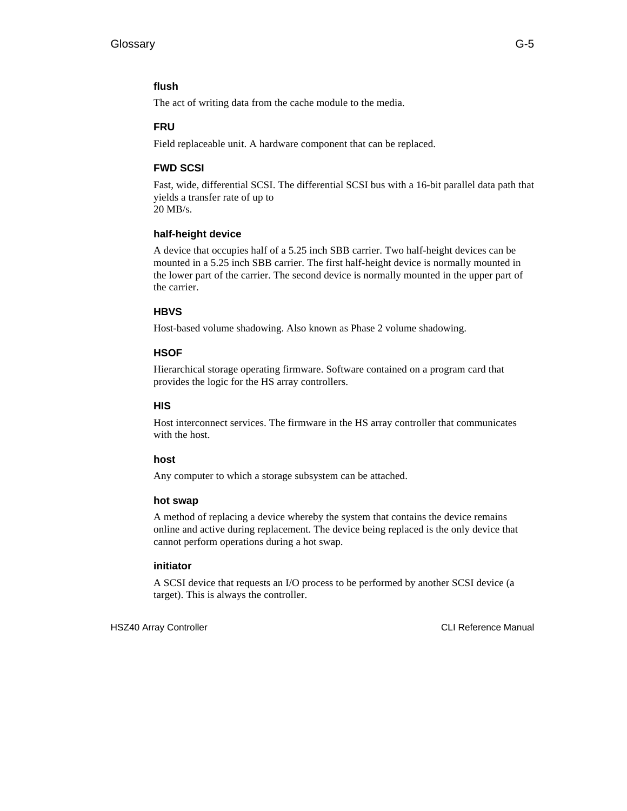## **flush**

The act of writing data from the cache module to the media.

## **FRU**

Field replaceable unit. A hardware component that can be replaced.

## **FWD SCSI**

Fast, wide, differential SCSI. The differential SCSI bus with a 16-bit parallel data path that yields a transfer rate of up to 20 MB/s.

## **half-height device**

A device that occupies half of a 5.25 inch SBB carrier. Two half-height devices can be mounted in a 5.25 inch SBB carrier. The first half-height device is normally mounted in the lower part of the carrier. The second device is normally mounted in the upper part of the carrier.

## **HBVS**

Host-based volume shadowing. Also known as Phase 2 volume shadowing.

## **HSOF**

Hierarchical storage operating firmware. Software contained on a program card that provides the logic for the HS array controllers.

## **HIS**

Host interconnect services. The firmware in the HS array controller that communicates with the host.

## **host**

Any computer to which a storage subsystem can be attached.

## **hot swap**

A method of replacing a device whereby the system that contains the device remains online and active during replacement. The device being replaced is the only device that cannot perform operations during a hot swap.

## **initiator**

A SCSI device that requests an I/O process to be performed by another SCSI device (a target). This is always the controller.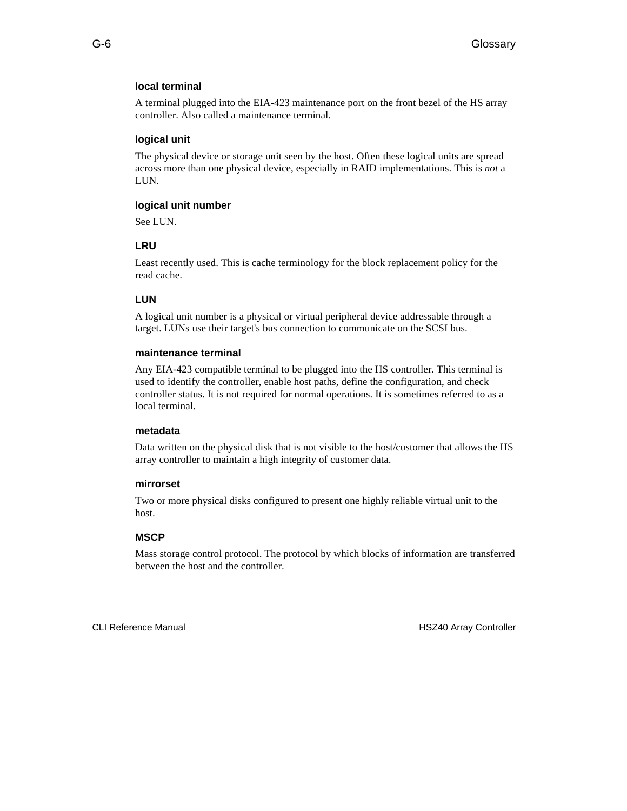#### **local terminal**

A terminal plugged into the EIA-423 maintenance port on the front bezel of the HS array controller. Also called a maintenance terminal.

#### **logical unit**

The physical device or storage unit seen by the host. Often these logical units are spread across more than one physical device, especially in RAID implementations. This is *not* a LUN.

#### **logical unit number**

See LUN.

## **LRU**

Least recently used. This is cache terminology for the block replacement policy for the read cache.

## **LUN**

A logical unit number is a physical or virtual peripheral device addressable through a target. LUNs use their target's bus connection to communicate on the SCSI bus.

#### **maintenance terminal**

Any EIA-423 compatible terminal to be plugged into the HS controller. This terminal is used to identify the controller, enable host paths, define the configuration, and check controller status. It is not required for normal operations. It is sometimes referred to as a local terminal.

#### **metadata**

Data written on the physical disk that is not visible to the host/customer that allows the HS array controller to maintain a high integrity of customer data.

#### **mirrorset**

Two or more physical disks configured to present one highly reliable virtual unit to the host.

#### **MSCP**

Mass storage control protocol. The protocol by which blocks of information are transferred between the host and the controller.

CLI Reference Manual **HSZ40** Array Controller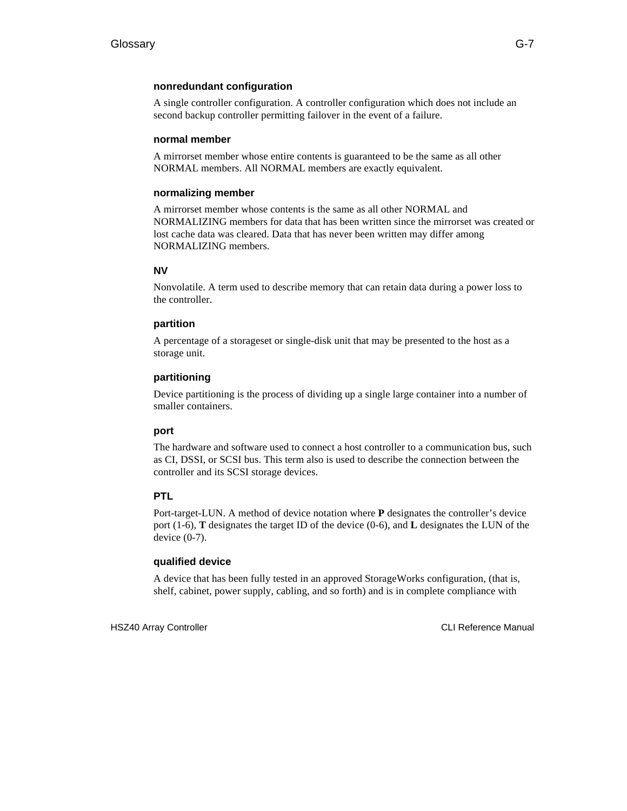## **nonredundant configuration**

A single controller configuration. A controller configuration which does not include an second backup controller permitting failover in the event of a failure.

## **normal member**

A mirrorset member whose entire contents is guaranteed to be the same as all other NORMAL members. All NORMAL members are exactly equivalent.

## **normalizing member**

A mirrorset member whose contents is the same as all other NORMAL and NORMALIZING members for data that has been written since the mirrorset was created or lost cache data was cleared. Data that has never been written may differ among NORMALIZING members.

## **NV**

Nonvolatile. A term used to describe memory that can retain data during a power loss to the controller.

## **partition**

A percentage of a storageset or single-disk unit that may be presented to the host as a storage unit.

## **partitioning**

Device partitioning is the process of dividing up a single large container into a number of smaller containers.

#### **port**

The hardware and software used to connect a host controller to a communication bus, such as CI, DSSI, or SCSI bus. This term also is used to describe the connection between the controller and its SCSI storage devices.

## **PTL**

Port-target-LUN. A method of device notation where **P** designates the controller's device port (1-6), **T** designates the target ID of the device (0-6), and **L** designates the LUN of the device (0-7).

#### **qualified device**

A device that has been fully tested in an approved StorageWorks configuration, (that is, shelf, cabinet, power supply, cabling, and so forth) and is in complete compliance with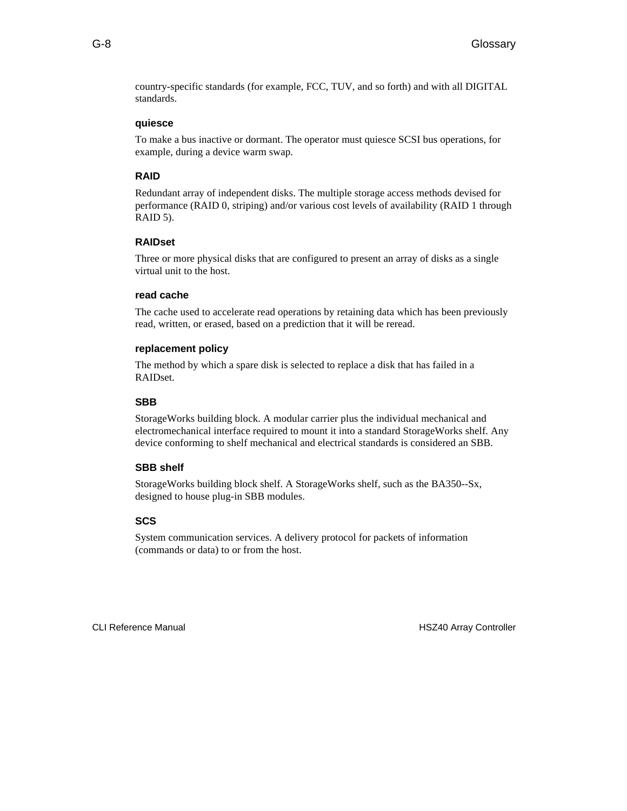country-specific standards (for example, FCC, TUV, and so forth) and with all DIGITAL standards.

## **quiesce**

To make a bus inactive or dormant. The operator must quiesce SCSI bus operations, for example, during a device warm swap.

#### **RAID**

Redundant array of independent disks. The multiple storage access methods devised for performance (RAID 0, striping) and/or various cost levels of availability (RAID 1 through RAID 5).

## **RAIDset**

Three or more physical disks that are configured to present an array of disks as a single virtual unit to the host.

#### **read cache**

The cache used to accelerate read operations by retaining data which has been previously read, written, or erased, based on a prediction that it will be reread.

#### **replacement policy**

The method by which a spare disk is selected to replace a disk that has failed in a RAIDset.

#### **SBB**

StorageWorks building block. A modular carrier plus the individual mechanical and electromechanical interface required to mount it into a standard StorageWorks shelf. Any device conforming to shelf mechanical and electrical standards is considered an SBB.

#### **SBB shelf**

StorageWorks building block shelf. A StorageWorks shelf, such as the BA350--Sx, designed to house plug-in SBB modules.

#### **SCS**

System communication services. A delivery protocol for packets of information (commands or data) to or from the host.

CLI Reference Manual **HSZ40** Array Controller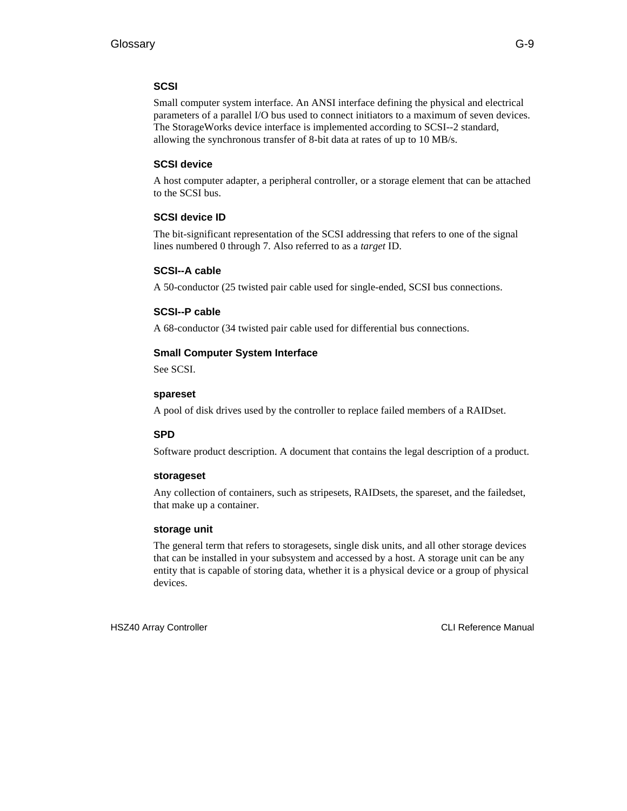#### **SCSI**

Small computer system interface. An ANSI interface defining the physical and electrical parameters of a parallel I/O bus used to connect initiators to a maximum of seven devices. The StorageWorks device interface is implemented according to SCSI--2 standard, allowing the synchronous transfer of 8-bit data at rates of up to 10 MB/s.

#### **SCSI device**

A host computer adapter, a peripheral controller, or a storage element that can be attached to the SCSI bus.

#### **SCSI device ID**

The bit-significant representation of the SCSI addressing that refers to one of the signal lines numbered 0 through 7. Also referred to as a *target* ID.

#### **SCSI--A cable**

A 50-conductor (25 twisted pair cable used for single-ended, SCSI bus connections.

#### **SCSI--P cable**

A 68-conductor (34 twisted pair cable used for differential bus connections.

#### **Small Computer System Interface**

See SCSI.

#### **spareset**

A pool of disk drives used by the controller to replace failed members of a RAIDset.

#### **SPD**

Software product description. A document that contains the legal description of a product.

#### **storageset**

Any collection of containers, such as stripesets, RAIDsets, the spareset, and the failedset, that make up a container.

#### **storage unit**

The general term that refers to storagesets, single disk units, and all other storage devices that can be installed in your subsystem and accessed by a host. A storage unit can be any entity that is capable of storing data, whether it is a physical device or a group of physical devices.

HSZ40 Array Controller CLI Reference Manual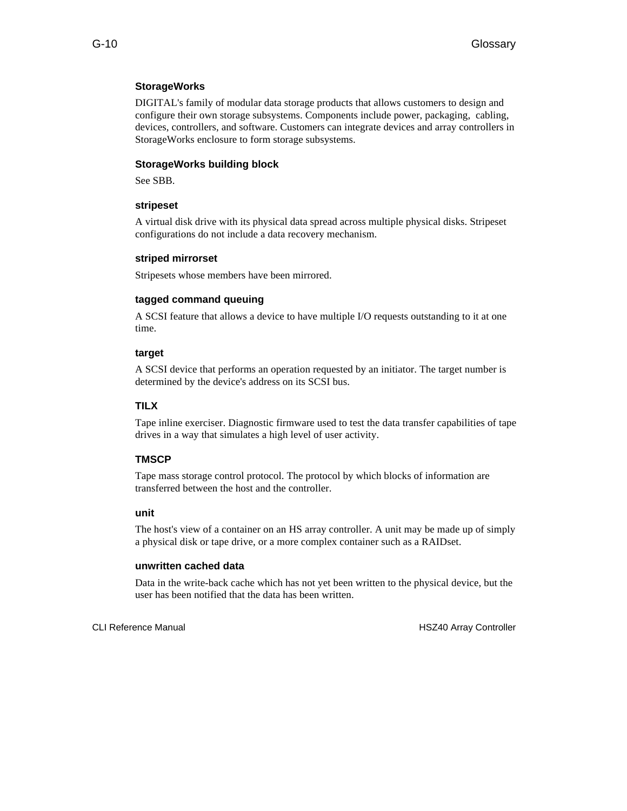#### **StorageWorks**

DIGITAL's family of modular data storage products that allows customers to design and configure their own storage subsystems. Components include power, packaging, cabling, devices, controllers, and software. Customers can integrate devices and array controllers in StorageWorks enclosure to form storage subsystems.

#### **StorageWorks building block**

See SBB.

#### **stripeset**

A virtual disk drive with its physical data spread across multiple physical disks. Stripeset configurations do not include a data recovery mechanism.

#### **striped mirrorset**

Stripesets whose members have been mirrored.

#### **tagged command queuing**

A SCSI feature that allows a device to have multiple I/O requests outstanding to it at one time.

#### **target**

A SCSI device that performs an operation requested by an initiator. The target number is determined by the device's address on its SCSI bus.

#### **TILX**

Tape inline exerciser. Diagnostic firmware used to test the data transfer capabilities of tape drives in a way that simulates a high level of user activity.

#### **TMSCP**

Tape mass storage control protocol. The protocol by which blocks of information are transferred between the host and the controller.

#### **unit**

The host's view of a container on an HS array controller. A unit may be made up of simply a physical disk or tape drive, or a more complex container such as a RAIDset.

#### **unwritten cached data**

Data in the write-back cache which has not yet been written to the physical device, but the user has been notified that the data has been written.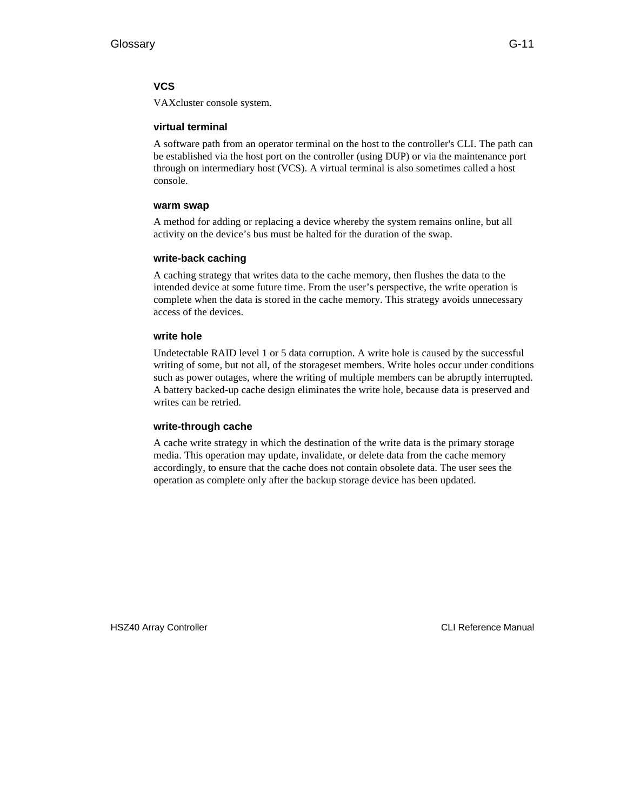#### **VCS**

VAXcluster console system.

#### **virtual terminal**

A software path from an operator terminal on the host to the controller's CLI. The path can be established via the host port on the controller (using DUP) or via the maintenance port through on intermediary host (VCS). A virtual terminal is also sometimes called a host console.

#### **warm swap**

A method for adding or replacing a device whereby the system remains online, but all activity on the device's bus must be halted for the duration of the swap.

#### **write-back caching**

A caching strategy that writes data to the cache memory, then flushes the data to the intended device at some future time. From the user's perspective, the write operation is complete when the data is stored in the cache memory. This strategy avoids unnecessary access of the devices.

#### **write hole**

Undetectable RAID level 1 or 5 data corruption. A write hole is caused by the successful writing of some, but not all, of the storageset members. Write holes occur under conditions such as power outages, where the writing of multiple members can be abruptly interrupted. A battery backed-up cache design eliminates the write hole, because data is preserved and writes can be retried.

#### **write-through cache**

A cache write strategy in which the destination of the write data is the primary storage media. This operation may update, invalidate, or delete data from the cache memory accordingly, to ensure that the cache does not contain obsolete data. The user sees the operation as complete only after the backup storage device has been updated.

HSZ40 Array Controller CLI Reference Manual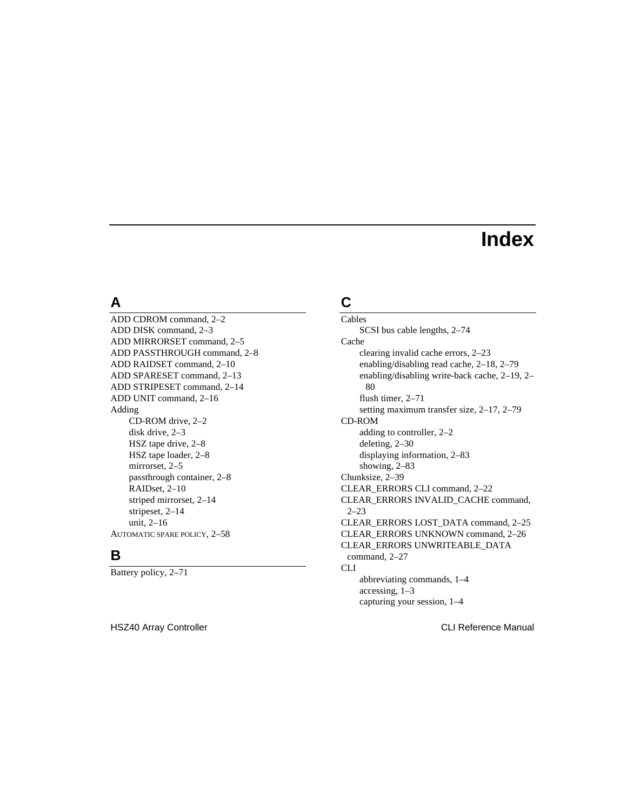# **Index**

# **A**

ADD CDROM command, 2–2 ADD DISK command, 2–3 ADD MIRRORSET command, 2–5 ADD PASSTHROUGH command, 2–8 ADD RAIDSET command, 2–10 ADD SPARESET command, 2–13 ADD STRIPESET command, 2–14 ADD UNIT command, 2–16 Adding CD-ROM drive, 2–2 disk drive, 2–3 HSZ tape drive, 2–8 HSZ tape loader, 2–8 mirrorset, 2–5 passthrough container, 2–8 RAIDset, 2–10 striped mirrorset, 2–14 stripeset, 2–14 unit, 2–16 AUTOMATIC SPARE POLICY, 2–58

# **B**

Battery policy, 2–71

HSZ40 Array Controller CLI Reference Manual

# **C**

Cables SCSI bus cable lengths, 2–74 Cache clearing invalid cache errors, 2–23 enabling/disabling read cache, 2–18, 2–79 enabling/disabling write-back cache, 2–19, 2– 80 flush timer, 2–71 setting maximum transfer size, 2–17, 2–79 CD-ROM adding to controller, 2–2 deleting, 2–30 displaying information, 2–83 showing, 2–83 Chunksize, 2–39 CLEAR\_ERRORS CLI command, 2–22 CLEAR\_ERRORS INVALID\_CACHE command, 2–23 CLEAR\_ERRORS LOST\_DATA command, 2–25 CLEAR\_ERRORS UNKNOWN command, 2–26 CLEAR\_ERRORS UNWRITEABLE\_DATA command, 2–27 CLI abbreviating commands, 1–4 accessing, 1–3 capturing your session, 1–4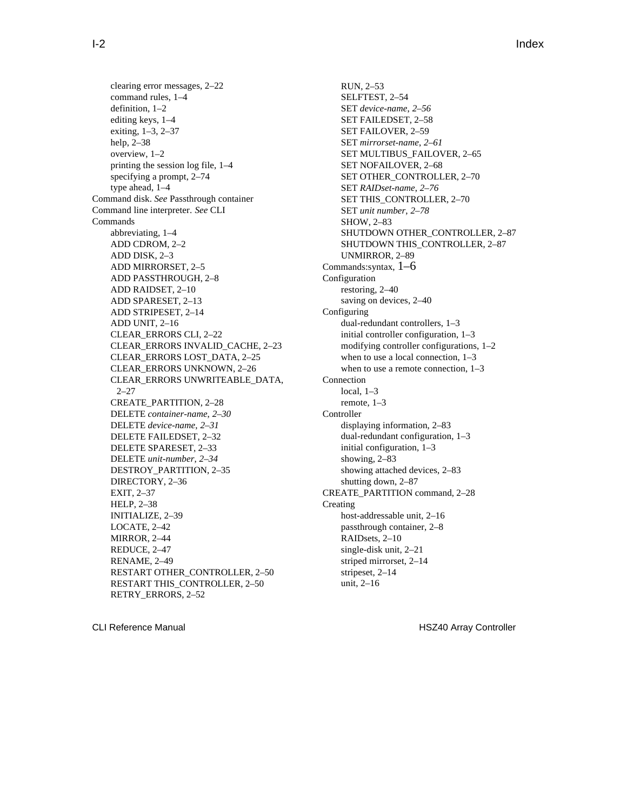clearing error messages, 2–22 command rules, 1–4 definition, 1–2 editing keys, 1–4 exiting, 1–3, 2–37 help, 2–38 overview, 1–2 printing the session log file, 1–4 specifying a prompt, 2–74 type ahead, 1–4 Command disk. *See* Passthrough container Command line interpreter. *See* CLI Commands abbreviating, 1–4 ADD CDROM, 2–2 ADD DISK, 2–3 ADD MIRRORSET, 2–5 ADD PASSTHROUGH, 2–8 ADD RAIDSET, 2–10 ADD SPARESET, 2–13 ADD STRIPESET, 2–14 ADD UNIT, 2–16 CLEAR\_ERRORS CLI, 2–22 CLEAR\_ERRORS INVALID\_CACHE, 2–23 CLEAR\_ERRORS LOST\_DATA, 2–25 CLEAR\_ERRORS UNKNOWN, 2–26 CLEAR\_ERRORS UNWRITEABLE\_DATA, 2–27 CREATE\_PARTITION, 2–28 DELETE *container-name*, *2–30* DELETE *device-name*, *2–31* DELETE FAILEDSET, 2–32 DELETE SPARESET, 2–33 DELETE *unit-number*, *2–34* DESTROY\_PARTITION, 2–35 DIRECTORY, 2–36 EXIT, 2–37 HELP, 2–38 INITIALIZE, 2–39 LOCATE, 2–42 MIRROR, 2–44 REDUCE, 2–47 RENAME, 2–49 RESTART OTHER\_CONTROLLER, 2–50 RESTART THIS\_CONTROLLER, 2–50 RETRY\_ERRORS, 2–52

RUN, 2–53 SELFTEST, 2–54 SET *device-name*, *2–56* SET FAILEDSET, 2–58 SET FAILOVER, 2–59 SET *mirrorset-name*, *2–61* SET MULTIBUS\_FAILOVER, 2–65 SET NOFAILOVER, 2–68 SET OTHER\_CONTROLLER, 2–70 SET *RAIDset-name*, *2–76* SET THIS\_CONTROLLER, 2-70 SET *unit number*, *2–78* SHOW, 2–83 SHUTDOWN OTHER\_CONTROLLER, 2–87 SHUTDOWN THIS\_CONTROLLER, 2–87 UNMIRROR, 2–89 Commands:syntax, 1–6 Configuration restoring, 2–40 saving on devices, 2–40 Configuring dual-redundant controllers, 1–3 initial controller configuration, 1–3 modifying controller configurations, 1–2 when to use a local connection, 1–3 when to use a remote connection, 1–3 Connection local, 1–3 remote, 1–3 Controller displaying information, 2–83 dual-redundant configuration, 1–3 initial configuration, 1–3 showing, 2–83 showing attached devices, 2–83 shutting down, 2–87 CREATE\_PARTITION command, 2–28 Creating host-addressable unit, 2–16 passthrough container, 2–8 RAIDsets, 2–10 single-disk unit, 2–21 striped mirrorset, 2–14 stripeset, 2–14 unit, 2–16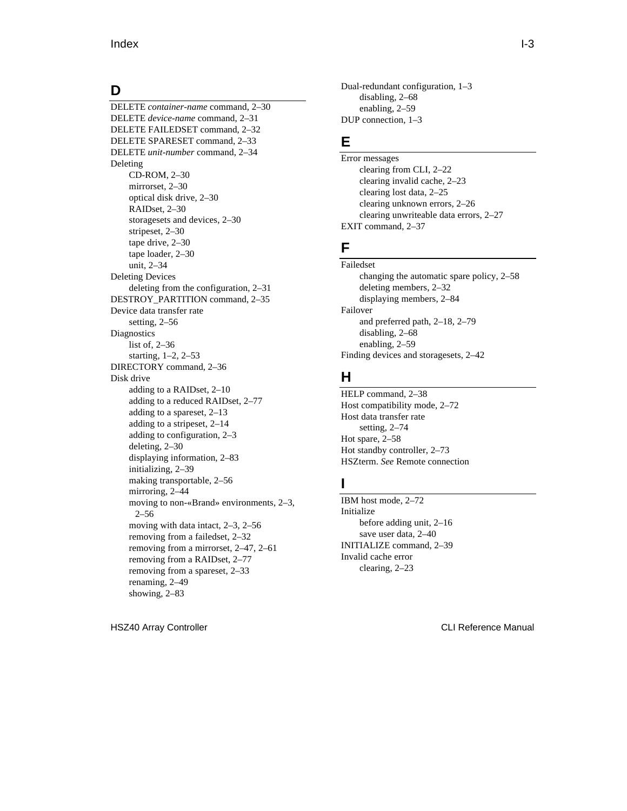### **D**

DELETE *container-name* command, 2–30 DELETE *device-name* command, 2–31 DELETE FAILEDSET command, 2–32 DELETE SPARESET command, 2–33 DELETE *unit-number* command, 2–34 Deleting CD-ROM, 2–30 mirrorset, 2–30 optical disk drive, 2–30 RAIDset, 2–30 storagesets and devices, 2–30 stripeset, 2–30 tape drive, 2–30 tape loader, 2–30 unit, 2–34 Deleting Devices deleting from the configuration, 2–31 DESTROY\_PARTITION command, 2–35 Device data transfer rate setting, 2–56 **Diagnostics** list of, 2–36 starting, 1–2, 2–53 DIRECTORY command, 2–36 Disk drive adding to a RAIDset, 2–10 adding to a reduced RAIDset, 2–77 adding to a spareset, 2–13 adding to a stripeset, 2–14 adding to configuration, 2–3 deleting, 2–30 displaying information, 2–83 initializing, 2–39 making transportable, 2–56 mirroring, 2–44 moving to non-«Brand» environments, 2–3, 2–56 moving with data intact, 2–3, 2–56 removing from a failedset, 2–32 removing from a mirrorset, 2–47, 2–61 removing from a RAIDset, 2–77 removing from a spareset, 2–33 renaming, 2–49 showing, 2–83

Dual-redundant configuration, 1–3 disabling, 2–68 enabling, 2–59 DUP connection, 1–3

# **E**

Error messages clearing from CLI, 2–22 clearing invalid cache, 2–23 clearing lost data, 2–25 clearing unknown errors, 2–26 clearing unwriteable data errors, 2–27 EXIT command, 2–37

### **F**

Failedset changing the automatic spare policy, 2–58 deleting members, 2–32 displaying members, 2–84 Failover and preferred path, 2–18, 2–79 disabling, 2–68 enabling, 2–59 Finding devices and storagesets, 2–42

### **H**

HELP command, 2–38 Host compatibility mode, 2–72 Host data transfer rate setting, 2–74 Hot spare, 2–58 Hot standby controller, 2–73 HSZterm. *See* Remote connection

# **I**

IBM host mode, 2–72 Initialize before adding unit, 2–16 save user data, 2–40 INITIALIZE command, 2–39 Invalid cache error clearing, 2–23

HSZ40 Array Controller CLI Reference Manual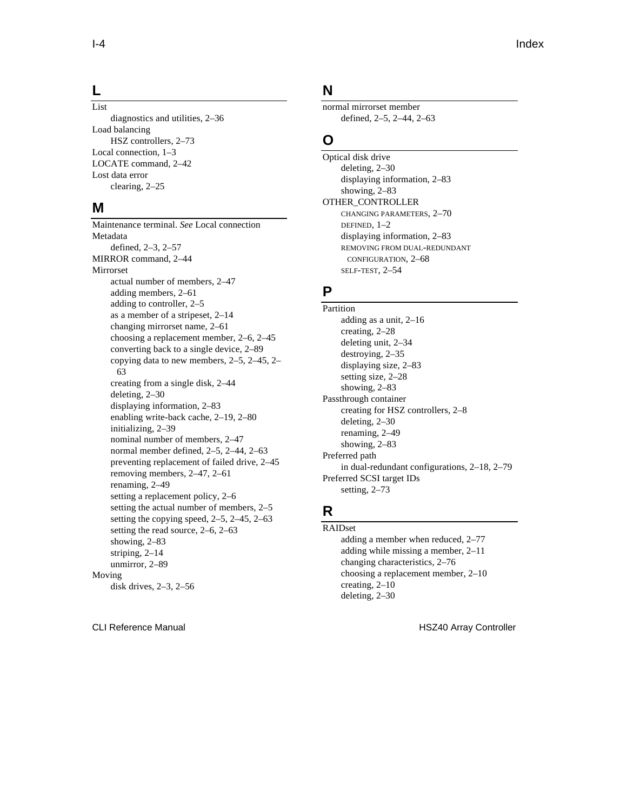#### **L**

List diagnostics and utilities, 2–36 Load balancing HSZ controllers, 2–73 Local connection, 1–3 LOCATE command, 2–42

Lost data error clearing, 2–25

#### **M**

Maintenance terminal. *See* Local connection Metadata defined, 2–3, 2–57 MIRROR command, 2–44 Mirrorset actual number of members, 2–47 adding members, 2–61 adding to controller, 2–5 as a member of a stripeset, 2–14 changing mirrorset name, 2–61 choosing a replacement member, 2–6, 2–45 converting back to a single device, 2–89 copying data to new members, 2–5, 2–45, 2– 63 creating from a single disk, 2–44 deleting, 2–30 displaying information, 2–83 enabling write-back cache, 2–19, 2–80 initializing, 2–39 nominal number of members, 2–47 normal member defined, 2–5, 2–44, 2–63 preventing replacement of failed drive, 2–45 removing members, 2–47, 2–61 renaming, 2–49 setting a replacement policy, 2–6 setting the actual number of members, 2–5 setting the copying speed, 2–5, 2–45, 2–63 setting the read source, 2–6, 2–63 showing, 2–83 striping, 2–14 unmirror, 2–89 Moving disk drives, 2–3, 2–56

### **N**

normal mirrorset member defined, 2–5, 2–44, 2–63

### **O**

Optical disk drive deleting, 2–30 displaying information, 2–83 showing, 2–83 OTHER\_CONTROLLER CHANGING PARAMETERS, 2–70 DEFINED, 1–2 displaying information, 2–83 REMOVING FROM DUAL-REDUNDANT CONFIGURATION, 2–68 SELF-TEST, 2–54

### **P**

Partition adding as a unit, 2–16 creating, 2–28 deleting unit, 2–34 destroying, 2–35 displaying size, 2–83 setting size, 2–28 showing, 2–83 Passthrough container creating for HSZ controllers, 2–8 deleting, 2–30 renaming, 2–49 showing, 2–83 Preferred path in dual-redundant configurations, 2–18, 2–79 Preferred SCSI target IDs setting, 2–73

# **R**

RAIDset adding a member when reduced, 2–77 adding while missing a member, 2–11 changing characteristics, 2–76 choosing a replacement member, 2–10 creating, 2–10 deleting, 2–30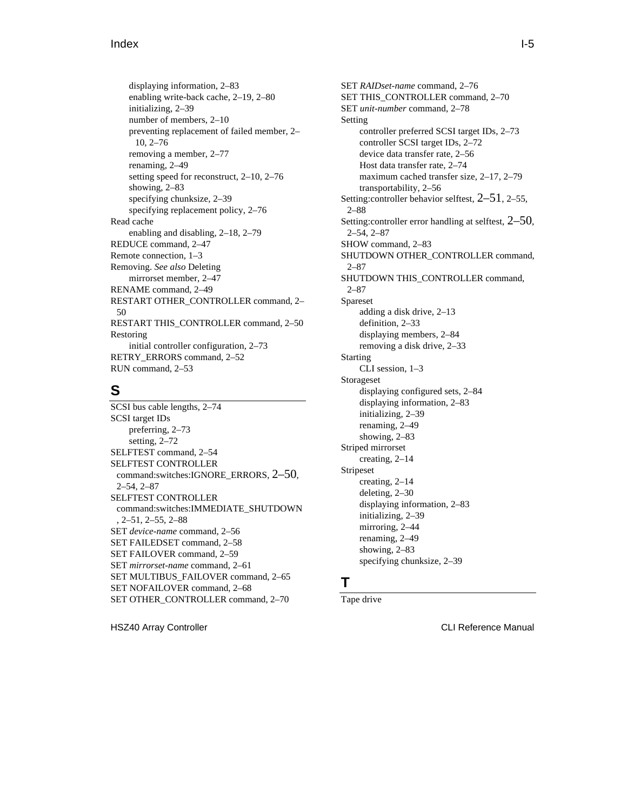displaying information, 2–83 enabling write-back cache, 2–19, 2–80 initializing, 2–39 number of members, 2–10 preventing replacement of failed member, 2– 10, 2–76 removing a member, 2–77 renaming, 2–49 setting speed for reconstruct, 2–10, 2–76 showing, 2–83 specifying chunksize, 2–39 specifying replacement policy, 2–76 Read cache enabling and disabling, 2–18, 2–79 REDUCE command, 2–47 Remote connection, 1–3 Removing. *See also* Deleting mirrorset member, 2–47 RENAME command, 2–49 RESTART OTHER\_CONTROLLER command, 2– 50 RESTART THIS\_CONTROLLER command, 2–50 Restoring initial controller configuration, 2–73 RETRY\_ERRORS command, 2–52 RUN command, 2–53

### **S**

SCSI bus cable lengths, 2–74 SCSI target IDs preferring, 2–73 setting, 2–72 SELFTEST command, 2–54 SELFTEST CONTROLLER command:switches:IGNORE\_ERRORS, 2–50, 2–54, 2–87 SELFTEST CONTROLLER command:switches:IMMEDIATE\_SHUTDOWN , 2–51, 2–55, 2–88 SET *device-name* command, 2–56 SET FAILEDSET command, 2–58 SET FAILOVER command, 2–59 SET *mirrorset-name* command, 2–61 SET MULTIBUS\_FAILOVER command, 2–65 SET NOFAILOVER command, 2–68 SET OTHER\_CONTROLLER command, 2–70

HSZ40 Array Controller CLI Reference Manual

SET *RAIDset-name* command, 2–76 SET THIS CONTROLLER command, 2–70 SET *unit-number* command, 2–78 Setting controller preferred SCSI target IDs, 2–73 controller SCSI target IDs, 2–72 device data transfer rate, 2–56 Host data transfer rate, 2–74 maximum cached transfer size, 2–17, 2–79 transportability, 2–56 Setting:controller behavior selftest, 2–51, 2–55, 2–88 Setting:controller error handling at selftest, 2–50, 2–54, 2–87 SHOW command, 2–83 SHUTDOWN OTHER\_CONTROLLER command, 2–87 SHUTDOWN THIS\_CONTROLLER command, 2–87 Spareset adding a disk drive, 2–13 definition, 2–33 displaying members, 2–84 removing a disk drive, 2–33 Starting CLI session, 1–3 Storageset displaying configured sets, 2–84 displaying information, 2–83 initializing, 2–39 renaming, 2–49 showing, 2–83 Striped mirrorset creating, 2–14 Stripeset creating, 2–14 deleting, 2–30 displaying information, 2–83 initializing, 2–39 mirroring, 2–44 renaming, 2–49 showing, 2–83 specifying chunksize, 2–39

### **T**

Tape drive